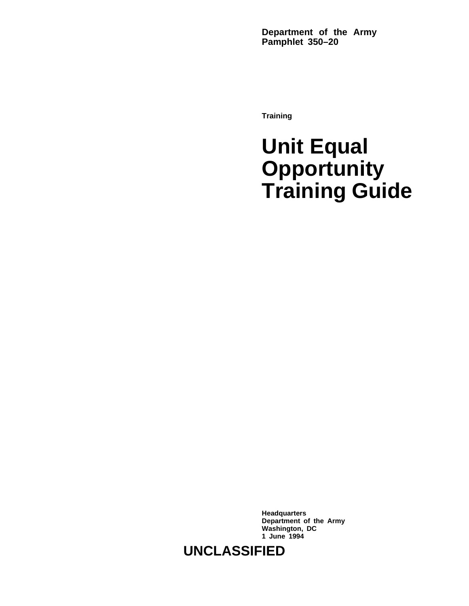**Department of the Army Pamphlet 350–20**

**Training**

# **Unit Equal Opportunity Training Guide**

**Headquarters Department of the Army Washington, DC 1 June 1994**

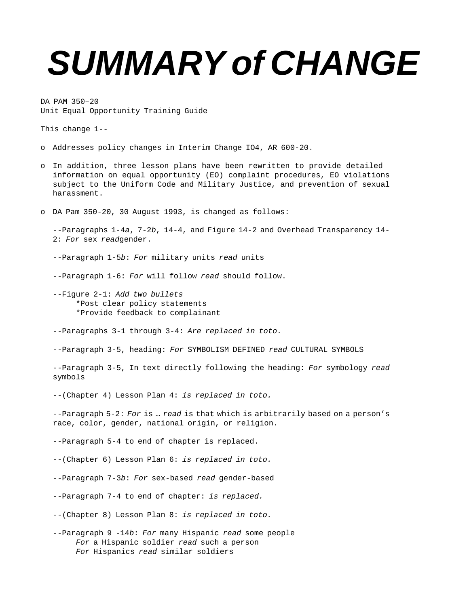# **SUMMARY of CHANGE**

DA PAM 350–20 Unit Equal Opportunity Training Guide

This change 1--

- o Addresses policy changes in Interim Change IO4, AR 600-20.
- o In addition, three lesson plans have been rewritten to provide detailed information on equal opportunity (EO) complaint procedures, EO violations subject to the Uniform Code and Military Justice, and prevention of sexual harassment.
- o DA Pam 350-20, 30 August 1993, is changed as follows:

--Paragraphs 1-4a, 7-2b, 14-4, and Figure 14-2 and Overhead Transparency 14- 2: For sex readgender.

--Paragraph 1-5b: For military units read units

--Paragraph 1-6: For will follow read should follow.

--Figure 2-1: Add two bullets \*Post clear policy statements \*Provide feedback to complainant

--Paragraphs 3-1 through 3-4: Are replaced in toto.

--Paragraph 3-5, heading: For SYMBOLISM DEFINED read CULTURAL SYMBOLS

--Paragraph 3-5, In text directly following the heading: For symbology read symbols

--(Chapter 4) Lesson Plan 4: is replaced in toto.

--Paragraph 5-2: For is ... read is that which is arbitrarily based on a person's race, color, gender, national origin, or religion.

--Paragraph 5-4 to end of chapter is replaced.

--(Chapter 6) Lesson Plan 6: is replaced in toto.

--Paragraph 7-3b: For sex-based read gender-based

--Paragraph 7-4 to end of chapter: is replaced.

--(Chapter 8) Lesson Plan 8: is replaced in toto.

--Paragraph 9 -14b: For many Hispanic read some people For a Hispanic soldier read such a person For Hispanics read similar soldiers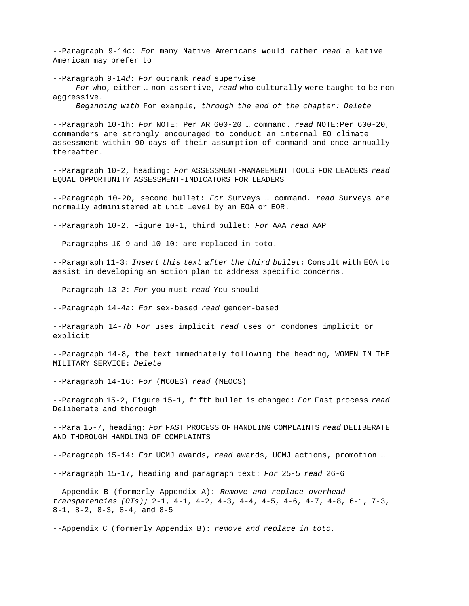$-$ -Paragraph 9-14 $c$ : For many Native Americans would rather read a Native American may prefer to

--Paragraph 9-14d: For outrank read supervise For who, either ... non-assertive, read who culturally were taught to be nonaggressive.

Beginning with For example, through the end of the chapter: Delete

--Paragraph 10-1h: For NOTE: Per AR 600-20 ... command. read NOTE: Per 600-20, commanders are strongly encouraged to conduct an internal EO climate assessment within 90 days of their assumption of command and once annually thereafter.

--Paragraph 10-2, heading: For ASSESSMENT-MANAGEMENT TOOLS FOR LEADERS read EQUAL OPPORTUNITY ASSESSMENT-INDICATORS FOR LEADERS

--Paragraph 10-2b, second bullet: For Surveys ... command. read Surveys are normally administered at unit level by an EOA or EOR.

--Paragraph 10-2, Figure 10-1, third bullet: For AAA read AAP

--Paragraphs 10-9 and 10-10: are replaced in toto.

--Paragraph 11-3: Insert this text after the third bullet: Consult with EOA to assist in developing an action plan to address specific concerns.

--Paragraph 13-2: For you must read You should

--Paragraph 14-4a: For sex-based read gender-based

--Paragraph 14-7b For uses implicit read uses or condones implicit or explicit

--Paragraph 14-8, the text immediately following the heading, WOMEN IN THE MILITARY SERVICE: Delete

--Paragraph 14-16: For (MCOES) read (MEOCS)

--Paragraph 15-2, Figure 15-1, fifth bullet is changed: For Fast process read Deliberate and thorough

--Para 15-7, heading: For FAST PROCESS OF HANDLING COMPLAINTS read DELIBERATE AND THOROUGH HANDLING OF COMPLAINTS

--Paragraph 15-14: For UCMJ awards, read awards, UCMJ actions, promotion ...

--Paragraph 15-17, heading and paragraph text: For 25-5 read 26-6

--Appendix B (formerly Appendix A): Remove and replace overhead transparencies (OTs); 2-1, 4-1, 4-2, 4-3, 4-4, 4-5, 4-6, 4-7, 4-8, 6-1, 7-3, 8-1, 8-2, 8-3, 8-4, and 8-5

--Appendix C (formerly Appendix B): remove and replace in toto.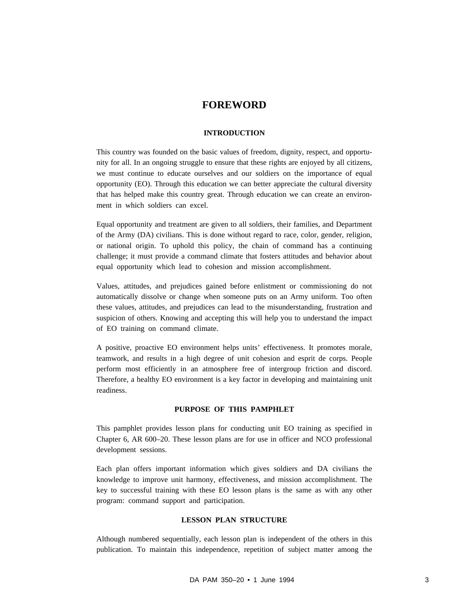# **FOREWORD**

# **INTRODUCTION**

This country was founded on the basic values of freedom, dignity, respect, and opportunity for all. In an ongoing struggle to ensure that these rights are enjoyed by all citizens, we must continue to educate ourselves and our soldiers on the importance of equal opportunity (EO). Through this education we can better appreciate the cultural diversity that has helped make this country great. Through education we can create an environment in which soldiers can excel.

Equal opportunity and treatment are given to all soldiers, their families, and Department of the Army (DA) civilians. This is done without regard to race, color, gender, religion, or national origin. To uphold this policy, the chain of command has a continuing challenge; it must provide a command climate that fosters attitudes and behavior about equal opportunity which lead to cohesion and mission accomplishment.

Values, attitudes, and prejudices gained before enlistment or commissioning do not automatically dissolve or change when someone puts on an Army uniform. Too often these values, attitudes, and prejudices can lead to the misunderstanding, frustration and suspicion of others. Knowing and accepting this will help you to understand the impact of EO training on command climate.

A positive, proactive EO environment helps units' effectiveness. It promotes morale, teamwork, and results in a high degree of unit cohesion and esprit de corps. People perform most efficiently in an atmosphere free of intergroup friction and discord. Therefore, a healthy EO environment is a key factor in developing and maintaining unit readiness.

### **PURPOSE OF THIS PAMPHLET**

This pamphlet provides lesson plans for conducting unit EO training as specified in Chapter 6, AR 600–20. These lesson plans are for use in officer and NCO professional development sessions.

Each plan offers important information which gives soldiers and DA civilians the knowledge to improve unit harmony, effectiveness, and mission accomplishment. The key to successful training with these EO lesson plans is the same as with any other program: command support and participation.

### **LESSON PLAN STRUCTURE**

Although numbered sequentially, each lesson plan is independent of the others in this publication. To maintain this independence, repetition of subject matter among the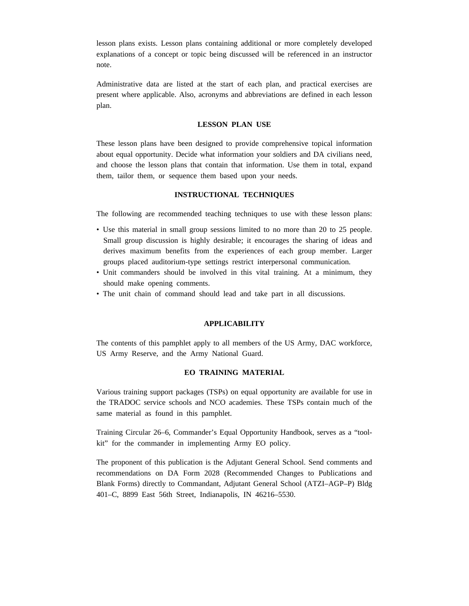lesson plans exists. Lesson plans containing additional or more completely developed explanations of a concept or topic being discussed will be referenced in an instructor note.

Administrative data are listed at the start of each plan, and practical exercises are present where applicable. Also, acronyms and abbreviations are defined in each lesson plan.

# **LESSON PLAN USE**

These lesson plans have been designed to provide comprehensive topical information about equal opportunity. Decide what information your soldiers and DA civilians need, and choose the lesson plans that contain that information. Use them in total, expand them, tailor them, or sequence them based upon your needs.

### **INSTRUCTIONAL TECHNIQUES**

The following are recommended teaching techniques to use with these lesson plans:

- Use this material in small group sessions limited to no more than 20 to 25 people. Small group discussion is highly desirable; it encourages the sharing of ideas and derives maximum benefits from the experiences of each group member. Larger groups placed auditorium-type settings restrict interpersonal communication.
- Unit commanders should be involved in this vital training. At a minimum, they should make opening comments.
- The unit chain of command should lead and take part in all discussions.

# **APPLICABILITY**

The contents of this pamphlet apply to all members of the US Army, DAC workforce, US Army Reserve, and the Army National Guard.

# **EO TRAINING MATERIAL**

Various training support packages (TSPs) on equal opportunity are available for use in the TRADOC service schools and NCO academies. These TSPs contain much of the same material as found in this pamphlet.

Training Circular 26–6, Commander's Equal Opportunity Handbook, serves as a "toolkit" for the commander in implementing Army EO policy.

The proponent of this publication is the Adjutant General School. Send comments and recommendations on DA Form 2028 (Recommended Changes to Publications and Blank Forms) directly to Commandant, Adjutant General School (ATZI–AGP–P) Bldg 401–C, 8899 East 56th Street, Indianapolis, IN 46216–5530.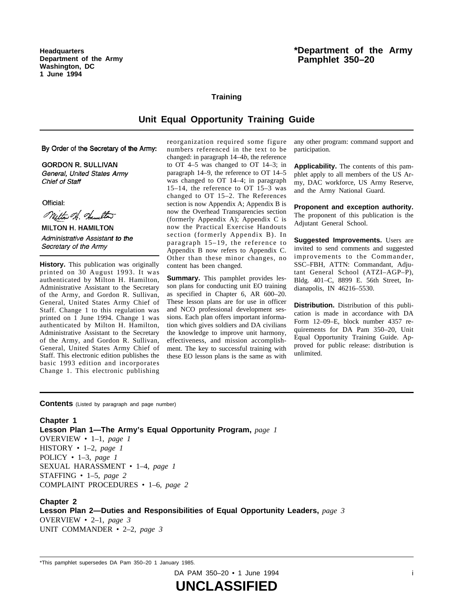**Headquarters Department of the Army Washington, DC 1 June 1994**

# **\*Department of the Army Pamphlet 350–20**

# **Training**

# **Unit Equal Opportunity Training Guide**

By Order of the Secretary of the Army:

**GORDON R. SULLIVAN** General, United States Army Chief of Staff

Official:

Mitto A. Hamilton

**MILTON H. HAMILTON** Administrative Assistant to the Secretary of the Army

**History.** This publication was originally printed on 30 August 1993. It was authenticated by Milton H. Hamilton, Administrative Assistant to the Secretary of the Army, and Gordon R. Sullivan, General, United States Army Chief of Staff. Change 1 to this regulation was printed on 1 June 1994. Change 1 was authenticated by Milton H. Hamilton, Administrative Assistant to the Secretary of the Army, and Gordon R. Sullivan, General, United States Army Chief of Staff. This electronic edition publishes the basic 1993 edition and incorporates Change 1. This electronic publishing

reorganization required some figure numbers referenced in the text to be changed: in paragraph 14–4*b*, the reference to  $OT$  4-5 was changed to  $OT$  14-3; in paragraph 14–9, the reference to OT 14–5 was changed to  $OT$  14-4; in paragraph  $15-14$ , the reference to OT  $15-3$  was changed to OT  $15-2$ . The References section is now Appendix A; Appendix B is now the Overhead Transparencies section (formerly Appendix A); Appendix C is now the Practical Exercise Handouts section (formerly Appendix B). In paragraph  $15-19$ , the reference to Appendix B now refers to Appendix C. Other than these minor changes, no content has been changed.

**Summary.** This pamphlet provides lesson plans for conducting unit EO training as specified in Chapter 6, AR 600–20. These lesson plans are for use in officer and NCO professional development sessions. Each plan offers important information which gives soldiers and DA civilians the knowledge to improve unit harmony, effectiveness, and mission accomplishment. The key to successful training with these EO lesson plans is the same as with any other program: command support and participation.

**Applicability.** The contents of this pamphlet apply to all members of the US Army, DAC workforce, US Army Reserve, and the Army National Guard.

**Proponent and exception authority.** The proponent of this publication is the Adjutant General School.

**Suggested Improvements.** Users are invited to send comments and suggested improvements to the Commander, SSC-FBH, ATTN: Commandant, Adjutant General School (ATZI-AGP-P), Bldg. 401-C, 8899 E. 56th Street, Indianapolis, IN 46216–5530.

**Distribution.** Distribution of this publication is made in accordance with DA Form 12–09–E, block number 4357 requirements for DA Pam 350-20, Unit Equal Opportunity Training Guide. Approved for public release: distribution is unlimited.

**Contents** (Listed by paragraph and page number)

# **Chapter 1**

**Lesson Plan 1—The Army's Equal Opportunity Program,** *page 1*

OVERVIEW • 1–1, *page 1* HISTORY • 1–2, *page 1* POLICY • 1–3, *page 1* SEXUAL HARASSMENT • 1–4, *page 1* STAFFING • 1–5, *page 2* COMPLAINT PROCEDURES • 1–6, *page 2*

**Chapter 2 Lesson Plan 2—Duties and Responsibilities of Equal Opportunity Leaders,** *page 3* OVERVIEW • 2–1, *page 3* UNIT COMMANDER • 2–2, *page 3*

\*This pamphlet supersedes DA Pam 350–20 1 January 1985.

DA PAM 350–20 • 1 June 1994 i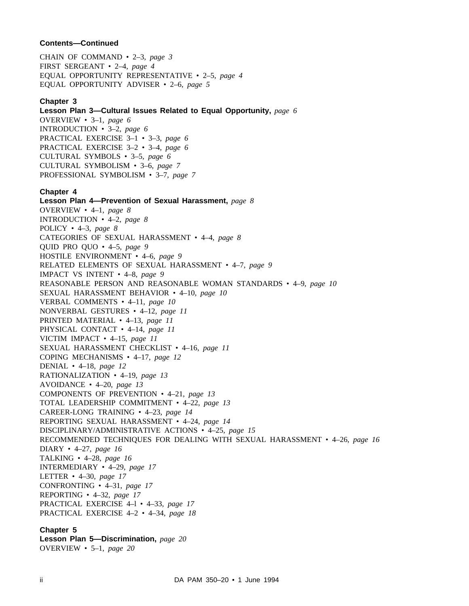CHAIN OF COMMAND • 2–3, *page 3* FIRST SERGEANT • 2–4, *page 4* EQUAL OPPORTUNITY REPRESENTATIVE • 2–5, *page 4* EQUAL OPPORTUNITY ADVISER • 2–6, *page 5*

# **Chapter 3**

**Lesson Plan 3—Cultural Issues Related to Equal Opportunity,** *page 6* OVERVIEW • 3–1, *page 6* INTRODUCTION • 3–2, *page 6* PRACTICAL EXERCISE 3–1 • 3–3, *page 6* PRACTICAL EXERCISE 3–2 • 3–4, *page 6* CULTURAL SYMBOLS • 3–5, *page 6* CULTURAL SYMBOLISM • 3–6, *page 7* PROFESSIONAL SYMBOLISM • 3–7, *page 7*

### **Chapter 4**

**Lesson Plan 4—Prevention of Sexual Harassment,** *page 8* OVERVIEW • 4–1, *page 8* INTRODUCTION • 4–2, *page 8* POLICY • 4–3, *page 8* CATEGORIES OF SEXUAL HARASSMENT • 4–4, *page 8* QUID PRO QUO • 4–5, *page 9* HOSTILE ENVIRONMENT • 4–6, *page 9* RELATED ELEMENTS OF SEXUAL HARASSMENT • 4–7, *page 9* IMPACT VS INTENT • 4–8, *page 9* REASONABLE PERSON AND REASONABLE WOMAN STANDARDS • 4–9, *page 10* SEXUAL HARASSMENT BEHAVIOR • 4–10, *page 10* VERBAL COMMENTS • 4–11, *page 10* NONVERBAL GESTURES • 4–12, *page 11* PRINTED MATERIAL • 4–13, *page 11* PHYSICAL CONTACT • 4–14, *page 11* VICTIM IMPACT • 4–15, *page 11* SEXUAL HARASSMENT CHECKLIST • 4–16, *page 11* COPING MECHANISMS • 4–17, *page 12* DENIAL • 4–18, *page 12* RATIONALIZATION • 4–19, *page 13* AVOIDANCE • 4–20, *page 13* COMPONENTS OF PREVENTION • 4–21, *page 13* TOTAL LEADERSHIP COMMITMENT • 4–22, *page 13* CAREER-LONG TRAINING • 4–23, *page 14* REPORTING SEXUAL HARASSMENT • 4–24, *page 14* DISCIPLINARY/ADMINISTRATIVE ACTIONS • 4–25, *page 15* RECOMMENDED TECHNIQUES FOR DEALING WITH SEXUAL HARASSMENT • 4–26, *page 16* DIARY • 4–27, *page 16* TALKING • 4–28, *page 16* INTERMEDIARY • 4–29, *page 17* LETTER • 4–30, *page 17* CONFRONTING • 4–31, *page 17* REPORTING • 4–32, *page 17* PRACTICAL EXERCISE 4–l • 4–33, *page 17* PRACTICAL EXERCISE 4–2 • 4–34, *page 18* **Chapter 5**

**Lesson Plan 5—Discrimination,** *page 20* OVERVIEW • 5–1, *page 20*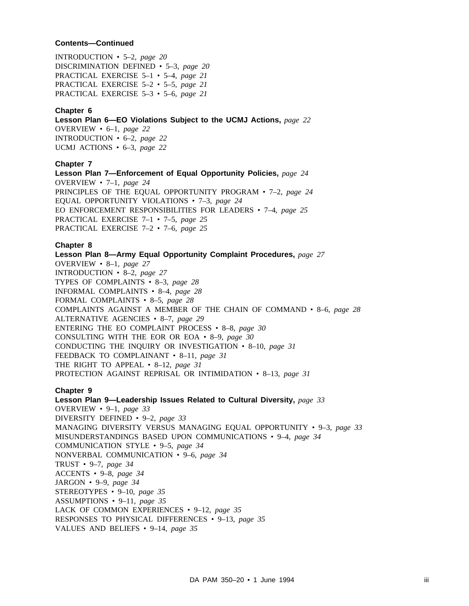INTRODUCTION • 5–2, *page 20* DISCRIMINATION DEFINED • 5–3, *page 20* PRACTICAL EXERCISE 5–1 • 5–4, *page 21* PRACTICAL EXERCISE 5–2 • 5–5, *page 21* PRACTICAL EXERCISE 5–3 • 5–6, *page 21*

# **Chapter 6**

**Lesson Plan 6—EO Violations Subject to the UCMJ Actions,** *page 22* OVERVIEW • 6–1, *page 22* INTRODUCTION • 6–2, *page 22* UCMJ ACTIONS • 6–3, *page 22*

# **Chapter 7**

**Lesson Plan 7—Enforcement of Equal Opportunity Policies,** *page 24* OVERVIEW • 7–1, *page 24* PRINCIPLES OF THE EQUAL OPPORTUNITY PROGRAM • 7–2, *page 24* EQUAL OPPORTUNITY VIOLATIONS • 7–3, *page 24* EO ENFORCEMENT RESPONSIBILITIES FOR LEADERS • 7–4, *page 25* PRACTICAL EXERCISE 7–1 • 7–5, *page 25* PRACTICAL EXERCISE 7–2 • 7–6, *page 25*

# **Chapter 8**

**Lesson Plan 8—Army Equal Opportunity Complaint Procedures,** *page 27* OVERVIEW • 8–1, *page 27* INTRODUCTION • 8–2, *page 27* TYPES OF COMPLAINTS • 8–3, *page 28* INFORMAL COMPLAINTS • 8–4, *page 28* FORMAL COMPLAINTS • 8–5, *page 28* COMPLAINTS AGAINST A MEMBER OF THE CHAIN OF COMMAND • 8–6, *page 28* ALTERNATIVE AGENCIES • 8–7, *page 29* ENTERING THE EO COMPLAINT PROCESS • 8–8, *page 30* CONSULTING WITH THE EOR OR EOA • 8–9, *page 30* CONDUCTING THE INQUIRY OR INVESTIGATION • 8–10, *page 31* FEEDBACK TO COMPLAINANT • 8–11, *page 31* THE RIGHT TO APPEAL • 8–12, *page 31* PROTECTION AGAINST REPRISAL OR INTIMIDATION • 8–13, *page 31*

# **Chapter 9**

**Lesson Plan 9—Leadership Issues Related to Cultural Diversity,** *page 33* OVERVIEW • 9–1, *page 33* DIVERSITY DEFINED • 9–2, *page 33* MANAGING DIVERSITY VERSUS MANAGING EQUAL OPPORTUNITY • 9–3, *page 33* MISUNDERSTANDINGS BASED UPON COMMUNICATIONS • 9–4, *page 34* COMMUNICATION STYLE • 9–5, *page 34* NONVERBAL COMMUNICATION • 9–6, *page 34* TRUST • 9–7, *page 34* ACCENTS • 9–8, *page 34* JARGON • 9–9, *page 34* STEREOTYPES • 9–10, *page 35* ASSUMPTIONS • 9–11, *page 35* LACK OF COMMON EXPERIENCES • 9–12, *page 35* RESPONSES TO PHYSICAL DIFFERENCES • 9–13, *page 35* VALUES AND BELIEFS • 9–14, *page 35*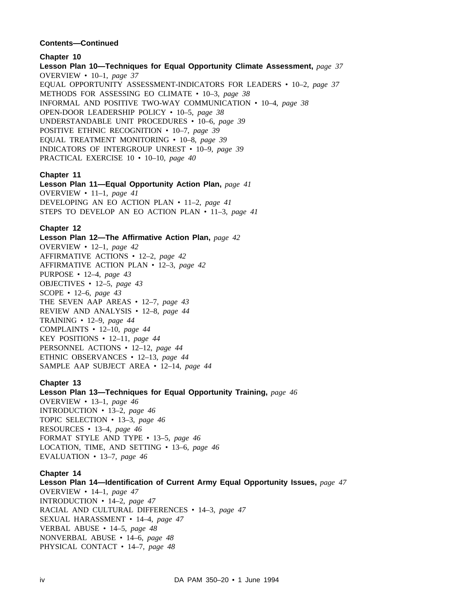**Chapter 10 Lesson Plan 10—Techniques for Equal Opportunity Climate Assessment,** *page 37* OVERVIEW • 10–1, *page 37* EQUAL OPPORTUNITY ASSESSMENT-INDICATORS FOR LEADERS • 10–2, *page 37* METHODS FOR ASSESSING EO CLIMATE • 10–3, *page 38* INFORMAL AND POSITIVE TWO-WAY COMMUNICATION • 10–4, *page 38* OPEN-DOOR LEADERSHIP POLICY • 10–5, *page 38* UNDERSTANDABLE UNIT PROCEDURES • 10–6, *page 39* POSITIVE ETHNIC RECOGNITION • 10–7, *page 39* EQUAL TREATMENT MONITORING • 10–8, *page 39* INDICATORS OF INTERGROUP UNREST • 10–9, *page 39* PRACTICAL EXERCISE 10 • 10–10, *page 40*

# **Chapter 11**

**Lesson Plan 11—Equal Opportunity Action Plan,** *page 41* OVERVIEW • 11–1, *page 41* DEVELOPING AN EO ACTION PLAN • 11–2, *page 41* STEPS TO DEVELOP AN EO ACTION PLAN • 11–3, *page 41*

# **Chapter 12**

**Lesson Plan 12—The Affirmative Action Plan,** *page 42* OVERVIEW • 12–1, *page 42* AFFIRMATIVE ACTIONS • 12–2, *page 42* AFFIRMATIVE ACTION PLAN • 12–3, *page 42* PURPOSE • 12–4, *page 43* OBJECTIVES • 12–5, *page 43* SCOPE • 12–6, *page 43* THE SEVEN AAP AREAS • 12–7, *page 43* REVIEW AND ANALYSIS • 12–8, *page 44* TRAINING • 12–9, *page 44* COMPLAINTS • 12–10, *page 44* KEY POSITIONS • 12–11, *page 44* PERSONNEL ACTIONS • 12–12, *page 44* ETHNIC OBSERVANCES • 12–13, *page 44* SAMPLE AAP SUBJECT AREA • 12–14, *page 44*

# **Chapter 13**

**Lesson Plan 13—Techniques for Equal Opportunity Training,** *page 46* OVERVIEW • 13–1, *page 46* INTRODUCTION • 13–2, *page 46* TOPIC SELECTION • 13–3, *page 46* RESOURCES • 13–4, *page 46* FORMAT STYLE AND TYPE • 13–5, *page 46* LOCATION, TIME, AND SETTING • 13–6, *page 46* EVALUATION • 13–7, *page 46*

# **Chapter 14**

**Lesson Plan 14—Identification of Current Army Equal Opportunity Issues,** *page 47* OVERVIEW • 14–1, *page 47* INTRODUCTION • 14–2, *page 47* RACIAL AND CULTURAL DIFFERENCES • 14–3, *page 47* SEXUAL HARASSMENT • 14–4, *page 47* VERBAL ABUSE • 14–5, *page 48* NONVERBAL ABUSE • 14–6, *page 48* PHYSICAL CONTACT • 14–7, *page 48*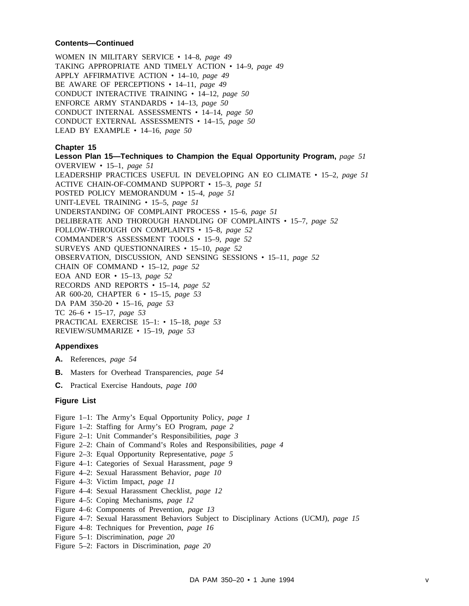WOMEN IN MILITARY SERVICE • 14–8, *page 49* TAKING APPROPRIATE AND TIMELY ACTION • 14–9, *page 49* APPLY AFFIRMATIVE ACTION • 14–10, *page 49* BE AWARE OF PERCEPTIONS • 14–11, *page 49* CONDUCT INTERACTIVE TRAINING • 14–12, *page 50* ENFORCE ARMY STANDARDS • 14–13, *page 50* CONDUCT INTERNAL ASSESSMENTS • 14–14, *page 50* CONDUCT EXTERNAL ASSESSMENTS • 14–15, *page 50* LEAD BY EXAMPLE • 14–16, *page 50*

# **Chapter 15**

**Lesson Plan 15—Techniques to Champion the Equal Opportunity Program,** *page 51* OVERVIEW • 15–1, *page 51* LEADERSHIP PRACTICES USEFUL IN DEVELOPING AN EO CLIMATE • 15–2, *page 51* ACTIVE CHAIN-OF-COMMAND SUPPORT • 15–3, *page 51* POSTED POLICY MEMORANDUM • 15–4, *page 51* UNIT-LEVEL TRAINING • 15–5, *page 51* UNDERSTANDING OF COMPLAINT PROCESS • 15–6, *page 51* DELIBERATE AND THOROUGH HANDLING OF COMPLAINTS • 15–7, *page 52* FOLLOW-THROUGH ON COMPLAINTS • 15–8, *page 52* COMMANDER'S ASSESSMENT TOOLS • 15–9, *page 52* SURVEYS AND QUESTIONNAIRES • 15–10, *page 52* OBSERVATION, DISCUSSION, AND SENSING SESSIONS • 15–11, *page 52* CHAIN OF COMMAND • 15–12, *page 52* EOA AND EOR • 15–13, *page 52* RECORDS AND REPORTS • 15–14, *page 52* AR 600-20, CHAPTER 6 • 15–15, *page 53* DA PAM 350-20 • 15–16, *page 53* TC 26–6 • 15–17, *page 53* PRACTICAL EXERCISE 15–1: • 15–18, *page 53* REVIEW/SUMMARIZE • 15–19, *page 53*

# **Appendixes**

- **A.** References, *page 54*
- **B.** Masters for Overhead Transparencies, *page 54*
- **C.** Practical Exercise Handouts, *page 100*

# **Figure List**

- Figure 1–1: The Army's Equal Opportunity Policy, *page 1*
- Figure 1–2: Staffing for Army's EO Program, *page 2*
- Figure 2–1: Unit Commander's Responsibilities, *page 3*
- Figure 2–2: Chain of Command's Roles and Responsibilities, *page 4*
- Figure 2–3: Equal Opportunity Representative, *page 5*
- Figure 4–1: Categories of Sexual Harassment, *page 9*
- Figure 4–2: Sexual Harassment Behavior, *page 10*
- Figure 4–3: Victim Impact, *page 11*
- Figure 4–4: Sexual Harassment Checklist, *page 12*
- Figure 4–5: Coping Mechanisms, *page 12*
- Figure 4–6: Components of Prevention, *page 13*
- Figure 4–7: Sexual Harassment Behaviors Subject to Disciplinary Actions (UCMJ), *page 15*
- Figure 4–8: Techniques for Prevention, *page 16*
- Figure 5–1: Discrimination, *page 20*
- Figure 5–2: Factors in Discrimination, *page 20*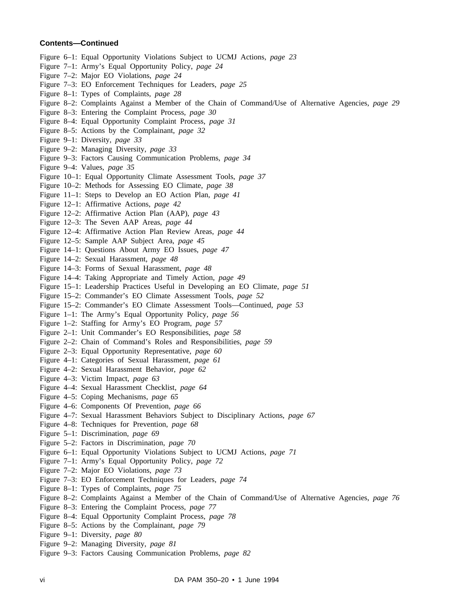- Figure 6–1: Equal Opportunity Violations Subject to UCMJ Actions, *page 23*
- Figure 7–1: Army's Equal Opportunity Policy, *page 24*
- Figure 7–2: Major EO Violations, *page 24*
- Figure 7–3: EO Enforcement Techniques for Leaders, *page 25*
- Figure 8–1: Types of Complaints, *page 28*
- Figure 8–2: Complaints Against a Member of the Chain of Command/Use of Alternative Agencies, *page 29*
- Figure 8–3: Entering the Complaint Process, *page 30*
- Figure 8–4: Equal Opportunity Complaint Process, *page 31*
- Figure 8–5: Actions by the Complainant, *page 32*
- Figure 9–1: Diversity, *page 33*
- Figure 9–2: Managing Diversity, *page 33*
- Figure 9–3: Factors Causing Communication Problems, *page 34*
- Figure 9–4: Values, *page 35*
- Figure 10–1: Equal Opportunity Climate Assessment Tools, *page 37*
- Figure 10–2: Methods for Assessing EO Climate, *page 38*
- Figure 11–1: Steps to Develop an EO Action Plan, *page 41*
- Figure 12–1: Affirmative Actions, *page 42*
- Figure 12–2: Affirmative Action Plan (AAP), *page 43*
- Figure 12–3: The Seven AAP Areas, *page 44*
- Figure 12–4: Affirmative Action Plan Review Areas, *page 44*
- Figure 12–5: Sample AAP Subject Area, *page 45*
- Figure 14–1: Questions About Army EO Issues, *page 47*
- Figure 14–2: Sexual Harassment, *page 48*
- Figure 14–3: Forms of Sexual Harassment, *page 48*
- Figure 14–4: Taking Appropriate and Timely Action, *page 49*
- Figure 15–1: Leadership Practices Useful in Developing an EO Climate, *page 51*
- Figure 15–2: Commander's EO Climate Assessment Tools, *page 52*
- Figure 15–2: Commander's EO Climate Assessment Tools—Continued, *page 53*
- Figure 1–1: The Army's Equal Opportunity Policy, *page 56*
- Figure 1–2: Staffing for Army's EO Program, *page 57*
- Figure 2–1: Unit Commander's EO Responsibilities, *page 58*
- Figure 2–2: Chain of Command's Roles and Responsibilities, *page 59*
- Figure 2–3: Equal Opportunity Representative, *page 60*
- Figure 4–1: Categories of Sexual Harassment, *page 61*
- Figure 4–2: Sexual Harassment Behavior, *page 62*
- Figure 4–3: Victim Impact, *page 63*
- Figure 4–4: Sexual Harassment Checklist, *page 64*
- Figure 4–5: Coping Mechanisms, *page 65*
- Figure 4–6: Components Of Prevention, *page 66*
- Figure 4–7: Sexual Harassment Behaviors Subject to Disciplinary Actions, *page 67*
- Figure 4–8: Techniques for Prevention, *page 68*
- Figure 5–1: Discrimination, *page 69*
- Figure 5–2: Factors in Discrimination, *page 70*
- Figure 6–1: Equal Opportunity Violations Subject to UCMJ Actions, *page 71*
- Figure 7–1: Army's Equal Opportunity Policy, *page 72*
- Figure 7–2: Major EO Violations, *page 73*
- Figure 7–3: EO Enforcement Techniques for Leaders, *page 74*
- Figure 8–1: Types of Complaints, *page 75*
- Figure 8–2: Complaints Against a Member of the Chain of Command/Use of Alternative Agencies, *page 76*
- Figure 8–3: Entering the Complaint Process, *page 77*
- Figure 8–4: Equal Opportunity Complaint Process, *page 78*
- Figure 8–5: Actions by the Complainant, *page 79*
- Figure 9–1: Diversity, *page 80*
- Figure 9–2: Managing Diversity, *page 81*
- Figure 9–3: Factors Causing Communication Problems, *page 82*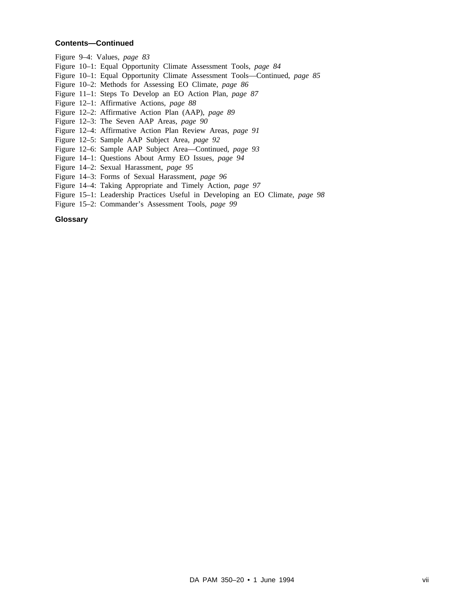Figure 9–4: Values, *page 83*

- Figure 10–1: Equal Opportunity Climate Assessment Tools, *page 84*
- Figure 10–1: Equal Opportunity Climate Assessment Tools—Continued, *page 85*
- Figure 10–2: Methods for Assessing EO Climate, *page 86*
- Figure 11–1: Steps To Develop an EO Action Plan, *page 87*
- Figure 12–1: Affirmative Actions, *page 88*
- Figure 12–2: Affirmative Action Plan (AAP), *page 89*
- Figure 12–3: The Seven AAP Areas, *page 90*
- Figure 12–4: Affirmative Action Plan Review Areas, *page 91*
- Figure 12–5: Sample AAP Subject Area, *page 92*
- Figure 12–6: Sample AAP Subject Area—Continued, *page 93*
- Figure 14–1: Questions About Army EO Issues, *page 94*
- Figure 14–2: Sexual Harassment, *page 95*
- Figure 14–3: Forms of Sexual Harassment, *page 96*
- Figure 14–4: Taking Appropriate and Timely Action, *page 97*
- Figure 15–1: Leadership Practices Useful in Developing an EO Climate, *page 98*
- Figure 15–2: Commander's Assessment Tools, *page 99*

# **Glossary**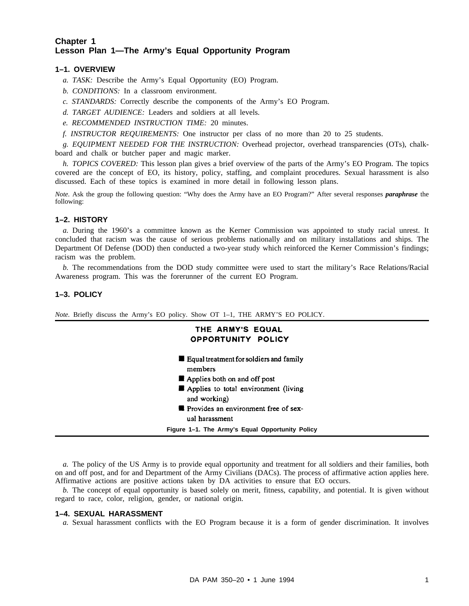# **Chapter 1 Lesson Plan 1—The Army's Equal Opportunity Program**

# **1–1. OVERVIEW**

- *a. TASK:* Describe the Army's Equal Opportunity (EO) Program.
- *b. CONDITIONS:* In a classroom environment.
- *c. STANDARDS:* Correctly describe the components of the Army's EO Program.
- *d. TARGET AUDIENCE:* Leaders and soldiers at all levels.
- *e. RECOMMENDED INSTRUCTION TIME:* 20 minutes.
- *f. INSTRUCTOR REQUIREMENTS:* One instructor per class of no more than 20 to 25 students.

*g. EQUIPMENT NEEDED FOR THE INSTRUCTION:* Overhead projector, overhead transparencies (OTs), chalkboard and chalk or butcher paper and magic marker.

*h. TOPICS COVERED:* This lesson plan gives a brief overview of the parts of the Army's EO Program. The topics covered are the concept of EO, its history, policy, staffing, and complaint procedures. Sexual harassment is also discussed. Each of these topics is examined in more detail in following lesson plans.

*Note.* Ask the group the following question: "Why does the Army have an EO Program?" After several responses *paraphrase* the following:

# **1–2. HISTORY**

*a.* During the 1960's a committee known as the Kerner Commission was appointed to study racial unrest. It concluded that racism was the cause of serious problems nationally and on military installations and ships. The Department Of Defense (DOD) then conducted a two-year study which reinforced the Kerner Commission's findings; racism was the problem.

*b.* The recommendations from the DOD study committee were used to start the military's Race Relations/Racial Awareness program. This was the forerunner of the current EO Program.

# **1–3. POLICY**

*Note.* Briefly discuss the Army's EO policy. Show OT 1–1, THE ARMY'S EO POLICY.

| THE ARMY'S EQUAL<br>OPPORTUNITY POLICY                                                                                                                                                                                                      |
|---------------------------------------------------------------------------------------------------------------------------------------------------------------------------------------------------------------------------------------------|
| <b>Example 1</b> Equal treatment for soldiers and family<br>members<br>$\blacksquare$ Applies both on and off post<br>Applies to total environment (living<br>and working)<br><b>Provides an environment free of sex-</b><br>ual harassment |
| Figure 1–1. The Army's Equal Opportunity Policy                                                                                                                                                                                             |

*a.* The policy of the US Army is to provide equal opportunity and treatment for all soldiers and their families, both on and off post, and for and Department of the Army Civilians (DACs). The process of affirmative action applies here. Affirmative actions are positive actions taken by DA activities to ensure that EO occurs.

*b.* The concept of equal opportunity is based solely on merit, fitness, capability, and potential. It is given without regard to race, color, religion, gender, or national origin.

# **1–4. SEXUAL HARASSMENT**

*a.* Sexual harassment conflicts with the EO Program because it is a form of gender discrimination. It involves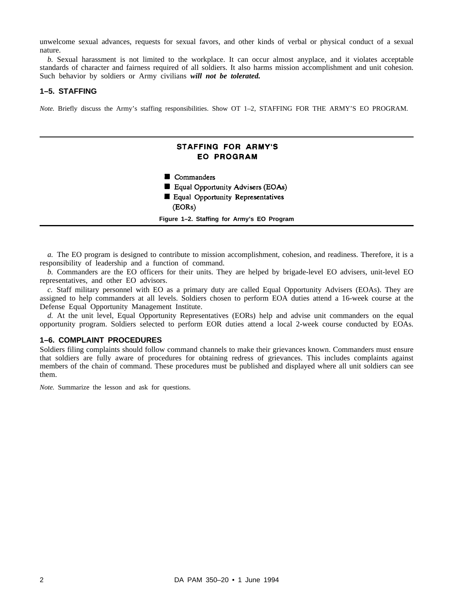unwelcome sexual advances, requests for sexual favors, and other kinds of verbal or physical conduct of a sexual nature.

*b.* Sexual harassment is not limited to the workplace. It can occur almost anyplace, and it violates acceptable standards of character and fairness required of all soldiers. It also harms mission accomplishment and unit cohesion. Such behavior by soldiers or Army civilians *will not be tolerated.*

### **1–5. STAFFING**

*Note.* Briefly discuss the Army's staffing responsibilities. Show OT 1–2, STAFFING FOR THE ARMY'S EO PROGRAM.



*a.* The EO program is designed to contribute to mission accomplishment, cohesion, and readiness. Therefore, it is a responsibility of leadership and a function of command.

*b.* Commanders are the EO officers for their units. They are helped by brigade-level EO advisers, unit-level EO representatives, and other EO advisors.

*c.* Staff military personnel with EO as a primary duty are called Equal Opportunity Advisers (EOAs). They are assigned to help commanders at all levels. Soldiers chosen to perform EOA duties attend a 16-week course at the Defense Equal Opportunity Management Institute.

*d.* At the unit level, Equal Opportunity Representatives (EORs) help and advise unit commanders on the equal opportunity program. Soldiers selected to perform EOR duties attend a local 2-week course conducted by EOAs.

### **1–6. COMPLAINT PROCEDURES**

Soldiers filing complaints should follow command channels to make their grievances known. Commanders must ensure that soldiers are fully aware of procedures for obtaining redress of grievances. This includes complaints against members of the chain of command. These procedures must be published and displayed where all unit soldiers can see them.

*Note.* Summarize the lesson and ask for questions.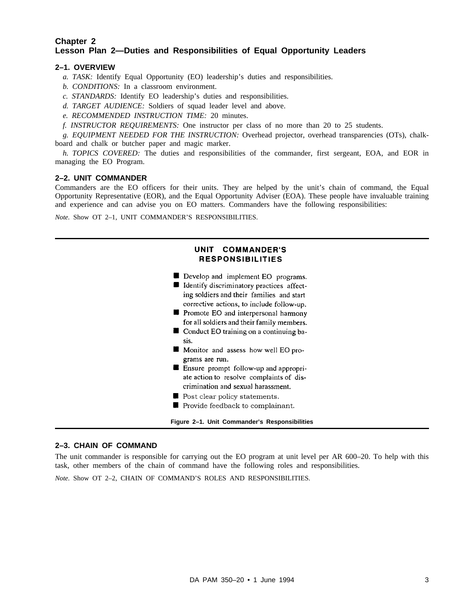# **Chapter 2 Lesson Plan 2—Duties and Responsibilities of Equal Opportunity Leaders**

# **2–1. OVERVIEW**

- *a. TASK:* Identify Equal Opportunity (EO) leadership's duties and responsibilities.
- *b. CONDITIONS:* In a classroom environment.
- *c. STANDARDS:* Identify EO leadership's duties and responsibilities.
- *d. TARGET AUDIENCE:* Soldiers of squad leader level and above.
- *e. RECOMMENDED INSTRUCTION TIME:* 20 minutes.
- *f. INSTRUCTOR REQUIREMENTS:* One instructor per class of no more than 20 to 25 students.

*g. EQUIPMENT NEEDED FOR THE INSTRUCTION:* Overhead projector, overhead transparencies (OTs), chalkboard and chalk or butcher paper and magic marker.

*h. TOPICS COVERED:* The duties and responsibilities of the commander, first sergeant, EOA, and EOR in managing the EO Program.

# **2–2. UNIT COMMANDER**

Commanders are the EO officers for their units. They are helped by the unit's chain of command, the Equal Opportunity Representative (EOR), and the Equal Opportunity Adviser (EOA). These people have invaluable training and experience and can advise you on EO matters. Commanders have the following responsibilities:

*Note.* Show OT 2–1, UNIT COMMANDER'S RESPONSIBILITIES.

# UNIT COMMANDER'S **RESPONSIBILITIES**

- Develop and implement EO programs.
- Identify discriminatory practices affecting soldiers and their families and start corrective actions, to include follow-up.
- **Promote EO** and interpersonal harmony for all soldiers and their family members.
- Conduct EO training on a continuing basis.
- Monitor and assess how well EO programs are run.
- **E** Ensure prompt follow-up and appropriate action to resolve complaints of discrimination and sexual harassment.
- Post clear policy statements.
- Provide feedback to complainant.

**Figure 2–1. Unit Commander's Responsibilities**

# **2–3. CHAIN OF COMMAND**

The unit commander is responsible for carrying out the EO program at unit level per AR 600–20. To help with this task, other members of the chain of command have the following roles and responsibilities.

*Note.* Show OT 2–2, CHAIN OF COMMAND'S ROLES AND RESPONSIBILITIES.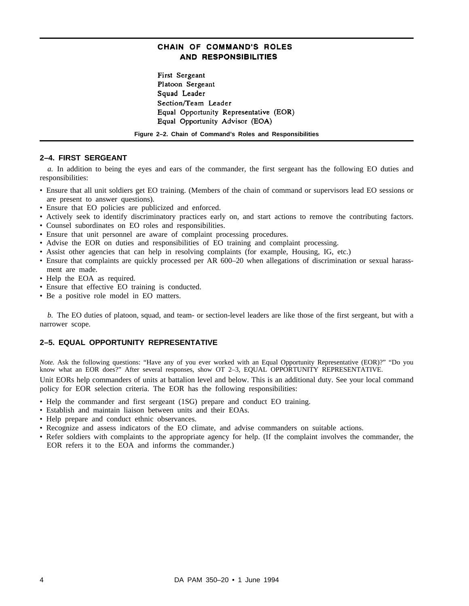# CHAIN OF COMMAND'S ROLES **AND RESPONSIBILITIES**

First Sergeant Platoon Sergeant Squad Leader Section/Team Leader Equal Opportunity Representative (EOR) Equal Opportunity Advisor (EOA)

**Figure 2–2. Chain of Command's Roles and Responsibilities**

# **2–4. FIRST SERGEANT**

*a.* In addition to being the eyes and ears of the commander, the first sergeant has the following EO duties and responsibilities:

- Ensure that all unit soldiers get EO training. (Members of the chain of command or supervisors lead EO sessions or are present to answer questions).
- Ensure that EO policies are publicized and enforced.
- Actively seek to identify discriminatory practices early on, and start actions to remove the contributing factors.
- Counsel subordinates on EO roles and responsibilities.
- Ensure that unit personnel are aware of complaint processing procedures.
- Advise the EOR on duties and responsibilities of EO training and complaint processing.
- Assist other agencies that can help in resolving complaints (for example, Housing, IG, etc.)
- Ensure that complaints are quickly processed per AR 600–20 when allegations of discrimination or sexual harassment are made.
- Help the EOA as required.
- Ensure that effective EO training is conducted.
- Be a positive role model in EO matters.

*b.* The EO duties of platoon, squad, and team- or section-level leaders are like those of the first sergeant, but with a narrower scope.

# **2–5. EQUAL OPPORTUNITY REPRESENTATIVE**

*Note.* Ask the following questions: "Have any of you ever worked with an Equal Opportunity Representative (EOR)?" "Do you know what an EOR does?" After several responses, show OT 2-3, EQUAL OPPORTUNITY REPRESENTATIVE.

Unit EORs help commanders of units at battalion level and below. This is an additional duty. See your local command policy for EOR selection criteria. The EOR has the following responsibilities:

- Help the commander and first sergeant (1SG) prepare and conduct EO training.
- Establish and maintain liaison between units and their EOAs.
- Help prepare and conduct ethnic observances.
- Recognize and assess indicators of the EO climate, and advise commanders on suitable actions.
- Refer soldiers with complaints to the appropriate agency for help. (If the complaint involves the commander, the EOR refers it to the EOA and informs the commander.)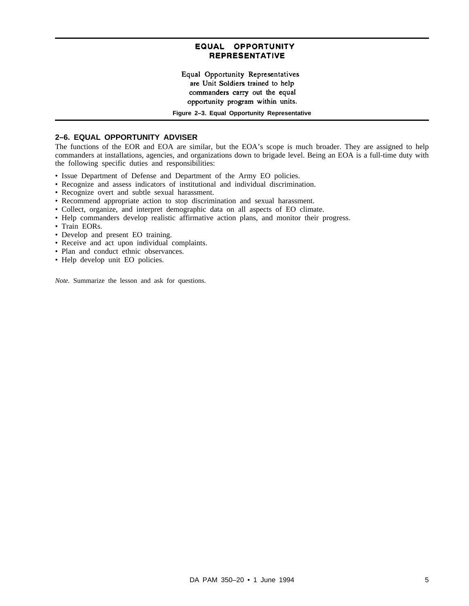# EQUAL OPPORTUNITY **REPRESENTATIVE**

Equal Opportunity Representatives are Unit Soldiers trained to help commanders carry out the equal opportunity program within units.

**Figure 2–3. Equal Opportunity Representative**

### **2–6. EQUAL OPPORTUNITY ADVISER**

The functions of the EOR and EOA are similar, but the EOA's scope is much broader. They are assigned to help commanders at installations, agencies, and organizations down to brigade level. Being an EOA is a full-time duty with the following specific duties and responsibilities:

- Issue Department of Defense and Department of the Army EO policies.
- Recognize and assess indicators of institutional and individual discrimination.
- Recognize overt and subtle sexual harassment.
- Recommend appropriate action to stop discrimination and sexual harassment.
- Collect, organize, and interpret demographic data on all aspects of EO climate.
- Help commanders develop realistic affirmative action plans, and monitor their progress.
- Train EORs.
- Develop and present EO training.
- Receive and act upon individual complaints.
- Plan and conduct ethnic observances.
- Help develop unit EO policies.

*Note.* Summarize the lesson and ask for questions.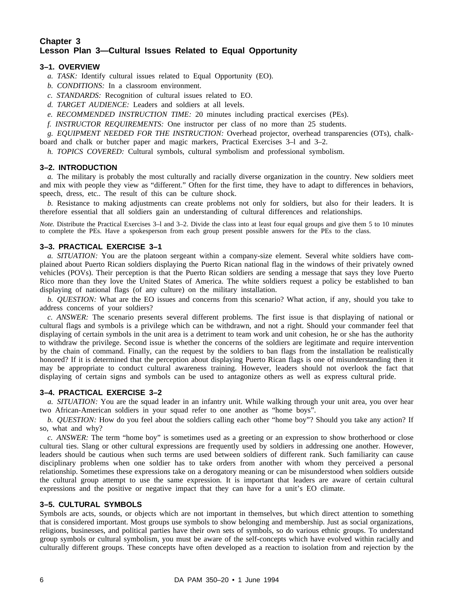# **Chapter 3 Lesson Plan 3—Cultural Issues Related to Equal Opportunity**

# **3–1. OVERVIEW**

- *a. TASK:* Identify cultural issues related to Equal Opportunity (EO).
- *b. CONDITIONS:* In a classroom environment.
- *c. STANDARDS:* Recognition of cultural issues related to EO.
- *d. TARGET AUDIENCE:* Leaders and soldiers at all levels.
- *e. RECOMMENDED INSTRUCTION TIME:* 20 minutes including practical exercises (PEs).
- *f. INSTRUCTOR REQUIREMENTS:* One instructor per class of no more than 25 students.

*g. EQUIPMENT NEEDED FOR THE INSTRUCTION:* Overhead projector, overhead transparencies (OTs), chalkboard and chalk or butcher paper and magic markers, Practical Exercises 3–l and 3–2.

*h. TOPICS COVERED:* Cultural symbols, cultural symbolism and professional symbolism.

# **3–2. INTRODUCTION**

*a.* The military is probably the most culturally and racially diverse organization in the country. New soldiers meet and mix with people they view as "different." Often for the first time, they have to adapt to differences in behaviors, speech, dress, etc.. The result of this can be culture shock.

*b.* Resistance to making adjustments can create problems not only for soldiers, but also for their leaders. It is therefore essential that all soldiers gain an understanding of cultural differences and relationships.

*Note.* Distribute the Practical Exercises 3–1 and 3–2. Divide the class into at least four equal groups and give them 5 to 10 minutes to complete the PEs. Have a spokesperson from each group present possible answers for the PEs to the class.

# **3–3. PRACTICAL EXERCISE 3–1**

*a. SITUATION:* You are the platoon sergeant within a company-size element. Several white soldiers have complained about Puerto Rican soldiers displaying the Puerto Rican national flag in the windows of their privately owned vehicles (POVs). Their perception is that the Puerto Rican soldiers are sending a message that says they love Puerto Rico more than they love the United States of America. The white soldiers request a policy be established to ban displaying of national flags (of any culture) on the military installation.

*b. QUESTION:* What are the EO issues and concerns from this scenario? What action, if any, should you take to address concerns of your soldiers?

*c. ANSWER:* The scenario presents several different problems. The first issue is that displaying of national or cultural flags and symbols is a privilege which can be withdrawn, and not a right. Should your commander feel that displaying of certain symbols in the unit area is a detriment to team work and unit cohesion, he or she has the authority to withdraw the privilege. Second issue is whether the concerns of the soldiers are legitimate and require intervention by the chain of command. Finally, can the request by the soldiers to ban flags from the installation be realistically honored? If it is determined that the perception about displaying Puerto Rican flags is one of misunderstanding then it may be appropriate to conduct cultural awareness training. However, leaders should not overlook the fact that displaying of certain signs and symbols can be used to antagonize others as well as express cultural pride.

# **3–4. PRACTICAL EXERCISE 3–2**

*a. SITUATION:* You are the squad leader in an infantry unit. While walking through your unit area, you over hear two African-American soldiers in your squad refer to one another as "home boys".

*b. QUESTION:* How do you feel about the soldiers calling each other "home boy"? Should you take any action? If so, what and why?

*c. ANSWER:* The term "home boy" is sometimes used as a greeting or an expression to show brotherhood or close cultural ties. Slang or other cultural expressions are frequently used by soldiers in addressing one another. However, leaders should be cautious when such terms are used between soldiers of different rank. Such familiarity can cause disciplinary problems when one soldier has to take orders from another with whom they perceived a personal relationship. Sometimes these expressions take on a derogatory meaning or can be misunderstood when soldiers outside the cultural group attempt to use the same expression. It is important that leaders are aware of certain cultural expressions and the positive or negative impact that they can have for a unit's EO climate.

# **3–5. CULTURAL SYMBOLS**

Symbols are acts, sounds, or objects which are not important in themselves, but which direct attention to something that is considered important. Most groups use symbols to show belonging and membership. Just as social organizations, religions, businesses, and political parties have their own sets of symbols, so do various ethnic groups. To understand group symbols or cultural symbolism, you must be aware of the self-concepts which have evolved within racially and culturally different groups. These concepts have often developed as a reaction to isolation from and rejection by the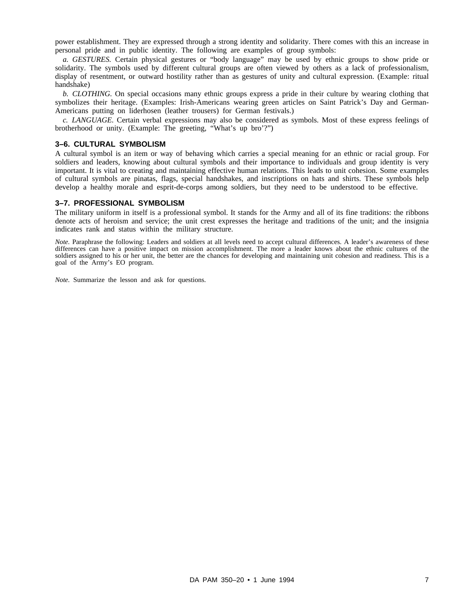power establishment. They are expressed through a strong identity and solidarity. There comes with this an increase in personal pride and in public identity. The following are examples of group symbols:

*a. GESTURES.* Certain physical gestures or "body language" may be used by ethnic groups to show pride or solidarity. The symbols used by different cultural groups are often viewed by others as a lack of professionalism, display of resentment, or outward hostility rather than as gestures of unity and cultural expression. (Example: ritual handshake)

*b. CLOTHING.* On special occasions many ethnic groups express a pride in their culture by wearing clothing that symbolizes their heritage. (Examples: Irish-Americans wearing green articles on Saint Patrick's Day and German-Americans putting on liderhosen (leather trousers) for German festivals.)

*c. LANGUAGE.* Certain verbal expressions may also be considered as symbols. Most of these express feelings of brotherhood or unity. (Example: The greeting, "What's up bro'?")

### **3–6. CULTURAL SYMBOLISM**

A cultural symbol is an item or way of behaving which carries a special meaning for an ethnic or racial group. For soldiers and leaders, knowing about cultural symbols and their importance to individuals and group identity is very important. It is vital to creating and maintaining effective human relations. This leads to unit cohesion. Some examples of cultural symbols are pinatas, flags, special handshakes, and inscriptions on hats and shirts. These symbols help develop a healthy morale and esprit-de-corps among soldiers, but they need to be understood to be effective.

### **3–7. PROFESSIONAL SYMBOLISM**

The military uniform in itself is a professional symbol. It stands for the Army and all of its fine traditions: the ribbons denote acts of heroism and service; the unit crest expresses the heritage and traditions of the unit; and the insignia indicates rank and status within the military structure.

*Note.* Paraphrase the following: Leaders and soldiers at all levels need to accept cultural differences. A leader's awareness of these differences can have a positive impact on mission accomplishment. The more a leader knows about the ethnic cultures of the soldiers assigned to his or her unit, the better are the chances for developing and maintaining unit cohesion and readiness. This is a goal of the Army's EO program.

*Note.* Summarize the lesson and ask for questions.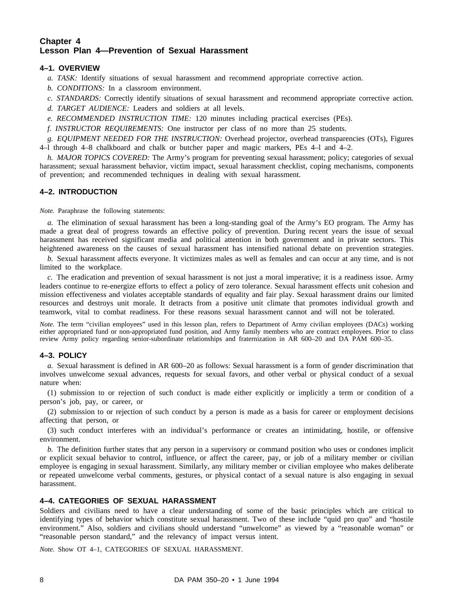# **Chapter 4 Lesson Plan 4—Prevention of Sexual Harassment**

# **4–1. OVERVIEW**

- *a. TASK:* Identify situations of sexual harassment and recommend appropriate corrective action.
- *b. CONDITIONS:* In a classroom environment.
- *c. STANDARDS:* Correctly identify situations of sexual harassment and recommend appropriate corrective action.
- *d. TARGET AUDIENCE:* Leaders and soldiers at all levels.
- *e. RECOMMENDED INSTRUCTION TIME:* 120 minutes including practical exercises (PEs).

*f. INSTRUCTOR REQUIREMENTS:* One instructor per class of no more than 25 students.

*g. EQUIPMENT NEEDED FOR THE INSTRUCTION:* Overhead projector, overhead transparencies (OTs), Figures 4–l through 4–8 chalkboard and chalk or butcher paper and magic markers, PEs 4–l and 4–2.

*h. MAJOR TOPICS COVERED:* The Army's program for preventing sexual harassment; policy; categories of sexual harassment; sexual harassment behavior, victim impact, sexual harassment checklist, coping mechanisms, components of prevention; and recommended techniques in dealing with sexual harassment.

# **4–2. INTRODUCTION**

*Note.* Paraphrase the following statements:

*a.* The elimination of sexual harassment has been a long-standing goal of the Army's EO program. The Army has made a great deal of progress towards an effective policy of prevention. During recent years the issue of sexual harassment has received significant media and political attention in both government and in private sectors. This heightened awareness on the causes of sexual harassment has intensified national debate on prevention strategies.

*b.* Sexual harassment affects everyone. It victimizes males as well as females and can occur at any time, and is not limited to the workplace.

*c.* The eradication and prevention of sexual harassment is not just a moral imperative; it is a readiness issue. Army leaders continue to re-energize efforts to effect a policy of zero tolerance. Sexual harassment effects unit cohesion and mission effectiveness and violates acceptable standards of equality and fair play. Sexual harassment drains our limited resources and destroys unit morale. It detracts from a positive unit climate that promotes individual growth and teamwork, vital to combat readiness. For these reasons sexual harassment cannot and will not be tolerated.

*Note.* The term "civilian employees" used in this lesson plan, refers to Department of Army civilian employees (DACs) working either appropriated fund or non-appropriated fund position, and Army family members who are contract employees. Prior to class review Army policy regarding senior-subordinate relationships and fraternization in AR 600–20 and DA PAM 600–35.

# **4–3. POLICY**

*a.* Sexual harassment is defined in AR 600–20 as follows: Sexual harassment is a form of gender discrimination that involves unwelcome sexual advances, requests for sexual favors, and other verbal or physical conduct of a sexual nature when:

(1) submission to or rejection of such conduct is made either explicitly or implicitly a term or condition of a person's job, pay, or career, or

(2) submission to or rejection of such conduct by a person is made as a basis for career or employment decisions affecting that person, or

(3) such conduct interferes with an individual's performance or creates an intimidating, hostile, or offensive environment.

*b.* The definition further states that any person in a supervisory or command position who uses or condones implicit or explicit sexual behavior to control, influence, or affect the career, pay, or job of a military member or civilian employee is engaging in sexual harassment. Similarly, any military member or civilian employee who makes deliberate or repeated unwelcome verbal comments, gestures, or physical contact of a sexual nature is also engaging in sexual harassment.

# **4–4. CATEGORIES OF SEXUAL HARASSMENT**

Soldiers and civilians need to have a clear understanding of some of the basic principles which are critical to identifying types of behavior which constitute sexual harassment. Two of these include "quid pro quo" and "hostile environment." Also, soldiers and civilians should understand "unwelcome" as viewed by a "reasonable woman" or "reasonable person standard," and the relevancy of impact versus intent.

*Note.* Show OT 4–1, CATEGORIES OF SEXUAL HARASSMENT.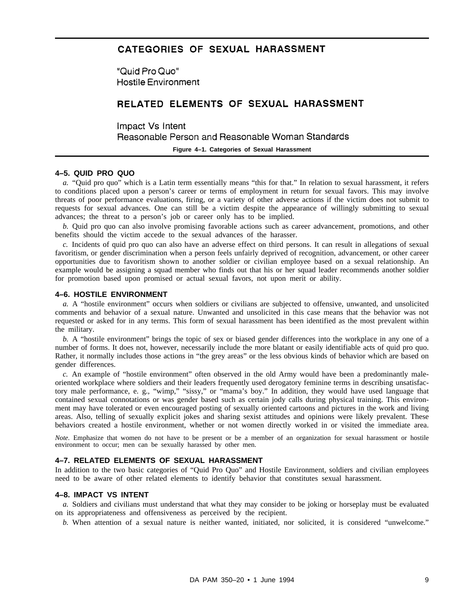# CATEGORIES OF SEXUAL HARASSMENT

"Quid Pro Quo" **Hostile Environment** 

# RELATED ELEMENTS OF SEXUAL HARASSMENT

Impact Vs Intent Reasonable Person and Reasonable Woman Standards

# **Figure 4–1. Categories of Sexual Harassment**

### **4–5. QUID PRO QUO**

*a.* "Quid pro quo" which is a Latin term essentially means "this for that." In relation to sexual harassment, it refers to conditions placed upon a person's career or terms of employment in return for sexual favors. This may involve threats of poor performance evaluations, firing, or a variety of other adverse actions if the victim does not submit to requests for sexual advances. One can still be a victim despite the appearance of willingly submitting to sexual advances; the threat to a person's job or career only has to be implied.

*b.* Quid pro quo can also involve promising favorable actions such as career advancement, promotions, and other benefits should the victim accede to the sexual advances of the harasser.

*c.* Incidents of quid pro quo can also have an adverse effect on third persons. It can result in allegations of sexual favoritism, or gender discrimination when a person feels unfairly deprived of recognition, advancement, or other career opportunities due to favoritism shown to another soldier or civilian employee based on a sexual relationship. An example would be assigning a squad member who finds out that his or her squad leader recommends another soldier for promotion based upon promised or actual sexual favors, not upon merit or ability.

# **4–6. HOSTILE ENVIRONMENT**

*a.* A "hostile environment" occurs when soldiers or civilians are subjected to offensive, unwanted, and unsolicited comments and behavior of a sexual nature. Unwanted and unsolicited in this case means that the behavior was not requested or asked for in any terms. This form of sexual harassment has been identified as the most prevalent within the military.

*b.* A "hostile environment" brings the topic of sex or biased gender differences into the workplace in any one of a number of forms. It does not, however, necessarily include the more blatant or easily identifiable acts of quid pro quo. Rather, it normally includes those actions in "the grey areas" or the less obvious kinds of behavior which are based on gender differences.

*c.* An example of "hostile environment" often observed in the old Army would have been a predominantly maleoriented workplace where soldiers and their leaders frequently used derogatory feminine terms in describing unsatisfactory male performance, e. g., "wimp," "sissy," or "mama's boy." In addition, they would have used language that contained sexual connotations or was gender based such as certain jody calls during physical training. This environment may have tolerated or even encouraged posting of sexually oriented cartoons and pictures in the work and living areas. Also, telling of sexually explicit jokes and sharing sexist attitudes and opinions were likely prevalent. These behaviors created a hostile environment, whether or not women directly worked in or visited the immediate area.

*Note.* Emphasize that women do not have to be present or be a member of an organization for sexual harassment or hostile environment to occur; men can be sexually harassed by other men.

# **4–7. RELATED ELEMENTS OF SEXUAL HARASSMENT**

In addition to the two basic categories of "Quid Pro Quo" and Hostile Environment, soldiers and civilian employees need to be aware of other related elements to identify behavior that constitutes sexual harassment.

### **4–8. IMPACT VS INTENT**

*a.* Soldiers and civilians must understand that what they may consider to be joking or horseplay must be evaluated on its appropriateness and offensiveness as perceived by the recipient.

*b.* When attention of a sexual nature is neither wanted, initiated, nor solicited, it is considered "unwelcome."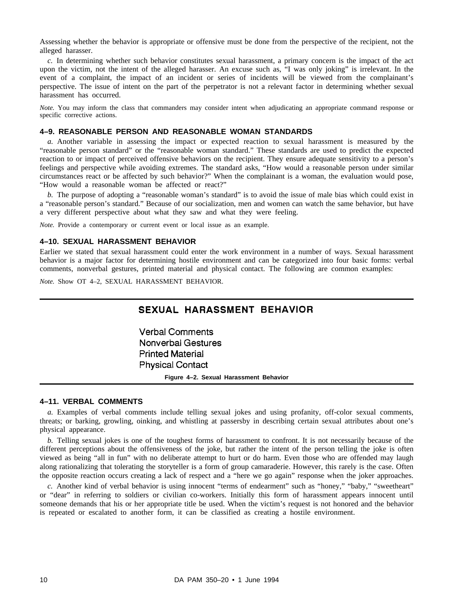Assessing whether the behavior is appropriate or offensive must be done from the perspective of the recipient, not the alleged harasser.

*c.* In determining whether such behavior constitutes sexual harassment, a primary concern is the impact of the act upon the victim, not the intent of the alleged harasser. An excuse such as, "I was only joking" is irrelevant. In the event of a complaint, the impact of an incident or series of incidents will be viewed from the complainant's perspective. The issue of intent on the part of the perpetrator is not a relevant factor in determining whether sexual harassment has occurred.

*Note.* You may inform the class that commanders may consider intent when adjudicating an appropriate command response or specific corrective actions.

# **4–9. REASONABLE PERSON AND REASONABLE WOMAN STANDARDS**

*a*. Another variable in assessing the impact or expected reaction to sexual harassment is measured by the "reasonable person standard" or the "reasonable woman standard." These standards are used to predict the expected reaction to or impact of perceived offensive behaviors on the recipient. They ensure adequate sensitivity to a person's feelings and perspective while avoiding extremes. The standard asks, "How would a reasonable person under similar circumstances react or be affected by such behavior?" When the complainant is a woman, the evaluation would pose, "How would a reasonable woman be affected or react?"

*b.* The purpose of adopting a "reasonable woman's standard" is to avoid the issue of male bias which could exist in a "reasonable person's standard." Because of our socialization, men and women can watch the same behavior, but have a very different perspective about what they saw and what they were feeling.

*Note.* Provide a contemporary or current event or local issue as an example.

### **4–10. SEXUAL HARASSMENT BEHAVIOR**

Earlier we stated that sexual harassment could enter the work environment in a number of ways. Sexual harassment behavior is a major factor for determining hostile environment and can be categorized into four basic forms: verbal comments, nonverbal gestures, printed material and physical contact. The following are common examples:

*Note.* Show OT 4–2, SEXUAL HARASSMENT BEHAVIOR.

# SEXUAL HARASSMENT BEHAVIOR

**Verbal Comments Nonverbal Gestures Printed Material Physical Contact** 

**Figure 4–2. Sexual Harassment Behavior**

# **4–11. VERBAL COMMENTS**

*a.* Examples of verbal comments include telling sexual jokes and using profanity, off-color sexual comments, threats; or barking, growling, oinking, and whistling at passersby in describing certain sexual attributes about one's physical appearance.

*b.* Telling sexual jokes is one of the toughest forms of harassment to confront. It is not necessarily because of the different perceptions about the offensiveness of the joke, but rather the intent of the person telling the joke is often viewed as being "all in fun" with no deliberate attempt to hurt or do harm. Even those who are offended may laugh along rationalizing that tolerating the storyteller is a form of group camaraderie. However, this rarely is the case. Often the opposite reaction occurs creating a lack of respect and a "here we go again" response when the joker approaches.

*c.* Another kind of verbal behavior is using innocent "terms of endearment" such as "honey," "baby," "sweetheart" or "dear" in referring to soldiers or civilian co-workers. Initially this form of harassment appears innocent until someone demands that his or her appropriate title be used. When the victim's request is not honored and the behavior is repeated or escalated to another form, it can be classified as creating a hostile environment.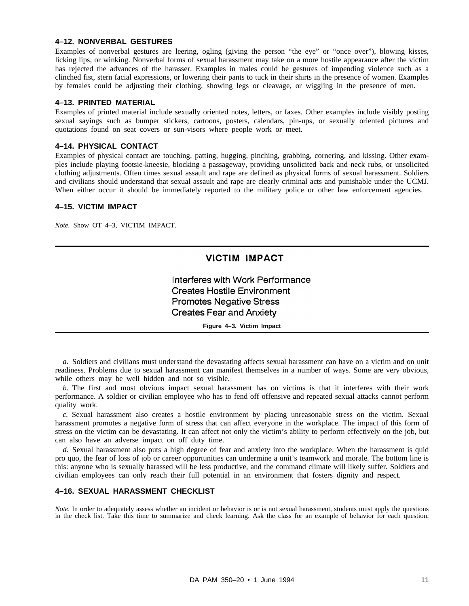# **4–12. NONVERBAL GESTURES**

Examples of nonverbal gestures are leering, ogling (giving the person "the eye" or "once over"), blowing kisses, licking lips, or winking. Nonverbal forms of sexual harassment may take on a more hostile appearance after the victim has rejected the advances of the harasser. Examples in males could be gestures of impending violence such as a clinched fist, stern facial expressions, or lowering their pants to tuck in their shirts in the presence of women. Examples by females could be adjusting their clothing, showing legs or cleavage, or wiggling in the presence of men.

### **4–13. PRINTED MATERIAL**

Examples of printed material include sexually oriented notes, letters, or faxes. Other examples include visibly posting sexual sayings such as bumper stickers, cartoons, posters, calendars, pin-ups, or sexually oriented pictures and quotations found on seat covers or sun-visors where people work or meet.

# **4–14. PHYSICAL CONTACT**

Examples of physical contact are touching, patting, hugging, pinching, grabbing, cornering, and kissing. Other examples include playing footsie-kneesie, blocking a passageway, providing unsolicited back and neck rubs, or unsolicited clothing adjustments. Often times sexual assault and rape are defined as physical forms of sexual harassment. Soldiers and civilians should understand that sexual assault and rape are clearly criminal acts and punishable under the UCMJ. When either occur it should be immediately reported to the military police or other law enforcement agencies.

# **4–15. VICTIM IMPACT**

*Note.* Show OT 4–3, VICTIM IMPACT.

# **VICTIM IMPACT**

Interferes with Work Performance **Creates Hostile Environment Promotes Negative Stress Creates Fear and Anxiety** 

**Figure 4–3. Victim Impact**

*a.* Soldiers and civilians must understand the devastating affects sexual harassment can have on a victim and on unit readiness. Problems due to sexual harassment can manifest themselves in a number of ways. Some are very obvious, while others may be well hidden and not so visible.

*b.* The first and most obvious impact sexual harassment has on victims is that it interferes with their work performance. A soldier or civilian employee who has to fend off offensive and repeated sexual attacks cannot perform quality work.

*c.* Sexual harassment also creates a hostile environment by placing unreasonable stress on the victim. Sexual harassment promotes a negative form of stress that can affect everyone in the workplace. The impact of this form of stress on the victim can be devastating. It can affect not only the victim's ability to perform effectively on the job, but can also have an adverse impact on off duty time.

*d.* Sexual harassment also puts a high degree of fear and anxiety into the workplace. When the harassment is quid pro quo, the fear of loss of job or career opportunities can undermine a unit's teamwork and morale. The bottom line is this: anyone who is sexually harassed will be less productive, and the command climate will likely suffer. Soldiers and civilian employees can only reach their full potential in an environment that fosters dignity and respect.

# **4–16. SEXUAL HARASSMENT CHECKLIST**

*Note*. In order to adequately assess whether an incident or behavior is or is not sexual harassment, students must apply the questions in the check list. Take this time to summarize and check learning. Ask the class for an example of behavior for each question.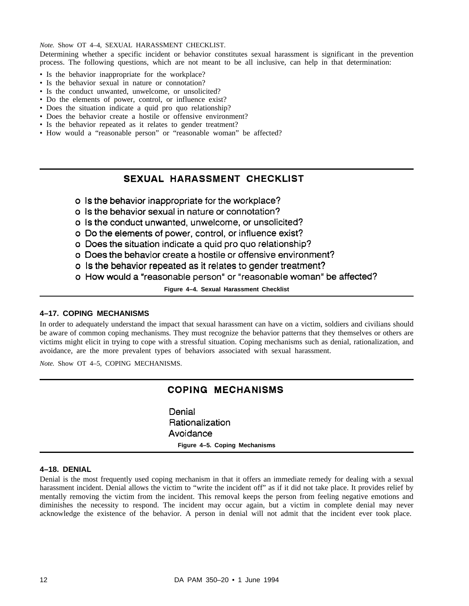*Note.* Show OT 4–4, SEXUAL HARASSMENT CHECKLIST.

Determining whether a specific incident or behavior constitutes sexual harassment is significant in the prevention process. The following questions, which are not meant to be all inclusive, can help in that determination:

- Is the behavior inappropriate for the workplace?
- Is the behavior sexual in nature or connotation?
- Is the conduct unwanted, unwelcome, or unsolicited?
- Do the elements of power, control, or influence exist?
- Does the situation indicate a quid pro quo relationship?
- Does the behavior create a hostile or offensive environment?
- Is the behavior repeated as it relates to gender treatment?
- How would a "reasonable person" or "reasonable woman" be affected?

# SEXUAL HARASSMENT CHECKLIST

- o Is the behavior inappropriate for the workplace?
- o Is the behavior sexual in nature or connotation?
- o Is the conduct unwanted, unwelcome, or unsolicited?
- o Do the elements of power, control, or influence exist?
- o Does the situation indicate a quid pro quo relationship?
- o Does the behavior create a hostile or offensive environment?
- o is the behavior repeated as it relates to gender treatment?
- o How would a "reasonable person" or "reasonable woman" be affected?

**Figure 4–4. Sexual Harassment Checklist**

# **4–17. COPING MECHANISMS**

In order to adequately understand the impact that sexual harassment can have on a victim, soldiers and civilians should be aware of common coping mechanisms. They must recognize the behavior patterns that they themselves or others are victims might elicit in trying to cope with a stressful situation. Coping mechanisms such as denial, rationalization, and avoidance, are the more prevalent types of behaviors associated with sexual harassment.

*Note.* Show OT 4–5, COPING MECHANISMS.

# **COPING MECHANISMS**

Denial Rationalization Avoidance **Figure 4–5. Coping Mechanisms**

# **4–18. DENIAL**

Denial is the most frequently used coping mechanism in that it offers an immediate remedy for dealing with a sexual harassment incident. Denial allows the victim to "write the incident off" as if it did not take place. It provides relief by mentally removing the victim from the incident. This removal keeps the person from feeling negative emotions and diminishes the necessity to respond. The incident may occur again, but a victim in complete denial may never acknowledge the existence of the behavior. A person in denial will not admit that the incident ever took place.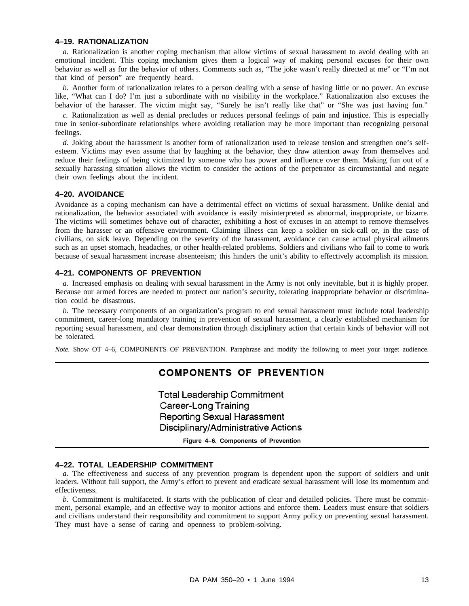### **4–19. RATIONALIZATION**

*a.* Rationalization is another coping mechanism that allow victims of sexual harassment to avoid dealing with an emotional incident. This coping mechanism gives them a logical way of making personal excuses for their own behavior as well as for the behavior of others. Comments such as, "The joke wasn't really directed at me" or "I'm not that kind of person" are frequently heard.

*b.* Another form of rationalization relates to a person dealing with a sense of having little or no power. An excuse like, "What can I do? I'm just a subordinate with no visibility in the workplace." Rationalization also excuses the behavior of the harasser. The victim might say, "Surely he isn't really like that" or "She was just having fun."

*c.* Rationalization as well as denial precludes or reduces personal feelings of pain and injustice. This is especially true in senior-subordinate relationships where avoiding retaliation may be more important than recognizing personal feelings.

*d.* Joking about the harassment is another form of rationalization used to release tension and strengthen one's selfesteem. Victims may even assume that by laughing at the behavior, they draw attention away from themselves and reduce their feelings of being victimized by someone who has power and influence over them. Making fun out of a sexually harassing situation allows the victim to consider the actions of the perpetrator as circumstantial and negate their own feelings about the incident.

# **4–20. AVOIDANCE**

Avoidance as a coping mechanism can have a detrimental effect on victims of sexual harassment. Unlike denial and rationalization, the behavior associated with avoidance is easily misinterpreted as abnormal, inappropriate, or bizarre. The victims will sometimes behave out of character, exhibiting a host of excuses in an attempt to remove themselves from the harasser or an offensive environment. Claiming illness can keep a soldier on sick-call or, in the case of civilians, on sick leave. Depending on the severity of the harassment, avoidance can cause actual physical ailments such as an upset stomach, headaches, or other health-related problems. Soldiers and civilians who fail to come to work because of sexual harassment increase absenteeism; this hinders the unit's ability to effectively accomplish its mission.

# **4–21. COMPONENTS OF PREVENTION**

*a.* Increased emphasis on dealing with sexual harassment in the Army is not only inevitable, but it is highly proper. Because our armed forces are needed to protect our nation's security, tolerating inappropriate behavior or discrimination could be disastrous.

*b.* The necessary components of an organization's program to end sexual harassment must include total leadership commitment, career-long mandatory training in prevention of sexual harassment, a clearly established mechanism for reporting sexual harassment, and clear demonstration through disciplinary action that certain kinds of behavior will not be tolerated.

*Note.* Show OT 4–6, COMPONENTS OF PREVENTION. Paraphrase and modify the following to meet your target audience.

# **COMPONENTS OF PREVENTION**

**Total Leadership Commitment Career-Long Training Reporting Sexual Harassment** Disciplinary/Administrative Actions

**Figure 4–6. Components of Prevention**

# **4–22. TOTAL LEADERSHIP COMMITMENT**

*a.* The effectiveness and success of any prevention program is dependent upon the support of soldiers and unit leaders. Without full support, the Army's effort to prevent and eradicate sexual harassment will lose its momentum and effectiveness.

*b.* Commitment is multifaceted. It starts with the publication of clear and detailed policies. There must be commitment, personal example, and an effective way to monitor actions and enforce them. Leaders must ensure that soldiers and civilians understand their responsibility and commitment to support Army policy on preventing sexual harassment. They must have a sense of caring and openness to problem-solving.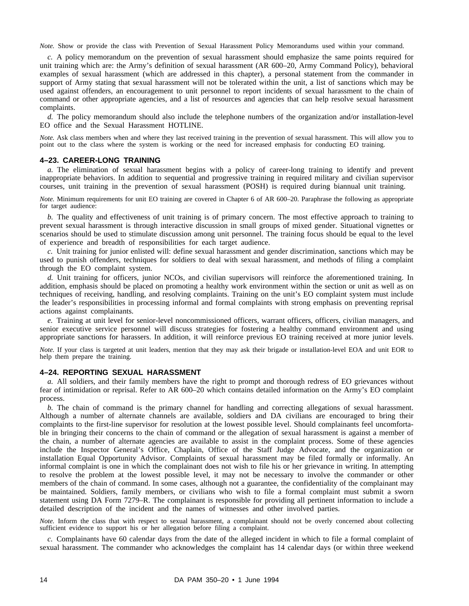*Note.* Show or provide the class with Prevention of Sexual Harassment Policy Memorandums used within your command.

*c.* A policy memorandum on the prevention of sexual harassment should emphasize the same points required for unit training which are: the Army's definition of sexual harassment (AR 600–20, Army Command Policy), behavioral examples of sexual harassment (which are addressed in this chapter), a personal statement from the commander in support of Army stating that sexual harassment will not be tolerated within the unit, a list of sanctions which may be used against offenders, an encouragement to unit personnel to report incidents of sexual harassment to the chain of command or other appropriate agencies, and a list of resources and agencies that can help resolve sexual harassment complaints.

*d.* The policy memorandum should also include the telephone numbers of the organization and/or installation-level EO office and the Sexual Harassment HOTLINE.

*Note.* Ask class members when and where they last received training in the prevention of sexual harassment. This will allow you to point out to the class where the system is working or the need for increased emphasis for conducting EO training.

# **4–23. CAREER-LONG TRAINING**

*a.* The elimination of sexual harassment begins with a policy of career-long training to identify and prevent inappropriate behaviors. In addition to sequential and progressive training in required military and civilian supervisor courses, unit training in the prevention of sexual harassment (POSH) is required during biannual unit training.

*Note.* Minimum requirements for unit EO training are covered in Chapter 6 of AR 600–20. Paraphrase the following as appropriate for target audience:

*b.* The quality and effectiveness of unit training is of primary concern. The most effective approach to training to prevent sexual harassment is through interactive discussion in small groups of mixed gender. Situational vignettes or scenarios should be used to stimulate discussion among unit personnel. The training focus should be equal to the level of experience and breadth of responsibilities for each target audience.

*c.* Unit training for junior enlisted will: define sexual harassment and gender discrimination, sanctions which may be used to punish offenders, techniques for soldiers to deal with sexual harassment, and methods of filing a complaint through the EO complaint system.

*d.* Unit training for officers, junior NCOs, and civilian supervisors will reinforce the aforementioned training. In addition, emphasis should be placed on promoting a healthy work environment within the section or unit as well as on techniques of receiving, handling, and resolving complaints. Training on the unit's EO complaint system must include the leader's responsibilities in processing informal and formal complaints with strong emphasis on preventing reprisal actions against complainants.

*e.* Training at unit level for senior-level noncommissioned officers, warrant officers, officers, civilian managers, and senior executive service personnel will discuss strategies for fostering a healthy command environment and using appropriate sanctions for harassers. In addition, it will reinforce previous EO training received at more junior levels.

*Note.* If your class is targeted at unit leaders, mention that they may ask their brigade or installation-level EOA and unit EOR to help them prepare the training.

# **4–24. REPORTING SEXUAL HARASSMENT**

*a.* All soldiers, and their family members have the right to prompt and thorough redress of EO grievances without fear of intimidation or reprisal. Refer to AR 600–20 which contains detailed information on the Army's EO complaint process.

*b.* The chain of command is the primary channel for handling and correcting allegations of sexual harassment. Although a number of alternate channels are available, soldiers and DA civilians are encouraged to bring their complaints to the first-line supervisor for resolution at the lowest possible level. Should complainants feel uncomfortable in bringing their concerns to the chain of command or the allegation of sexual harassment is against a member of the chain, a number of alternate agencies are available to assist in the complaint process. Some of these agencies include the Inspector General's Office, Chaplain, Office of the Staff Judge Advocate, and the organization or installation Equal Opportunity Advisor. Complaints of sexual harassment may be filed formally or informally. An informal complaint is one in which the complainant does not wish to file his or her grievance in writing. In attempting to resolve the problem at the lowest possible level, it may not be necessary to involve the commander or other members of the chain of command. In some cases, although not a guarantee, the confidentiality of the complainant may be maintained. Soldiers, family members, or civilians who wish to file a formal complaint must submit a sworn statement using DA Form 7279–R. The complainant is responsible for providing all pertinent information to include a detailed description of the incident and the names of witnesses and other involved parties.

*Note.* Inform the class that with respect to sexual harassment, a complainant should not be overly concerned about collecting sufficient evidence to support his or her allegation before filing a complaint.

*c.* Complainants have 60 calendar days from the date of the alleged incident in which to file a formal complaint of sexual harassment. The commander who acknowledges the complaint has 14 calendar days (or within three weekend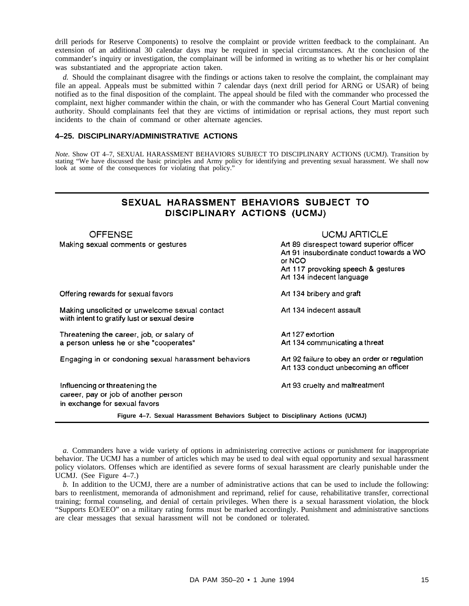drill periods for Reserve Components) to resolve the complaint or provide written feedback to the complainant. An extension of an additional 30 calendar days may be required in special circumstances. At the conclusion of the commander's inquiry or investigation, the complainant will be informed in writing as to whether his or her complaint was substantiated and the appropriate action taken.

*d.* Should the complainant disagree with the findings or actions taken to resolve the complaint, the complainant may file an appeal. Appeals must be submitted within 7 calendar days (next drill period for ARNG or USAR) of being notified as to the final disposition of the complaint. The appeal should be filed with the commander who processed the complaint, next higher commander within the chain, or with the commander who has General Court Martial convening authority. Should complainants feel that they are victims of intimidation or reprisal actions, they must report such incidents to the chain of command or other alternate agencies.

# **4–25. DISCIPLINARY/ADMINISTRATIVE ACTIONS**

*Note.* Show OT 4–7, SEXUAL HARASSMENT BEHAVIORS SUBJECT TO DISCIPLINARY ACTIONS (UCMJ). Transition by stating "We have discussed the basic principles and Army policy for identifying and preventing sexual harassment. We shall now look at some of the consequences for violating that policy."

# SEXUAL HARASSMENT BEHAVIORS SUBJECT TO DISCIPLINARY ACTIONS (UCMJ)

| <b>OFFENSE</b>                                                                                          | <b>UCMJ ARTICLE</b>                                                                                                                                                  |
|---------------------------------------------------------------------------------------------------------|----------------------------------------------------------------------------------------------------------------------------------------------------------------------|
| Making sexual comments or gestures                                                                      | Art 89 disrespect toward superior officer<br>Art 91 insubordinate conduct towards a WO<br>or NCO<br>Art 117 provoking speech & gestures<br>Art 134 indecent language |
| Offering rewards for sexual favors                                                                      | Art 134 bribery and graft                                                                                                                                            |
| Making unsolicited or unwelcome sexual contact<br>wiith intent to gratify lust or sexual desire         | Art 134 indecent assault                                                                                                                                             |
| Threatening the career, job, or salary of<br>a person unless he or she "cooperates"                     | Art 127 extortion<br>Art 134 communicating a threat                                                                                                                  |
| Engaging in or condoning sexual harassment behaviors                                                    | Art 92 failure to obey an order or regulation<br>Art 133 conduct unbecoming an officer                                                                               |
| Influencing or threatening the<br>career, pay or job of another person<br>in exchange for sexual favors | Art 93 cruelty and maltreatment                                                                                                                                      |
| Figure 4–7. Sexual Harassment Behaviors Subject to Disciplinary Actions (UCMJ)                          |                                                                                                                                                                      |

*a.* Commanders have a wide variety of options in administering corrective actions or punishment for inappropriate behavior. The UCMJ has a number of articles which may be used to deal with equal opportunity and sexual harassment policy violators. Offenses which are identified as severe forms of sexual harassment are clearly punishable under the UCMJ. (See Figure 4–7.)

*b.* In addition to the UCMJ, there are a number of administrative actions that can be used to include the following: bars to reenlistment, memoranda of admonishment and reprimand, relief for cause, rehabilitative transfer, correctional training; formal counseling, and denial of certain privileges. When there is a sexual harassment violation, the block "Supports EO/EEO" on a military rating forms must be marked accordingly. Punishment and administrative sanctions are clear messages that sexual harassment will not be condoned or tolerated.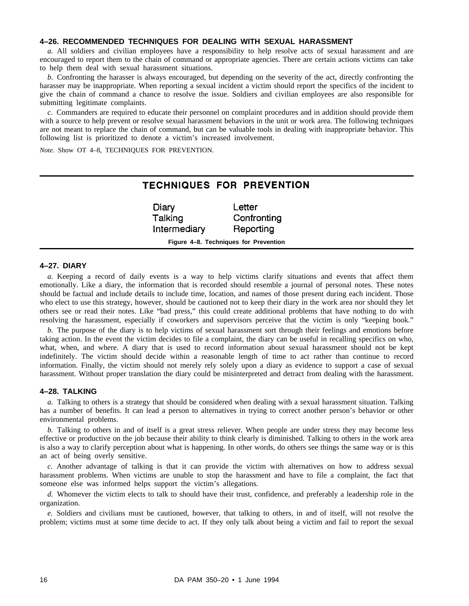# **4–26. RECOMMENDED TECHNIQUES FOR DEALING WITH SEXUAL HARASSMENT**

*a.* All soldiers and civilian employees have a responsibility to help resolve acts of sexual harassment and are encouraged to report them to the chain of command or appropriate agencies. There are certain actions victims can take to help them deal with sexual harassment situations.

*b.* Confronting the harasser is always encouraged, but depending on the severity of the act, directly confronting the harasser may be inappropriate. When reporting a sexual incident a victim should report the specifics of the incident to give the chain of command a chance to resolve the issue. Soldiers and civilian employees are also responsible for submitting legitimate complaints.

*c.* Commanders are required to educate their personnel on complaint procedures and in addition should provide them with a source to help prevent or resolve sexual harassment behaviors in the unit or work area. The following techniques are not meant to replace the chain of command, but can be valuable tools in dealing with inappropriate behavior. This following list is prioritized to denote a victim's increased involvement.

*Note.* Show OT 4–8, TECHNIQUES FOR PREVENTION.

# TECHNIQUES FOR PREVENTION

| Diary                                 | Letter      |  |
|---------------------------------------|-------------|--|
| Talking                               | Confronting |  |
| Intermediary                          | Reporting   |  |
| Figure 4–8. Techniques for Prevention |             |  |

# **4–27. DIARY**

*a.* Keeping a record of daily events is a way to help victims clarify situations and events that affect them emotionally. Like a diary, the information that is recorded should resemble a journal of personal notes. These notes should be factual and include details to include time, location, and names of those present during each incident. Those who elect to use this strategy, however, should be cautioned not to keep their diary in the work area nor should they let others see or read their notes. Like "bad press," this could create additional problems that have nothing to do with resolving the harassment, especially if coworkers and supervisors perceive that the victim is only "keeping book."

*b.* The purpose of the diary is to help victims of sexual harassment sort through their feelings and emotions before taking action. In the event the victim decides to file a complaint, the diary can be useful in recalling specifics on who, what, when, and where. A diary that is used to record information about sexual harassment should not be kept indefinitely. The victim should decide within a reasonable length of time to act rather than continue to record information. Finally, the victim should not merely rely solely upon a diary as evidence to support a case of sexual harassment. Without proper translation the diary could be misinterpreted and detract from dealing with the harassment.

# **4–28. TALKING**

*a.* Talking to others is a strategy that should be considered when dealing with a sexual harassment situation. Talking has a number of benefits. It can lead a person to alternatives in trying to correct another person's behavior or other environmental problems.

*b.* Talking to others in and of itself is a great stress reliever. When people are under stress they may become less effective or productive on the job because their ability to think clearly is diminished. Talking to others in the work area is also a way to clarify perception about what is happening. In other words, do others see things the same way or is this an act of being overly sensitive.

*c.* Another advantage of talking is that it can provide the victim with alternatives on how to address sexual harassment problems. When victims are unable to stop the harassment and have to file a complaint, the fact that someone else was informed helps support the victim's allegations.

*d.* Whomever the victim elects to talk to should have their trust, confidence, and preferably a leadership role in the organization.

*e.* Soldiers and civilians must be cautioned, however, that talking to others, in and of itself, will not resolve the problem; victims must at some time decide to act. If they only talk about being a victim and fail to report the sexual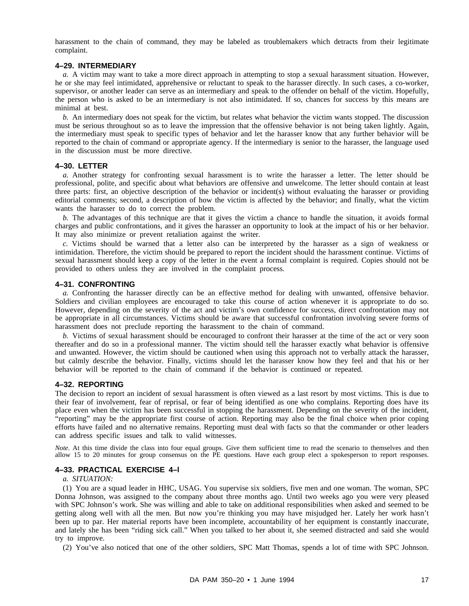harassment to the chain of command, they may be labeled as troublemakers which detracts from their legitimate complaint.

### **4–29. INTERMEDIARY**

*a.* A victim may want to take a more direct approach in attempting to stop a sexual harassment situation. However, he or she may feel intimidated, apprehensive or reluctant to speak to the harasser directly. In such cases, a co-worker, supervisor, or another leader can serve as an intermediary and speak to the offender on behalf of the victim. Hopefully, the person who is asked to be an intermediary is not also intimidated. If so, chances for success by this means are minimal at best.

*b.* An intermediary does not speak for the victim, but relates what behavior the victim wants stopped. The discussion must be serious throughout so as to leave the impression that the offensive behavior is not being taken lightly. Again, the intermediary must speak to specific types of behavior and let the harasser know that any further behavior will be reported to the chain of command or appropriate agency. If the intermediary is senior to the harasser, the language used in the discussion must be more directive.

### **4–30. LETTER**

*a.* Another strategy for confronting sexual harassment is to write the harasser a letter. The letter should be professional, polite, and specific about what behaviors are offensive and unwelcome. The letter should contain at least three parts: first, an objective description of the behavior or incident(s) without evaluating the harasser or providing editorial comments; second, a description of how the victim is affected by the behavior; and finally, what the victim wants the harasser to do to correct the problem.

*b.* The advantages of this technique are that it gives the victim a chance to handle the situation, it avoids formal charges and public confrontations, and it gives the harasser an opportunity to look at the impact of his or her behavior. It may also minimize or prevent retaliation against the writer.

*c.* Victims should be warned that a letter also can be interpreted by the harasser as a sign of weakness or intimidation. Therefore, the victim should be prepared to report the incident should the harassment continue. Victims of sexual harassment should keep a copy of the letter in the event a formal complaint is required. Copies should not be provided to others unless they are involved in the complaint process.

### **4–31. CONFRONTING**

*a.* Confronting the harasser directly can be an effective method for dealing with unwanted, offensive behavior. Soldiers and civilian employees are encouraged to take this course of action whenever it is appropriate to do so. However, depending on the severity of the act and victim's own confidence for success, direct confrontation may not be appropriate in all circumstances. Victims should be aware that successful confrontation involving severe forms of harassment does not preclude reporting the harassment to the chain of command.

*b.* Victims of sexual harassment should be encouraged to confront their harasser at the time of the act or very soon thereafter and do so in a professional manner. The victim should tell the harasser exactly what behavior is offensive and unwanted. However, the victim should be cautioned when using this approach not to verbally attack the harasser, but calmly describe the behavior. Finally, victims should let the harasser know how they feel and that his or her behavior will be reported to the chain of command if the behavior is continued or repeated.

# **4–32. REPORTING**

The decision to report an incident of sexual harassment is often viewed as a last resort by most victims. This is due to their fear of involvement, fear of reprisal, or fear of being identified as one who complains. Reporting does have its place even when the victim has been successful in stopping the harassment. Depending on the severity of the incident, "reporting" may be the appropriate first course of action. Reporting may also be the final choice when prior coping efforts have failed and no alternative remains. Reporting must deal with facts so that the commander or other leaders can address specific issues and talk to valid witnesses.

*Note.* At this time divide the class into four equal groups. Give them sufficient time to read the scenario to themselves and then allow 15 to 20 minutes for group consensus on the PE questions. Have each group elect a spokesperson to report responses.

### **4–33. PRACTICAL EXERCISE 4–l**

# *a. SITUATION:*

(1) You are a squad leader in HHC, USAG. You supervise six soldiers, five men and one woman. The woman, SPC Donna Johnson, was assigned to the company about three months ago. Until two weeks ago you were very pleased with SPC Johnson's work. She was willing and able to take on additional responsibilities when asked and seemed to be getting along well with all the men. But now you're thinking you may have misjudged her. Lately her work hasn't been up to par. Her material reports have been incomplete, accountability of her equipment is constantly inaccurate, and lately she has been "riding sick call." When you talked to her about it, she seemed distracted and said she would try to improve.

(2) You've also noticed that one of the other soldiers, SPC Matt Thomas, spends a lot of time with SPC Johnson.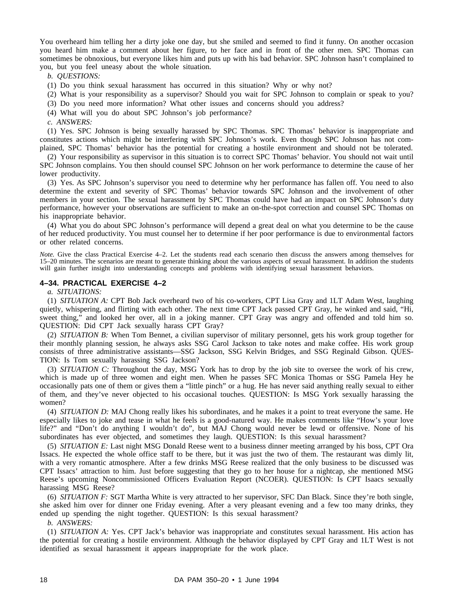You overheard him telling her a dirty joke one day, but she smiled and seemed to find it funny. On another occasion you heard him make a comment about her figure, to her face and in front of the other men. SPC Thomas can sometimes be obnoxious, but everyone likes him and puts up with his bad behavior. SPC Johnson hasn't complained to you, but you feel uneasy about the whole situation.

*b. QUESTIONS:*

(1) Do you think sexual harassment has occurred in this situation? Why or why not?

- (2) What is your responsibility as a supervisor? Should you wait for SPC Johnson to complain or speak to you?
- (3) Do you need more information? What other issues and concerns should you address?
- (4) What will you do about SPC Johnson's job performance?

*c. ANSWERS:*

(1) Yes. SPC Johnson is being sexually harassed by SPC Thomas. SPC Thomas' behavior is inappropriate and constitutes actions which might be interfering with SPC Johnson's work. Even though SPC Johnson has not complained, SPC Thomas' behavior has the potential for creating a hostile environment and should not be tolerated.

(2) Your responsibility as supervisor in this situation is to correct SPC Thomas' behavior. You should not wait until SPC Johnson complains. You then should counsel SPC Johnson on her work performance to determine the cause of her lower productivity.

(3) Yes. As SPC Johnson's supervisor you need to determine why her performance has fallen off. You need to also determine the extent and severity of SPC Thomas' behavior towards SPC Johnson and the involvement of other members in your section. The sexual harassment by SPC Thomas could have had an impact on SPC Johnson's duty performance, however your observations are sufficient to make an on-the-spot correction and counsel SPC Thomas on his inappropriate behavior.

(4) What you do about SPC Johnson's performance will depend a great deal on what you determine to be the cause of her reduced productivity. You must counsel her to determine if her poor performance is due to environmental factors or other related concerns.

*Note.* Give the class Practical Exercise 4–2. Let the students read each scenario then discuss the answers among themselves for 15–20 minutes. The scenarios are meant to generate thinking about the various aspects of sexual harassment. In addition the students will gain further insight into understanding concepts and problems with identifying sexual harassment behaviors.

# **4–34. PRACTICAL EXERCISE 4–2**

*a. SITUATIONS:*

(1) *SITUATION A:* CPT Bob Jack overheard two of his co-workers, CPT Lisa Gray and 1LT Adam West, laughing quietly, whispering, and flirting with each other. The next time CPT Jack passed CPT Gray, he winked and said, "Hi, sweet thing," and looked her over, all in a joking manner. CPT Gray was angry and offended and told him so. QUESTION: Did CPT Jack sexually harass CPT Gray?

(2) *SITUATION B:* When Tom Bennet, a civilian supervisor of military personnel, gets his work group together for their monthly planning session, he always asks SSG Carol Jackson to take notes and make coffee. His work group consists of three administrative assistants—SSG Jackson, SSG Kelvin Bridges, and SSG Reginald Gibson. QUES-TION: Is Tom sexually harassing SSG Jackson?

(3) *SITUATION C:* Throughout the day, MSG York has to drop by the job site to oversee the work of his crew, which is made up of three women and eight men. When he passes SFC Monica Thomas or SSG Pamela Hey he occasionally pats one of them or gives them a "little pinch" or a hug. He has never said anything really sexual to either of them, and they've never objected to his occasional touches. QUESTION: Is MSG York sexually harassing the women?

(4) *SITUATION D:* MAJ Chong really likes his subordinates, and he makes it a point to treat everyone the same. He especially likes to joke and tease in what he feels is a good-natured way. He makes comments like "How's your love life?" and "Don't do anything I wouldn't do", but MAJ Chong would never be lewd or offensive. None of his subordinates has ever objected, and sometimes they laugh. QUESTION: Is this sexual harassment?

(5) *SITUATION E:* Last night MSG Donald Reese went to a business dinner meeting arranged by his boss, CPT Ora Issacs. He expected the whole office staff to be there, but it was just the two of them. The restaurant was dimly lit, with a very romantic atmosphere. After a few drinks MSG Reese realized that the only business to be discussed was CPT Issacs' attraction to him. Just before suggesting that they go to her house for a nightcap, she mentioned MSG Reese's upcoming Noncommissioned Officers Evaluation Report (NCOER). QUESTION: Is CPT Isaacs sexually harassing MSG Reese?

(6) *SITUATION F:* SGT Martha White is very attracted to her supervisor, SFC Dan Black. Since they're both single, she asked him over for dinner one Friday evening. After a very pleasant evening and a few too many drinks, they ended up spending the night together. QUESTION: Is this sexual harassment?

*b. ANSWERS:*

(1) *SITUATION A:* Yes. CPT Jack's behavior was inappropriate and constitutes sexual harassment. His action has the potential for creating a hostile environment. Although the behavior displayed by CPT Gray and 1LT West is not identified as sexual harassment it appears inappropriate for the work place.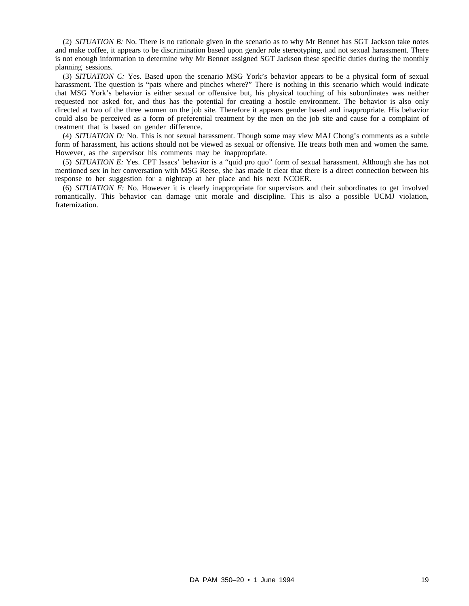(2) *SITUATION B:* No. There is no rationale given in the scenario as to why Mr Bennet has SGT Jackson take notes and make coffee, it appears to be discrimination based upon gender role stereotyping, and not sexual harassment. There is not enough information to determine why Mr Bennet assigned SGT Jackson these specific duties during the monthly planning sessions.

(3) *SITUATION C:* Yes. Based upon the scenario MSG York's behavior appears to be a physical form of sexual harassment. The question is "pats where and pinches where?" There is nothing in this scenario which would indicate that MSG York's behavior is either sexual or offensive but, his physical touching of his subordinates was neither requested nor asked for, and thus has the potential for creating a hostile environment. The behavior is also only directed at two of the three women on the job site. Therefore it appears gender based and inappropriate. His behavior could also be perceived as a form of preferential treatment by the men on the job site and cause for a complaint of treatment that is based on gender difference.

(4) *SITUATION D:* No. This is not sexual harassment. Though some may view MAJ Chong's comments as a subtle form of harassment, his actions should not be viewed as sexual or offensive. He treats both men and women the same. However, as the supervisor his comments may be inappropriate.

(5) *SITUATION E:* Yes. CPT Issacs' behavior is a "quid pro quo" form of sexual harassment. Although she has not mentioned sex in her conversation with MSG Reese, she has made it clear that there is a direct connection between his response to her suggestion for a nightcap at her place and his next NCOER.

(6) *SITUATION F:* No. However it is clearly inappropriate for supervisors and their subordinates to get involved romantically. This behavior can damage unit morale and discipline. This is also a possible UCMJ violation, fraternization.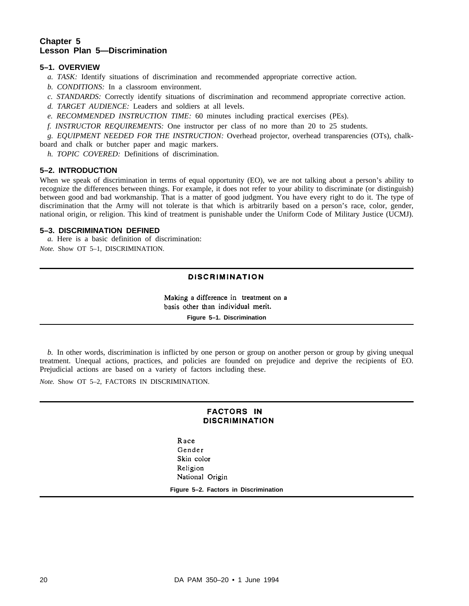# **Chapter 5 Lesson Plan 5—Discrimination**

# **5–1. OVERVIEW**

- *a. TASK:* Identify situations of discrimination and recommended appropriate corrective action.
- *b. CONDITIONS:* In a classroom environment.
- *c. STANDARDS:* Correctly identify situations of discrimination and recommend appropriate corrective action.
- *d. TARGET AUDIENCE:* Leaders and soldiers at all levels.
- *e. RECOMMENDED INSTRUCTION TIME:* 60 minutes including practical exercises (PEs).
- *f. INSTRUCTOR REQUIREMENTS:* One instructor per class of no more than 20 to 25 students.

*g. EQUIPMENT NEEDED FOR THE INSTRUCTION:* Overhead projector, overhead transparencies (OTs), chalkboard and chalk or butcher paper and magic markers.

*h. TOPIC COVERED:* Definitions of discrimination.

# **5–2. INTRODUCTION**

When we speak of discrimination in terms of equal opportunity (EO), we are not talking about a person's ability to recognize the differences between things. For example, it does not refer to your ability to discriminate (or distinguish) between good and bad workmanship. That is a matter of good judgment. You have every right to do it. The type of discrimination that the Army will not tolerate is that which is arbitrarily based on a person's race, color, gender, national origin, or religion. This kind of treatment is punishable under the Uniform Code of Military Justice (UCMJ).

# **5–3. DISCRIMINATION DEFINED**

*a.* Here is a basic definition of discrimination:

*Note.* Show OT 5–1, DISCRIMINATION.

# **DISCRIMINATION**

Making a difference in treatment on a basis other than individual merit.

**Figure 5–1. Discrimination**

*b.* In other words, discrimination is inflicted by one person or group on another person or group by giving unequal treatment. Unequal actions, practices, and policies are founded on prejudice and deprive the recipients of EO. Prejudicial actions are based on a variety of factors including these.

*Note.* Show OT 5–2, FACTORS IN DISCRIMINATION.

# **FACTORS IN DISCRIMINATION**

Race Gender Skin color Religion National Origin

**Figure 5–2. Factors in Discrimination**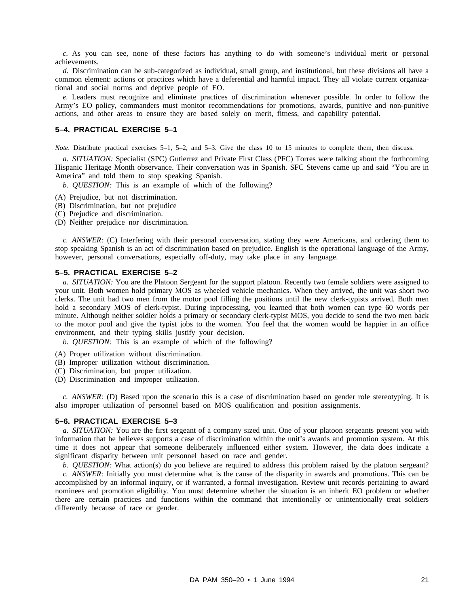*c*. As you can see, none of these factors has anything to do with someone's individual merit or personal achievements.

*d.* Discrimination can be sub-categorized as individual, small group, and institutional, but these divisions all have a common element: actions or practices which have a deferential and harmful impact. They all violate current organizational and social norms and deprive people of EO.

*e.* Leaders must recognize and eliminate practices of discrimination whenever possible. In order to follow the Army's EO policy, commanders must monitor recommendations for promotions, awards, punitive and non-punitive actions, and other areas to ensure they are based solely on merit, fitness, and capability potential.

# **5–4. PRACTICAL EXERCISE 5–1**

*Note.* Distribute practical exercises 5–1, 5–2, and 5–3. Give the class 10 to 15 minutes to complete them, then discuss.

*a. SITUATION:* Specialist (SPC) Gutierrez and Private First Class (PFC) Torres were talking about the forthcoming Hispanic Heritage Month observance. Their conversation was in Spanish. SFC Stevens came up and said "You are in America" and told them to stop speaking Spanish.

*b. QUESTION:* This is an example of which of the following?

- (A) Prejudice, but not discrimination.
- (B) Discrimination, but not prejudice
- (C) Prejudice and discrimination.
- (D) Neither prejudice nor discrimination.

*c. ANSWER:* (C) Interfering with their personal conversation, stating they were Americans, and ordering them to stop speaking Spanish is an act of discrimination based on prejudice. English is the operational language of the Army, however, personal conversations, especially off-duty, may take place in any language.

# **5–5. PRACTICAL EXERCISE 5–2**

*a. SITUATION:* You are the Platoon Sergeant for the support platoon. Recently two female soldiers were assigned to your unit. Both women hold primary MOS as wheeled vehicle mechanics. When they arrived, the unit was short two clerks. The unit had two men from the motor pool filling the positions until the new clerk-typists arrived. Both men hold a secondary MOS of clerk-typist. During inprocessing, you learned that both women can type 60 words per minute. Although neither soldier holds a primary or secondary clerk-typist MOS, you decide to send the two men back to the motor pool and give the typist jobs to the women. You feel that the women would be happier in an office environment, and their typing skills justify your decision.

*b. QUESTION:* This is an example of which of the following?

- (A) Proper utilization without discrimination.
- (B) Improper utilization without discrimination.
- (C) Discrimination, but proper utilization.
- (D) Discrimination and improper utilization.

*c. ANSWER:* (D) Based upon the scenario this is a case of discrimination based on gender role stereotyping. It is also improper utilization of personnel based on MOS qualification and position assignments.

### **5–6. PRACTICAL EXERCISE 5–3**

*a. SITUATION:* You are the first sergeant of a company sized unit. One of your platoon sergeants present you with information that he believes supports a case of discrimination within the unit's awards and promotion system. At this time it does not appear that someone deliberately influenced either system. However, the data does indicate a significant disparity between unit personnel based on race and gender.

*b. QUESTION:* What action(s) do you believe are required to address this problem raised by the platoon sergeant?

*c. ANSWER:* Initially you must determine what is the cause of the disparity in awards and promotions. This can be accomplished by an informal inquiry, or if warranted, a formal investigation. Review unit records pertaining to award nominees and promotion eligibility. You must determine whether the situation is an inherit EO problem or whether there are certain practices and functions within the command that intentionally or unintentionally treat soldiers differently because of race or gender.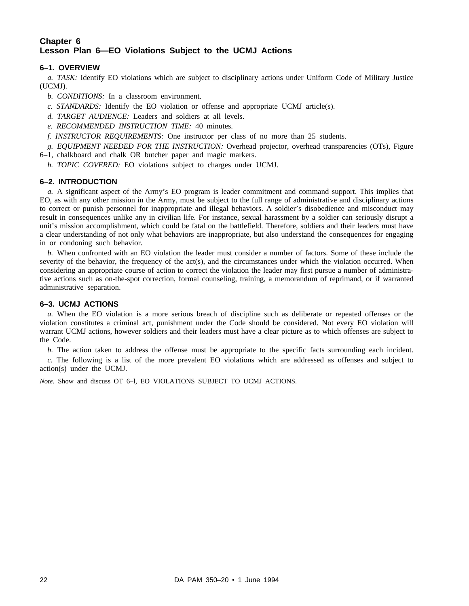# **Chapter 6 Lesson Plan 6—EO Violations Subject to the UCMJ Actions**

# **6–1. OVERVIEW**

*a. TASK:* Identify EO violations which are subject to disciplinary actions under Uniform Code of Military Justice (UCMJ).

*b. CONDITIONS:* In a classroom environment.

*c. STANDARDS:* Identify the EO violation or offense and appropriate UCMJ article(s).

- *d. TARGET AUDIENCE:* Leaders and soldiers at all levels.
- *e. RECOMMENDED INSTRUCTION TIME:* 40 minutes.
- *f. INSTRUCTOR REQUIREMENTS:* One instructor per class of no more than 25 students.

*g. EQUIPMENT NEEDED FOR THE INSTRUCTION:* Overhead projector, overhead transparencies (OTs), Figure 6–1, chalkboard and chalk OR butcher paper and magic markers.

*h. TOPIC COVERED:* EO violations subject to charges under UCMJ.

# **6–2. INTRODUCTION**

*a.* A significant aspect of the Army's EO program is leader commitment and command support. This implies that EO, as with any other mission in the Army, must be subject to the full range of administrative and disciplinary actions to correct or punish personnel for inappropriate and illegal behaviors. A soldier's disobedience and misconduct may result in consequences unlike any in civilian life. For instance, sexual harassment by a soldier can seriously disrupt a unit's mission accomplishment, which could be fatal on the battlefield. Therefore, soldiers and their leaders must have a clear understanding of not only what behaviors are inappropriate, but also understand the consequences for engaging in or condoning such behavior.

*b.* When confronted with an EO violation the leader must consider a number of factors. Some of these include the severity of the behavior, the frequency of the act(s), and the circumstances under which the violation occurred. When considering an appropriate course of action to correct the violation the leader may first pursue a number of administrative actions such as on-the-spot correction, formal counseling, training, a memorandum of reprimand, or if warranted administrative separation.

# **6–3. UCMJ ACTIONS**

*a.* When the EO violation is a more serious breach of discipline such as deliberate or repeated offenses or the violation constitutes a criminal act, punishment under the Code should be considered. Not every EO violation will warrant UCMJ actions, however soldiers and their leaders must have a clear picture as to which offenses are subject to the Code.

*b.* The action taken to address the offense must be appropriate to the specific facts surrounding each incident.

*c.* The following is a list of the more prevalent EO violations which are addressed as offenses and subject to action(s) under the UCMJ.

*Note.* Show and discuss OT 6–l, EO VIOLATIONS SUBJECT TO UCMJ ACTIONS.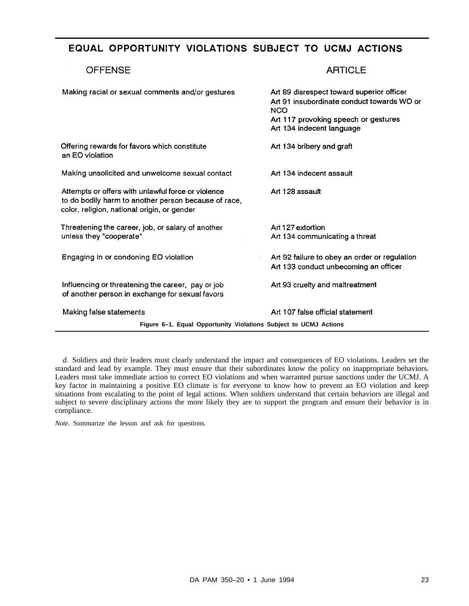# EQUAL OPPORTUNITY VIOLATIONS SUBJECT TO UCMJ ACTIONS

# **OFFENSE ARTICLE** Making racial or sexual comments and/or gestures Art 89 disrespect toward superior officer Art 91 insubordinate conduct towards WO or **NCO** Art 117 provoking speech or gestures Art 134 indecent language Offering rewards for favors which constitute Art 134 bribery and graft an EO violation Art 134 indecent assault Making unsolicited and unwelcome sexual contact Attempts or offers with unlawful force or violence Art 128 assault to do bodily harm to another person because of race. color, religion, national origin, or gender Threatening the career, job, or salary of another Art 127 extortion unless they "cooperate" Art 134 communicating a threat Engaging in or condoning EO violation Art 92 failure to obey an order or regulation Art 133 conduct unbecoming an officer Influencing or threatening the career, pay or job Art 93 cruelty and maltreatment of another person in exchange for sexual favors Making false statements Art 107 false official statement **Figure 6–1. Equal Opportunity Violations Subject to UCMJ Actions**

*d.* Soldiers and their leaders must clearly understand the impact and consequences of EO violations. Leaders set the standard and lead by example. They must ensure that their subordinates know the policy on inappropriate behaviors. Leaders must take immediate action to correct EO violations and when warranted pursue sanctions under the UCMJ. A key factor in maintaining a positive EO climate is for everyone to know how to prevent an EO violation and keep situations from escalating to the point of legal actions. When soldiers understand that certain behaviors are illegal and subject to severe disciplinary actions the more likely they are to support the program and ensure their behavior is in compliance.

*Note.* Summarize the lesson and ask for questions.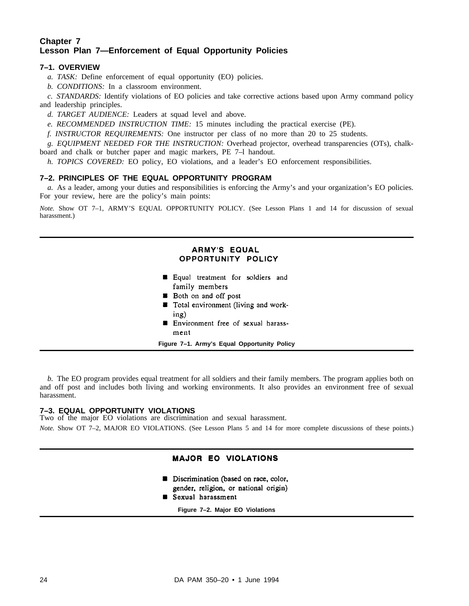# **Chapter 7 Lesson Plan 7—Enforcement of Equal Opportunity Policies**

# **7–1. OVERVIEW**

*a. TASK:* Define enforcement of equal opportunity (EO) policies.

*b. CONDITIONS:* In a classroom environment.

*c. STANDARDS:* Identify violations of EO policies and take corrective actions based upon Army command policy and leadership principles.

- *d. TARGET AUDIENCE:* Leaders at squad level and above.
- *e. RECOMMENDED INSTRUCTION TIME:* 15 minutes including the practical exercise (PE).

*f. INSTRUCTOR REQUIREMENTS:* One instructor per class of no more than 20 to 25 students.

*g. EQUIPMENT NEEDED FOR THE INSTRUCTION:* Overhead projector, overhead transparencies (OTs), chalkboard and chalk or butcher paper and magic markers, PE 7–l handout.

*h. TOPICS COVERED:* EO policy, EO violations, and a leader's EO enforcement responsibilities.

# **7–2. PRINCIPLES OF THE EQUAL OPPORTUNITY PROGRAM**

*a.* As a leader, among your duties and responsibilities is enforcing the Army's and your organization's EO policies. For your review, here are the policy's main points:

*Note.* Show OT 7–1, ARMY'S EQUAL OPPORTUNITY POLICY. (See Lesson Plans 1 and 14 for discussion of sexual harassment.)

# **ARMY'S EQUAL** OPPORTUNITY POLICY

- Equal treatment for soldiers and family members
- **B** Both on and off post
- Total environment (living and working)
- **Environment** free of sexual harassment

**Figure 7–1. Army's Equal Opportunity Policy**

*b.* The EO program provides equal treatment for all soldiers and their family members. The program applies both on and off post and includes both living and working environments. It also provides an environment free of sexual harassment.

# **7–3. EQUAL OPPORTUNITY VIOLATIONS**

Two of the major EO violations are discrimination and sexual harassment.

*Note.* Show OT 7-2, MAJOR EO VIOLATIONS. (See Lesson Plans 5 and 14 for more complete discussions of these points.)

# **MAJOR EO VIOLATIONS**

- Discrimination (based on race, color, gender, religion, or national origin)
- Sexual harassment

**Figure 7–2. Major EO Violations**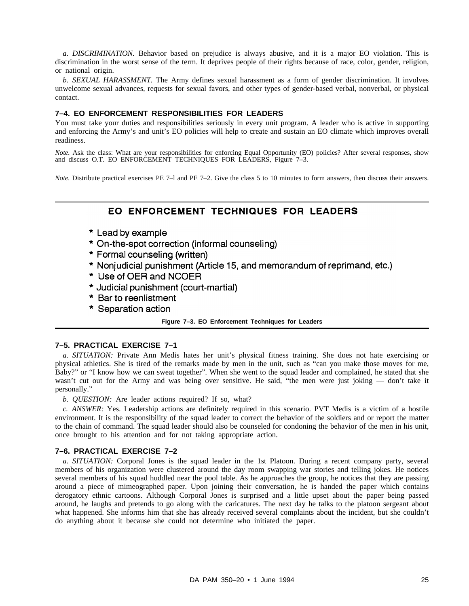*a. DISCRIMINATION.* Behavior based on prejudice is always abusive, and it is a major EO violation. This is discrimination in the worst sense of the term. It deprives people of their rights because of race, color, gender, religion, or national origin.

*b. SEXUAL HARASSMENT.* The Army defines sexual harassment as a form of gender discrimination. It involves unwelcome sexual advances, requests for sexual favors, and other types of gender-based verbal, nonverbal, or physical contact.

# **7–4. EO ENFORCEMENT RESPONSIBILITIES FOR LEADERS**

You must take your duties and responsibilities seriously in every unit program. A leader who is active in supporting and enforcing the Army's and unit's EO policies will help to create and sustain an EO climate which improves overall readiness.

*Note.* Ask the class: What are your responsibilities for enforcing Equal Opportunity (EO) policies? After several responses, show and discuss O.T. EO ENFORCEMENT TECHNIQUES FOR LEADERS, Figure 7-3.

*Note.* Distribute practical exercises PE 7–1 and PE 7–2. Give the class 5 to 10 minutes to form answers, then discuss their answers.

# EO ENFORCEMENT TECHNIQUES FOR LEADERS

- \* Lead by example
- \* On-the-spot correction (informal counseling)
- \* Formal counseling (written)
- \* Nonjudicial punishment (Article 15, and memorandum of reprimand, etc.)
- \* Use of OER and NCOER
- \* Judicial punishment (court-martial)
- \* Bar to reenlistment
- \* Separation action

#### **Figure 7–3. EO Enforcement Techniques for Leaders**

#### **7–5. PRACTICAL EXERCISE 7–1**

*a. SITUATION:* Private Ann Medis hates her unit's physical fitness training. She does not hate exercising or physical athletics. She is tired of the remarks made by men in the unit, such as "can you make those moves for me, Baby?" or "I know how we can sweat together". When she went to the squad leader and complained, he stated that she wasn't cut out for the Army and was being over sensitive. He said, "the men were just joking — don't take it personally."

*b. QUESTION:* Are leader actions required? If so, what?

*c. ANSWER:* Yes. Leadership actions are definitely required in this scenario. PVT Medis is a victim of a hostile environment. It is the responsibility of the squad leader to correct the behavior of the soldiers and or report the matter to the chain of command. The squad leader should also be counseled for condoning the behavior of the men in his unit, once brought to his attention and for not taking appropriate action.

# **7–6. PRACTICAL EXERCISE 7–2**

*a. SITUATION:* Corporal Jones is the squad leader in the 1st Platoon. During a recent company party, several members of his organization were clustered around the day room swapping war stories and telling jokes. He notices several members of his squad huddled near the pool table. As he approaches the group, he notices that they are passing around a piece of mimeographed paper. Upon joining their conversation, he is handed the paper which contains derogatory ethnic cartoons. Although Corporal Jones is surprised and a little upset about the paper being passed around, he laughs and pretends to go along with the caricatures. The next day he talks to the platoon sergeant about what happened. She informs him that she has already received several complaints about the incident, but she couldn't do anything about it because she could not determine who initiated the paper.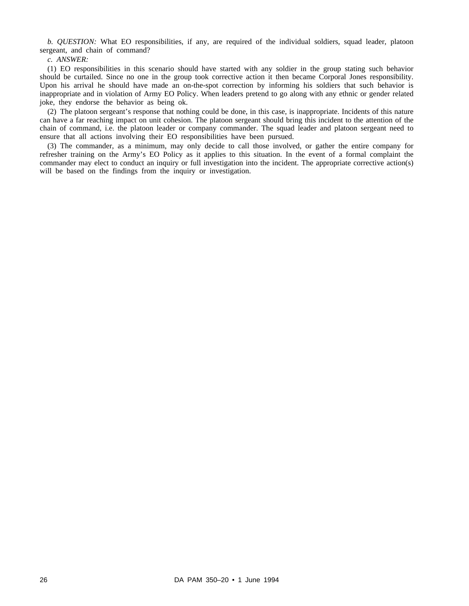*b. QUESTION:* What EO responsibilities, if any, are required of the individual soldiers, squad leader, platoon sergeant, and chain of command?

*c. ANSWER:*

(1) EO responsibilities in this scenario should have started with any soldier in the group stating such behavior should be curtailed. Since no one in the group took corrective action it then became Corporal Jones responsibility. Upon his arrival he should have made an on-the-spot correction by informing his soldiers that such behavior is inappropriate and in violation of Army EO Policy. When leaders pretend to go along with any ethnic or gender related joke, they endorse the behavior as being ok.

(2) The platoon sergeant's response that nothing could be done, in this case, is inappropriate. Incidents of this nature can have a far reaching impact on unit cohesion. The platoon sergeant should bring this incident to the attention of the chain of command, i.e. the platoon leader or company commander. The squad leader and platoon sergeant need to ensure that all actions involving their EO responsibilities have been pursued.

(3) The commander, as a minimum, may only decide to call those involved, or gather the entire company for refresher training on the Army's EO Policy as it applies to this situation. In the event of a formal complaint the commander may elect to conduct an inquiry or full investigation into the incident. The appropriate corrective action(s) will be based on the findings from the inquiry or investigation.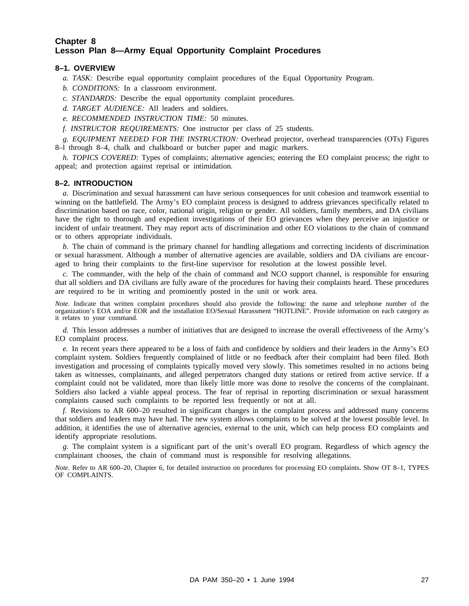# **Chapter 8 Lesson Plan 8—Army Equal Opportunity Complaint Procedures**

# **8–1. OVERVIEW**

- *a. TASK:* Describe equal opportunity complaint procedures of the Equal Opportunity Program.
- *b. CONDITIONS:* In a classroom environment.
- *c. STANDARDS:* Describe the equal opportunity complaint procedures.
- *d. TARGET AUDIENCE:* All leaders and soldiers.
- *e. RECOMMENDED INSTRUCTION TIME:* 50 minutes.
- *f. INSTRUCTOR REQUIREMENTS:* One instructor per class of 25 students.

*g. EQUIPMENT NEEDED FOR THE INSTRUCTION:* Overhead projector, overhead transparencies (OTs) Figures 8–l through 8–4, chalk and chalkboard or butcher paper and magic markers.

*h. TOPICS COVERED:* Types of complaints; alternative agencies; entering the EO complaint process; the right to appeal; and protection against reprisal or intimidation.

#### **8–2. INTRODUCTION**

*a.* Discrimination and sexual harassment can have serious consequences for unit cohesion and teamwork essential to winning on the battlefield. The Army's EO complaint process is designed to address grievances specifically related to discrimination based on race, color, national origin, religion or gender. All soldiers, family members, and DA civilians have the right to thorough and expedient investigations of their EO grievances when they perceive an injustice or incident of unfair treatment. They may report acts of discrimination and other EO violations to the chain of command or to others appropriate individuals.

*b.* The chain of command is the primary channel for handling allegations and correcting incidents of discrimination or sexual harassment. Although a number of alternative agencies are available, soldiers and DA civilians are encouraged to bring their complaints to the first-line supervisor for resolution at the lowest possible level.

*c.* The commander, with the help of the chain of command and NCO support channel, is responsible for ensuring that all soldiers and DA civilians are fully aware of the procedures for having their complaints heard. These procedures are required to be in writing and prominently posted in the unit or work area.

*Note.* Indicate that written complaint procedures should also provide the following: the name and telephone number of the organization's EOA and/or EOR and the installation EO/Sexual Harassment "HOTLINE". Provide information on each category as it relates to your command.

*d.* This lesson addresses a number of initiatives that are designed to increase the overall effectiveness of the Army's EO complaint process.

*e.* In recent years there appeared to be a loss of faith and confidence by soldiers and their leaders in the Army's EO complaint system. Soldiers frequently complained of little or no feedback after their complaint had been filed. Both investigation and processing of complaints typically moved very slowly. This sometimes resulted in no actions being taken as witnesses, complainants, and alleged perpetrators changed duty stations or retired from active service. If a complaint could not be validated, more than likely little more was done to resolve the concerns of the complainant. Soldiers also lacked a viable appeal process. The fear of reprisal in reporting discrimination or sexual harassment complaints caused such complaints to be reported less frequently or not at all.

*f.* Revisions to AR 600–20 resulted in significant changes in the complaint process and addressed many concerns that soldiers and leaders may have had. The new system allows complaints to be solved at the lowest possible level. In addition, it identifies the use of alternative agencies, external to the unit, which can help process EO complaints and identify appropriate resolutions.

*g.* The complaint system is a significant part of the unit's overall EO program. Regardless of which agency the complainant chooses, the chain of command must is responsible for resolving allegations.

*Note.* Refer to AR 600–20, Chapter 6, for detailed instruction on procedures for processing EO complaints. Show OT 8–1, TYPES OF COMPLAINTS.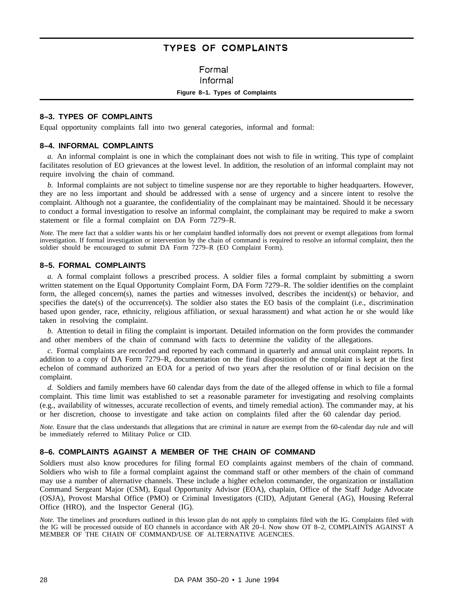# **TYPES OF COMPLAINTS**

# Formal

#### Informal

#### **Figure 8–1. Types of Complaints**

## **8–3. TYPES OF COMPLAINTS**

Equal opportunity complaints fall into two general categories, informal and formal:

## **8–4. INFORMAL COMPLAINTS**

*a.* An informal complaint is one in which the complainant does not wish to file in writing. This type of complaint facilitates resolution of EO grievances at the lowest level. In addition, the resolution of an informal complaint may not require involving the chain of command.

*b.* Informal complaints are not subject to timeline suspense nor are they reportable to higher headquarters. However, they are no less important and should be addressed with a sense of urgency and a sincere intent to resolve the complaint. Although not a guarantee, the confidentiality of the complainant may be maintained. Should it be necessary to conduct a formal investigation to resolve an informal complaint, the complainant may be required to make a sworn statement or file a formal complaint on DA Form 7279–R.

*Note.* The mere fact that a soldier wants his or her complaint handled informally does not prevent or exempt allegations from formal investigation. If formal investigation or intervention by the chain of command is required to resolve an informal complaint, then the soldier should be encouraged to submit DA Form 7279–R (EO Complaint Form).

# **8–5. FORMAL COMPLAINTS**

*a.* A formal complaint follows a prescribed process. A soldier files a formal complaint by submitting a sworn written statement on the Equal Opportunity Complaint Form, DA Form 7279–R. The soldier identifies on the complaint form, the alleged concern(s), names the parties and witnesses involved, describes the incident(s) or behavior, and specifies the date(s) of the occurrence(s). The soldier also states the EO basis of the complaint (i.e., discrimination based upon gender, race, ethnicity, religious affiliation, or sexual harassment) and what action he or she would like taken in resolving the complaint.

*b.* Attention to detail in filing the complaint is important. Detailed information on the form provides the commander and other members of the chain of command with facts to determine the validity of the allegations.

*c.* Formal complaints are recorded and reported by each command in quarterly and annual unit complaint reports. In addition to a copy of DA Form 7279–R, documentation on the final disposition of the complaint is kept at the first echelon of command authorized an EOA for a period of two years after the resolution of or final decision on the complaint.

*d.* Soldiers and family members have 60 calendar days from the date of the alleged offense in which to file a formal complaint. This time limit was established to set a reasonable parameter for investigating and resolving complaints (e.g., availability of witnesses, accurate recollection of events, and timely remedial action). The commander may, at his or her discretion, choose to investigate and take action on complaints filed after the 60 calendar day period.

*Note.* Ensure that the class understands that allegations that are criminal in nature are exempt from the 60-calendar day rule and will be immediately referred to Military Police or CID.

# **8–6. COMPLAINTS AGAINST A MEMBER OF THE CHAIN OF COMMAND**

Soldiers must also know procedures for filing formal EO complaints against members of the chain of command. Soldiers who wish to file a formal complaint against the command staff or other members of the chain of command may use a number of alternative channels. These include a higher echelon commander, the organization or installation Command Sergeant Major (CSM), Equal Opportunity Advisor (EOA), chaplain, Office of the Staff Judge Advocate (OSJA), Provost Marshal Office (PMO) or Criminal Investigators (CID), Adjutant General (AG), Housing Referral Office (HRO), and the Inspector General (IG).

*Note.* The timelines and procedures outlined in this lesson plan do not apply to complaints filed with the IG. Complaints filed with the IG will be processed outside of EO channels in accordance with AR 20–l. Now show OT 8–2, COMPLAINTS AGAINST A MEMBER OF THE CHAIN OF COMMAND/USE OF ALTERNATIVE AGENCIES.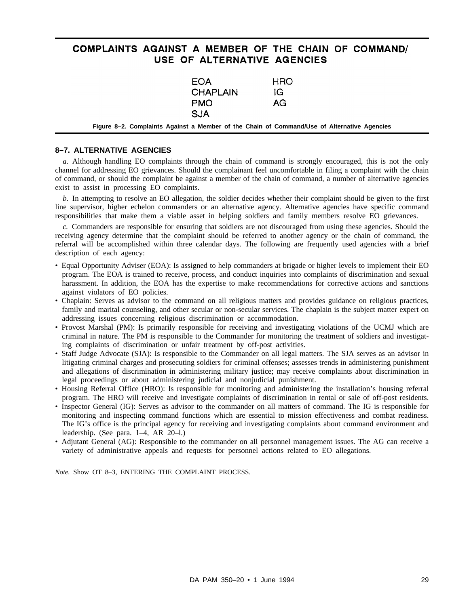# COMPLAINTS AGAINST A MEMBER OF THE CHAIN OF COMMAND/ USE OF ALTERNATIVE AGENCIES

| EOA<br><b>CHAPLAIN</b><br><b>PMO</b><br><b>SJA</b>                                          | HRO<br>IG<br>AG |  |
|---------------------------------------------------------------------------------------------|-----------------|--|
| Figure 8–2. Complaints Against a Member of the Chain of Command/Use of Alternative Agencies |                 |  |

#### **8–7. ALTERNATIVE AGENCIES**

*a.* Although handling EO complaints through the chain of command is strongly encouraged, this is not the only channel for addressing EO grievances. Should the complainant feel uncomfortable in filing a complaint with the chain of command, or should the complaint be against a member of the chain of command, a number of alternative agencies exist to assist in processing EO complaints.

*b.* In attempting to resolve an EO allegation, the soldier decides whether their complaint should be given to the first line supervisor, higher echelon commanders or an alternative agency. Alternative agencies have specific command responsibilities that make them a viable asset in helping soldiers and family members resolve EO grievances.

*c.* Commanders are responsible for ensuring that soldiers are not discouraged from using these agencies. Should the receiving agency determine that the complaint should be referred to another agency or the chain of command, the referral will be accomplished within three calendar days. The following are frequently used agencies with a brief description of each agency:

- Equal Opportunity Adviser (EOA): Is assigned to help commanders at brigade or higher levels to implement their EO program. The EOA is trained to receive, process, and conduct inquiries into complaints of discrimination and sexual harassment. In addition, the EOA has the expertise to make recommendations for corrective actions and sanctions against violators of EO policies.
- Chaplain: Serves as advisor to the command on all religious matters and provides guidance on religious practices, family and marital counseling, and other secular or non-secular services. The chaplain is the subject matter expert on addressing issues concerning religious discrimination or accommodation.
- Provost Marshal (PM): Is primarily responsible for receiving and investigating violations of the UCMJ which are criminal in nature. The PM is responsible to the Commander for monitoring the treatment of soldiers and investigating complaints of discrimination or unfair treatment by off-post activities.
- Staff Judge Advocate (SJA): Is responsible to the Commander on all legal matters. The SJA serves as an advisor in litigating criminal charges and prosecuting soldiers for criminal offenses; assesses trends in administering punishment and allegations of discrimination in administering military justice; may receive complaints about discrimination in legal proceedings or about administering judicial and nonjudicial punishment.
- Housing Referral Office (HRO): Is responsible for monitoring and administering the installation's housing referral program. The HRO will receive and investigate complaints of discrimination in rental or sale of off-post residents.
- Inspector General (IG): Serves as advisor to the commander on all matters of command. The IG is responsible for monitoring and inspecting command functions which are essential to mission effectiveness and combat readiness. The IG's office is the principal agency for receiving and investigating complaints about command environment and leadership. (See para. 1–4, AR 20–l.)
- Adjutant General (AG): Responsible to the commander on all personnel management issues. The AG can receive a variety of administrative appeals and requests for personnel actions related to EO allegations.

*Note.* Show OT 8–3, ENTERING THE COMPLAINT PROCESS.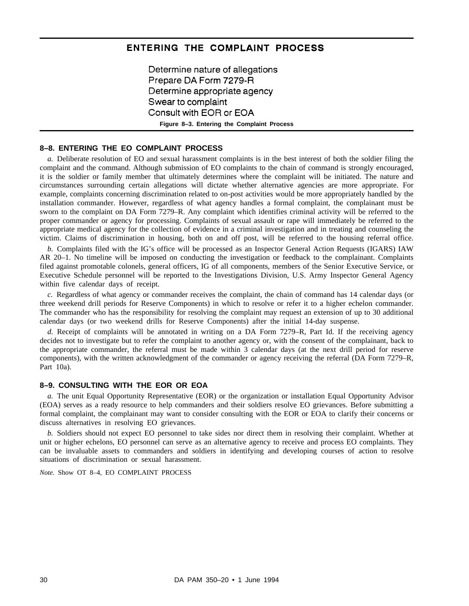# ENTERING THE COMPLAINT PROCESS

Determine nature of allegations Prepare DA Form 7279-R Determine appropriate agency Swear to complaint Consult with EOR or EOA **Figure 8–3. Entering the Complaint Process**

# **8–8. ENTERING THE EO COMPLAINT PROCESS**

*a.* Deliberate resolution of EO and sexual harassment complaints is in the best interest of both the soldier filing the complaint and the command. Although submission of EO complaints to the chain of command is strongly encouraged, it is the soldier or family member that ultimately determines where the complaint will be initiated. The nature and circumstances surrounding certain allegations will dictate whether alternative agencies are more appropriate. For example, complaints concerning discrimination related to on-post activities would be more appropriately handled by the installation commander. However, regardless of what agency handles a formal complaint, the complainant must be sworn to the complaint on DA Form 7279–R. Any complaint which identifies criminal activity will be referred to the proper commander or agency for processing. Complaints of sexual assault or rape will immediately be referred to the appropriate medical agency for the collection of evidence in a criminal investigation and in treating and counseling the victim. Claims of discrimination in housing, both on and off post, will be referred to the housing referral office.

*b.* Complaints filed with the IG's office will be processed as an Inspector General Action Requests (IGARS) IAW AR 20–1. No timeline will be imposed on conducting the investigation or feedback to the complainant. Complaints filed against promotable colonels, general officers, IG of all components, members of the Senior Executive Service, or Executive Schedule personnel will be reported to the Investigations Division, U.S. Army Inspector General Agency within five calendar days of receipt.

*c.* Regardless of what agency or commander receives the complaint, the chain of command has 14 calendar days (or three weekend drill periods for Reserve Components) in which to resolve or refer it to a higher echelon commander. The commander who has the responsibility for resolving the complaint may request an extension of up to 30 additional calendar days (or two weekend drills for Reserve Components) after the initial 14-day suspense.

*d.* Receipt of complaints will be annotated in writing on a DA Form 7279–R, Part Id. If the receiving agency decides not to investigate but to refer the complaint to another agency or, with the consent of the complainant, back to the appropriate commander, the referral must be made within 3 calendar days (at the next drill period for reserve components), with the written acknowledgment of the commander or agency receiving the referral (DA Form 7279–R, Part 10a).

#### **8–9. CONSULTING WITH THE EOR OR EOA**

*a.* The unit Equal Opportunity Representative (EOR) or the organization or installation Equal Opportunity Advisor (EOA) serves as a ready resource to help commanders and their soldiers resolve EO grievances. Before submitting a formal complaint, the complainant may want to consider consulting with the EOR or EOA to clarify their concerns or discuss alternatives in resolving EO grievances.

*b.* Soldiers should not expect EO personnel to take sides nor direct them in resolving their complaint. Whether at unit or higher echelons, EO personnel can serve as an alternative agency to receive and process EO complaints. They can be invaluable assets to commanders and soldiers in identifying and developing courses of action to resolve situations of discrimination or sexual harassment.

*Note.* Show OT 8–4, EO COMPLAINT PROCESS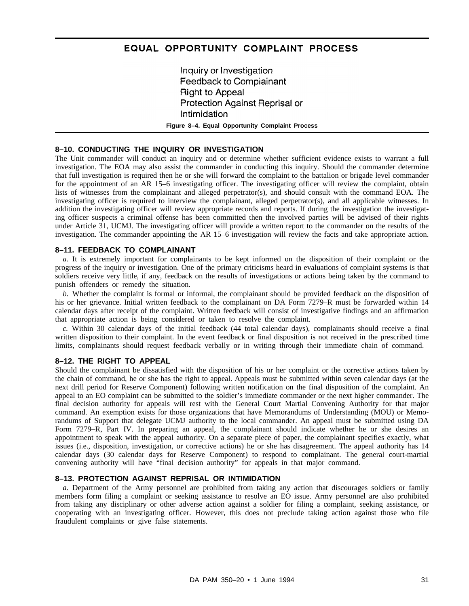# EQUAL OPPORTUNITY COMPLAINT PROCESS

Inquiry or Investigation Feedback to Compiainant **Right to Appeal** Protection Against Reprisal or Intimidation **Figure 8–4. Equal Opportunity Complaint Process**

#### **8–10. CONDUCTING THE INQUIRY OR INVESTIGATION**

The Unit commander will conduct an inquiry and or determine whether sufficient evidence exists to warrant a full investigation. The EOA may also assist the commander in conducting this inquiry. Should the commander determine that full investigation is required then he or she will forward the complaint to the battalion or brigade level commander for the appointment of an AR 15–6 investigating officer. The investigating officer will review the complaint, obtain lists of witnesses from the complainant and alleged perpetrator(s), and should consult with the command EOA. The investigating officer is required to interview the complainant, alleged perpetrator(s), and all applicable witnesses. In addition the investigating officer will review appropriate records and reports. If during the investigation the investigating officer suspects a criminal offense has been committed then the involved parties will be advised of their rights under Article 31, UCMJ. The investigating officer will provide a written report to the commander on the results of the investigation. The commander appointing the AR 15–6 investigation will review the facts and take appropriate action.

#### **8–11. FEEDBACK TO COMPLAINANT**

*a.* It is extremely important for complainants to be kept informed on the disposition of their complaint or the progress of the inquiry or investigation. One of the primary criticisms heard in evaluations of complaint systems is that soldiers receive very little, if any, feedback on the results of investigations or actions being taken by the command to punish offenders or remedy the situation.

*b.* Whether the complaint is formal or informal, the complainant should be provided feedback on the disposition of his or her grievance. Initial written feedback to the complainant on DA Form 7279–R must be forwarded within 14 calendar days after receipt of the complaint. Written feedback will consist of investigative findings and an affirmation that appropriate action is being considered or taken to resolve the complaint.

*c.* Within 30 calendar days of the initial feedback (44 total calendar days), complainants should receive a final written disposition to their complaint. In the event feedback or final disposition is not received in the prescribed time limits, complainants should request feedback verbally or in writing through their immediate chain of command.

#### **8–12. THE RIGHT TO APPEAL**

Should the complainant be dissatisfied with the disposition of his or her complaint or the corrective actions taken by the chain of command, he or she has the right to appeal. Appeals must be submitted within seven calendar days (at the next drill period for Reserve Component) following written notification on the final disposition of the complaint. An appeal to an EO complaint can be submitted to the soldier's immediate commander or the next higher commander. The final decision authority for appeals will rest with the General Court Martial Convening Authority for that major command. An exemption exists for those organizations that have Memorandums of Understanding (MOU) or Memorandums of Support that delegate UCMJ authority to the local commander. An appeal must be submitted using DA Form 7279–R, Part IV. In preparing an appeal, the complainant should indicate whether he or she desires an appointment to speak with the appeal authority. On a separate piece of paper, the complainant specifies exactly, what issues (i.e., disposition, investigation, or corrective actions) he or she has disagreement. The appeal authority has 14 calendar days (30 calendar days for Reserve Component) to respond to complainant. The general court-martial convening authority will have "final decision authority" for appeals in that major command.

# **8–13. PROTECTION AGAINST REPRISAL OR INTIMIDATION**

*a.* Department of the Army personnel are prohibited from taking any action that discourages soldiers or family members form filing a complaint or seeking assistance to resolve an EO issue. Army personnel are also prohibited from taking any disciplinary or other adverse action against a soldier for filing a complaint, seeking assistance, or cooperating with an investigating officer. However, this does not preclude taking action against those who file fraudulent complaints or give false statements.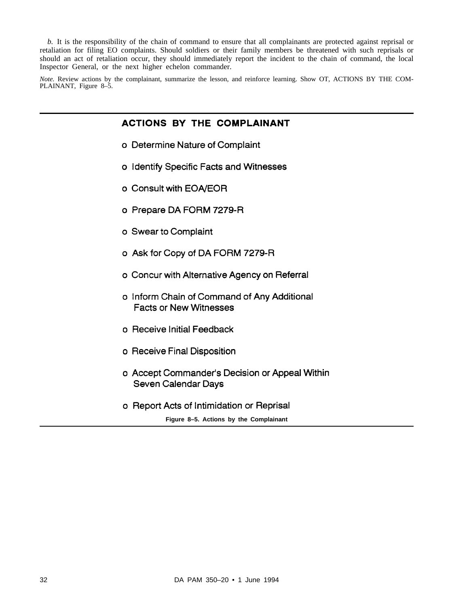*b.* It is the responsibility of the chain of command to ensure that all complainants are protected against reprisal or retaliation for filing EO complaints. Should soldiers or their family members be threatened with such reprisals or should an act of retaliation occur, they should immediately report the incident to the chain of command, the local Inspector General, or the next higher echelon commander.

*Note.* Review actions by the complainant, summarize the lesson, and reinforce learning. Show OT, ACTIONS BY THE COM-PLAINANT, Figure 8–5.

# **ACTIONS BY THE COMPLAINANT**

- o Determine Nature of Complaint
- o Identify Specific Facts and Witnesses
- o Consult with EOA/EOR
- o Prepare DA FORM 7279-R
- o Swear to Complaint
- o Ask for Copy of DA FORM 7279-R
- o Concur with Alternative Agency on Referral
- o Inform Chain of Command of Any Additional **Facts or New Witnesses**
- o Receive Initial Feedback
- o Receive Final Disposition
- o Accept Commander's Decision or Appeal Within Seven Calendar Days
- o Report Acts of Intimidation or Reprisal

**Figure 8–5. Actions by the Complainant**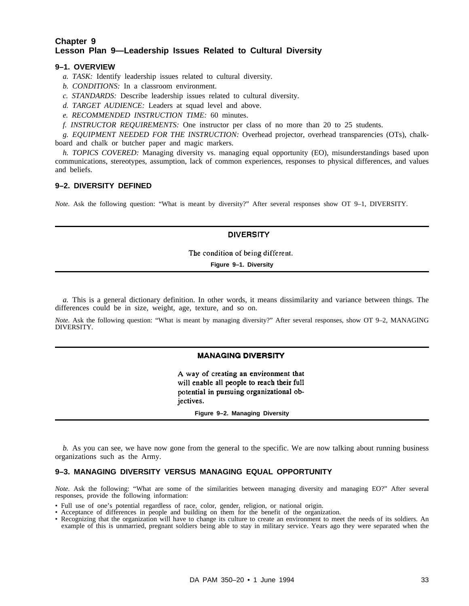# **Chapter 9 Lesson Plan 9—Leadership Issues Related to Cultural Diversity**

# **9–1. OVERVIEW**

- *a. TASK:* Identify leadership issues related to cultural diversity.
- *b. CONDITIONS:* In a classroom environment.
- *c. STANDARDS:* Describe leadership issues related to cultural diversity.
- *d. TARGET AUDIENCE:* Leaders at squad level and above.
- *e. RECOMMENDED INSTRUCTION TIME:* 60 minutes.
- *f. INSTRUCTOR REQUIREMENTS:* One instructor per class of no more than 20 to 25 students.

*g. EQUIPMENT NEEDED FOR THE INSTRUCTION:* Overhead projector, overhead transparencies (OTs), chalkboard and chalk or butcher paper and magic markers.

*h. TOPICS COVERED:* Managing diversity vs. managing equal opportunity (EO), misunderstandings based upon communications, stereotypes, assumption, lack of common experiences, responses to physical differences, and values and beliefs.

#### **9–2. DIVERSITY DEFINED**

*Note.* Ask the following question: "What is meant by diversity?" After several responses show OT 9–1, DIVERSITY.

# **DIVERSITY**

The condition of being different.

**Figure 9–1. Diversity**

*a.* This is a general dictionary definition. In other words, it means dissimilarity and variance between things. The differences could be in size, weight, age, texture, and so on.

*Note.* Ask the following question: "What is meant by managing diversity?" After several responses, show OT 9–2, MANAGING DIVERSITY.

#### **MANAGING DIVERSITY**

A way of creating an environment that will enable all people to reach their full potential in pursuing organizational objectives.

**Figure 9–2. Managing Diversity**

*b.* As you can see, we have now gone from the general to the specific. We are now talking about running business organizations such as the Army.

# **9–3. MANAGING DIVERSITY VERSUS MANAGING EQUAL OPPORTUNITY**

*Note.* Ask the following: "What are some of the similarities between managing diversity and managing EO?" After several responses, provide the following information:

- Full use of one's potential regardless of race, color, gender, religion, or national origin. Acceptance of differences in people and building on them for the benefit of the organization.
- 
- Recognizing that the organization will have to change its culture to create an environment to meet the needs of its soldiers. An example of this is unmarried, pregnant soldiers being able to stay in military service. Years ago they were separated when the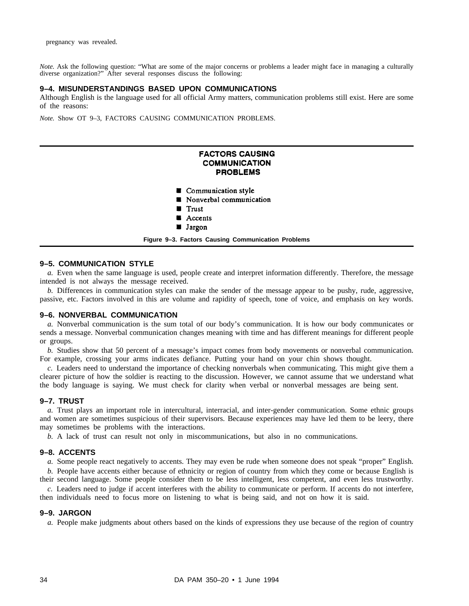*Note.* Ask the following question: "What are some of the major concerns or problems a leader might face in managing a culturally diverse organization?" After several responses discuss the following:

#### **9–4. MISUNDERSTANDINGS BASED UPON COMMUNICATIONS**

Although English is the language used for all official Army matters, communication problems still exist. Here are some of the reasons:

*Note.* Show OT 9–3, FACTORS CAUSING COMMUNICATION PROBLEMS.

# **FACTORS CAUSING COMMUNICATION PROBLEMS**

- Communication style
- **Nonverbal communication**
- **Trust**
- Accents
- **Jargon**
- **Figure 9–3. Factors Causing Communication Problems**

#### **9–5. COMMUNICATION STYLE**

*a.* Even when the same language is used, people create and interpret information differently. Therefore, the message intended is not always the message received.

*b.* Differences in communication styles can make the sender of the message appear to be pushy, rude, aggressive, passive, etc. Factors involved in this are volume and rapidity of speech, tone of voice, and emphasis on key words.

#### **9–6. NONVERBAL COMMUNICATION**

*a.* Nonverbal communication is the sum total of our body's communication. It is how our body communicates or sends a message. Nonverbal communication changes meaning with time and has different meanings for different people or groups.

*b.* Studies show that 50 percent of a message's impact comes from body movements or nonverbal communication. For example, crossing your arms indicates defiance. Putting your hand on your chin shows thought.

*c.* Leaders need to understand the importance of checking nonverbals when communicating. This might give them a clearer picture of how the soldier is reacting to the discussion. However, we cannot assume that we understand what the body language is saying. We must check for clarity when verbal or nonverbal messages are being sent.

#### **9–7. TRUST**

*a.* Trust plays an important role in intercultural, interracial, and inter-gender communication. Some ethnic groups and women are sometimes suspicious of their supervisors. Because experiences may have led them to be leery, there may sometimes be problems with the interactions.

*b.* A lack of trust can result not only in miscommunications, but also in no communications.

#### **9–8. ACCENTS**

*a.* Some people react negatively to accents. They may even be rude when someone does not speak "proper" English.

*b.* People have accents either because of ethnicity or region of country from which they come or because English is their second language. Some people consider them to be less intelligent, less competent, and even less trustworthy. *c.* Leaders need to judge if accent interferes with the ability to communicate or perform. If accents do not interfere,

then individuals need to focus more on listening to what is being said, and not on how it is said.

#### **9–9. JARGON**

*a.* People make judgments about others based on the kinds of expressions they use because of the region of country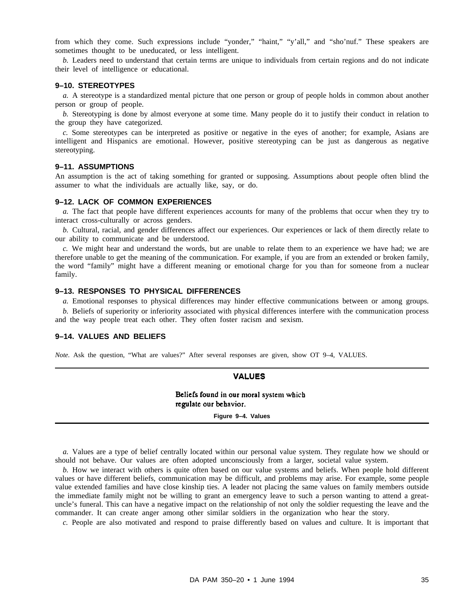from which they come. Such expressions include "yonder," "haint," "y'all," and "sho'nuf." These speakers are sometimes thought to be uneducated, or less intelligent.

*b.* Leaders need to understand that certain terms are unique to individuals from certain regions and do not indicate their level of intelligence or educational.

#### **9–10. STEREOTYPES**

*a.* A stereotype is a standardized mental picture that one person or group of people holds in common about another person or group of people.

*b.* Stereotyping is done by almost everyone at some time. Many people do it to justify their conduct in relation to the group they have categorized.

*c.* Some stereotypes can be interpreted as positive or negative in the eyes of another; for example, Asians are intelligent and Hispanics are emotional. However, positive stereotyping can be just as dangerous as negative stereotyping.

#### **9–11. ASSUMPTIONS**

An assumption is the act of taking something for granted or supposing. Assumptions about people often blind the assumer to what the individuals are actually like, say, or do.

#### **9–12. LACK OF COMMON EXPERIENCES**

*a.* The fact that people have different experiences accounts for many of the problems that occur when they try to interact cross-culturally or across genders.

*b.* Cultural, racial, and gender differences affect our experiences. Our experiences or lack of them directly relate to our ability to communicate and be understood.

*c.* We might hear and understand the words, but are unable to relate them to an experience we have had; we are therefore unable to get the meaning of the communication. For example, if you are from an extended or broken family, the word "family" might have a different meaning or emotional charge for you than for someone from a nuclear family.

#### **9–13. RESPONSES TO PHYSICAL DIFFERENCES**

*a.* Emotional responses to physical differences may hinder effective communications between or among groups. *b.* Beliefs of superiority or inferiority associated with physical differences interfere with the communication process and the way people treat each other. They often foster racism and sexism.

#### **9–14. VALUES AND BELIEFS**

*Note.* Ask the question, "What are values?" After several responses are given, show OT 9–4, VALUES.

#### **VALUES**

Beliefs found in our moral system which regulate our behavior.

**Figure 9–4. Values**

*a.* Values are a type of belief centrally located within our personal value system. They regulate how we should or should not behave. Our values are often adopted unconsciously from a larger, societal value system.

*b.* How we interact with others is quite often based on our value systems and beliefs. When people hold different values or have different beliefs, communication may be difficult, and problems may arise. For example, some people value extended families and have close kinship ties. A leader not placing the same values on family members outside the immediate family might not be willing to grant an emergency leave to such a person wanting to attend a greatuncle's funeral. This can have a negative impact on the relationship of not only the soldier requesting the leave and the commander. It can create anger among other similar soldiers in the organization who hear the story.

*c.* People are also motivated and respond to praise differently based on values and culture. It is important that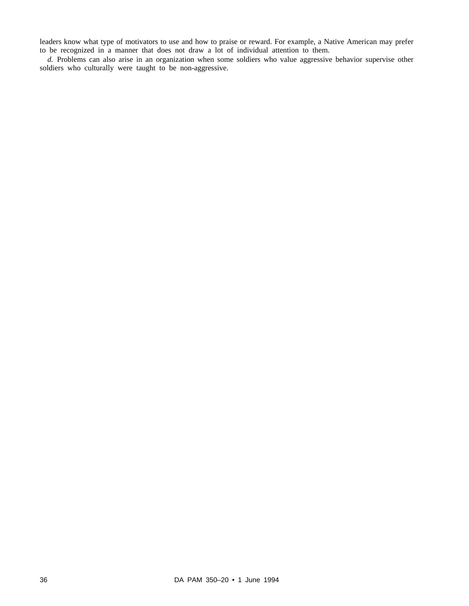leaders know what type of motivators to use and how to praise or reward. For example, a Native American may prefer to be recognized in a manner that does not draw a lot of individual attention to them.

*d.* Problems can also arise in an organization when some soldiers who value aggressive behavior supervise other soldiers who culturally were taught to be non-aggressive.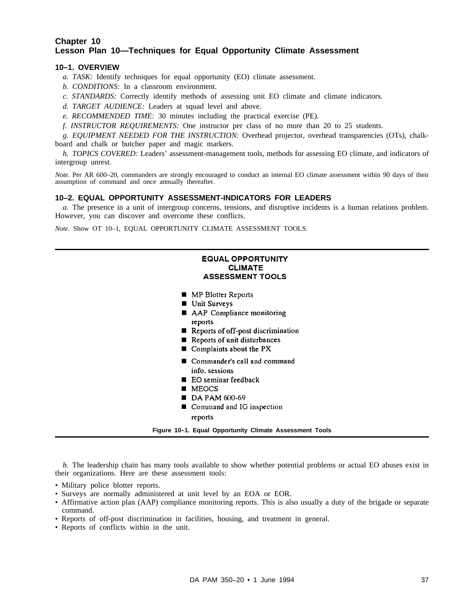# **Chapter 10 Lesson Plan 10—Techniques for Equal Opportunity Climate Assessment**

# **10–1. OVERVIEW**

- *a. TASK:* Identify techniques for equal opportunity (EO) climate assessment.
- *b. CONDITIONS:* In a classroom environment.
- *c. STANDARDS:* Correctly identify methods of assessing unit EO climate and climate indicators.
- *d. TARGET AUDIENCE:* Leaders at squad level and above.
- *e. RECOMMENDED TIME:* 30 minutes including the practical exercise (PE).
- *f. INSTRUCTOR REQUIREMENTS:* One instructor per class of no more than 20 to 25 students.

*g. EQUIPMENT NEEDED FOR THE INSTRUCTION:* Overhead projector, overhead transparencies (OTs), chalkboard and chalk or butcher paper and magic markers.

*h. TOPICS COVERED:* Leaders' assessment-management tools, methods for assessing EO climate, and indicators of intergroup unrest.

*Note.* Per AR 600–20, commanders are strongly encouraged to conduct an internal EO climate assessment within 90 days of their assumption of command and once annually thereafter.

#### **10–2. EQUAL OPPORTUNITY ASSESSMENT-INDICATORS FOR LEADERS**

*a.* The presence in a unit of intergroup concerns, tensions, and disruptive incidents is a human relations problem. However, you can discover and overcome these conflicts.

*Note.* Show OT 10–1, EQUAL OPPORTUNITY CLIMATE ASSESSMENT TOOLS.

# **EQUAL OPPORTUNITY CLIMATE ASSESSMENT TOOLS**

- **MP Blotter Reports**
- **Unit Surveys**
- AAP Compliance monitoring reports
- Reports of off-post discrimination
- Reports of unit disturbances
- Complaints about the PX
- Commander's call and command info. sessions
- **E** EO seminar feedback
- **MEOCS**
- $\blacksquare$  DA PAM 600-69
- Command and IG inspection reports

```
Figure 10–1. Equal Opportunity Climate Assessment Tools
```
*b.* The leadership chain has many tools available to show whether potential problems or actual EO abuses exist in their organizations. Here are these assessment tools:

- Military police blotter reports.
- Surveys are normally administered at unit level by an EOA or EOR.
- Affirmative action plan (AAP) compliance monitoring reports. This is also usually a duty of the brigade or separate command.
- Reports of off-post discrimination in facilities, housing, and treatment in general.
- Reports of conflicts within in the unit.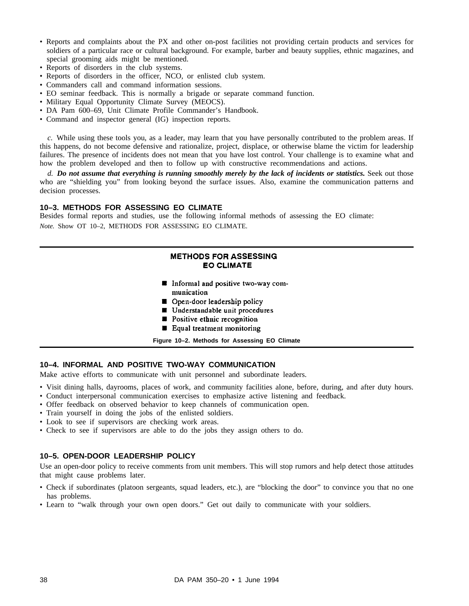- Reports and complaints about the PX and other on-post facilities not providing certain products and services for soldiers of a particular race or cultural background. For example, barber and beauty supplies, ethnic magazines, and special grooming aids might be mentioned.
- Reports of disorders in the club systems.
- Reports of disorders in the officer, NCO, or enlisted club system.
- Commanders call and command information sessions.
- EO seminar feedback. This is normally a brigade or separate command function.
- Military Equal Opportunity Climate Survey (MEOCS).
- DA Pam 600–69, Unit Climate Profile Commander's Handbook.
- Command and inspector general (IG) inspection reports.

*c.* While using these tools you, as a leader, may learn that you have personally contributed to the problem areas. If this happens, do not become defensive and rationalize, project, displace, or otherwise blame the victim for leadership failures. The presence of incidents does not mean that you have lost control. Your challenge is to examine what and how the problem developed and then to follow up with constructive recommendations and actions.

*d. Do not assume that everything is running smoothly merely by the lack of incidents or statistics.* Seek out those who are "shielding you" from looking beyond the surface issues. Also, examine the communication patterns and decision processes.

#### **10–3. METHODS FOR ASSESSING EO CLIMATE**

Besides formal reports and studies, use the following informal methods of assessing the EO climate: *Note.* Show OT 10–2, METHODS FOR ASSESSING EO CLIMATE.

# **METHODS FOR ASSESSING EO CLIMATE**

- Informal and positive two-way communication
- Open-door leadership policy
- Understandable unit procedures
- **Desitive ethnic recognition**
- Equal treatment monitoring

**Figure 10–2. Methods for Assessing EO Climate**

#### **10–4. INFORMAL AND POSITIVE TWO-WAY COMMUNICATION**

Make active efforts to communicate with unit personnel and subordinate leaders.

- Visit dining halls, dayrooms, places of work, and community facilities alone, before, during, and after duty hours.
- Conduct interpersonal communication exercises to emphasize active listening and feedback.
- Offer feedback on observed behavior to keep channels of communication open.
- Train yourself in doing the jobs of the enlisted soldiers.
- Look to see if supervisors are checking work areas.
- Check to see if supervisors are able to do the jobs they assign others to do.

#### **10–5. OPEN-DOOR LEADERSHIP POLICY**

Use an open-door policy to receive comments from unit members. This will stop rumors and help detect those attitudes that might cause problems later.

- Check if subordinates (platoon sergeants, squad leaders, etc.), are "blocking the door" to convince you that no one has problems.
- Learn to "walk through your own open doors." Get out daily to communicate with your soldiers.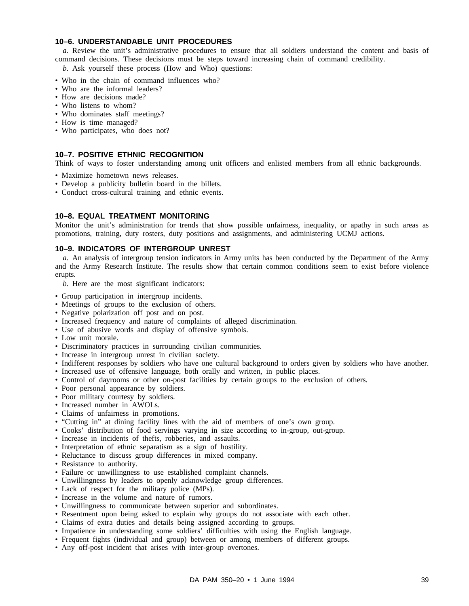# **10–6. UNDERSTANDABLE UNIT PROCEDURES**

*a.* Review the unit's administrative procedures to ensure that all soldiers understand the content and basis of command decisions. These decisions must be steps toward increasing chain of command credibility.

*b.* Ask yourself these process (How and Who) questions:

- Who in the chain of command influences who?
- Who are the informal leaders?
- How are decisions made?
- Who listens to whom?
- Who dominates staff meetings?
- How is time managed?
- Who participates, who does not?

# **10–7. POSITIVE ETHNIC RECOGNITION**

Think of ways to foster understanding among unit officers and enlisted members from all ethnic backgrounds.

- Maximize hometown news releases.
- Develop a publicity bulletin board in the billets.
- Conduct cross-cultural training and ethnic events.

#### **10–8. EQUAL TREATMENT MONITORING**

Monitor the unit's administration for trends that show possible unfairness, inequality, or apathy in such areas as promotions, training, duty rosters, duty positions and assignments, and administering UCMJ actions.

#### **10–9. INDICATORS OF INTERGROUP UNREST**

*a.* An analysis of intergroup tension indicators in Army units has been conducted by the Department of the Army and the Army Research Institute. The results show that certain common conditions seem to exist before violence erupts.

- *b.* Here are the most significant indicators:
- Group participation in intergroup incidents.
- Meetings of groups to the exclusion of others.
- Negative polarization off post and on post.
- Increased frequency and nature of complaints of alleged discrimination.
- Use of abusive words and display of offensive symbols.
- Low unit morale.
- Discriminatory practices in surrounding civilian communities.
- Increase in intergroup unrest in civilian society.
- Indifferent responses by soldiers who have one cultural background to orders given by soldiers who have another.
- Increased use of offensive language, both orally and written, in public places.
- Control of dayrooms or other on-post facilities by certain groups to the exclusion of others.
- Poor personal appearance by soldiers.
- Poor military courtesy by soldiers.
- Increased number in AWOLs.
- Claims of unfairness in promotions.
- "Cutting in" at dining facility lines with the aid of members of one's own group.
- Cooks' distribution of food servings varying in size according to in-group, out-group.
- Increase in incidents of thefts, robberies, and assaults.
- Interpretation of ethnic separatism as a sign of hostility.
- Reluctance to discuss group differences in mixed company.
- Resistance to authority.
- Failure or unwillingness to use established complaint channels.
- Unwillingness by leaders to openly acknowledge group differences.
- Lack of respect for the military police (MPs).
- Increase in the volume and nature of rumors.
- Unwillingness to communicate between superior and subordinates.
- Resentment upon being asked to explain why groups do not associate with each other.
- Claims of extra duties and details being assigned according to groups.
- Impatience in understanding some soldiers' difficulties with using the English language.
- Frequent fights (individual and group) between or among members of different groups.
- Any off-post incident that arises with inter-group overtones.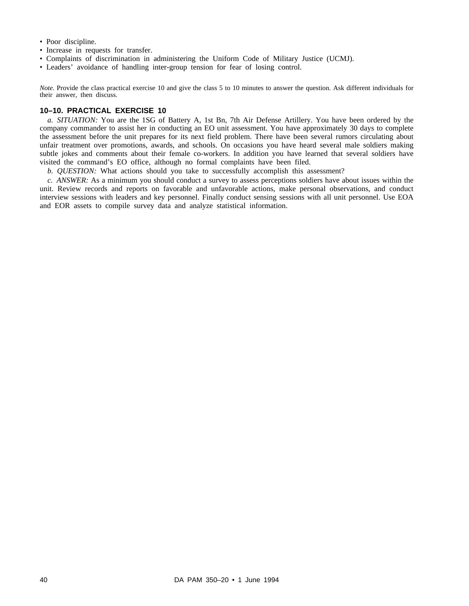- Poor discipline.
- Increase in requests for transfer.
- Complaints of discrimination in administering the Uniform Code of Military Justice (UCMJ).
- Leaders' avoidance of handling inter-group tension for fear of losing control.

*Note.* Provide the class practical exercise 10 and give the class 5 to 10 minutes to answer the question. Ask different individuals for their answer, then discuss.

# **10–10. PRACTICAL EXERCISE 10**

*a. SITUATION:* You are the 1SG of Battery A, 1st Bn, 7th Air Defense Artillery. You have been ordered by the company commander to assist her in conducting an EO unit assessment. You have approximately 30 days to complete the assessment before the unit prepares for its next field problem. There have been several rumors circulating about unfair treatment over promotions, awards, and schools. On occasions you have heard several male soldiers making subtle jokes and comments about their female co-workers. In addition you have learned that several soldiers have visited the command's EO office, although no formal complaints have been filed.

*b. QUESTION:* What actions should you take to successfully accomplish this assessment?

*c. ANSWER:* As a minimum you should conduct a survey to assess perceptions soldiers have about issues within the unit. Review records and reports on favorable and unfavorable actions, make personal observations, and conduct interview sessions with leaders and key personnel. Finally conduct sensing sessions with all unit personnel. Use EOA and EOR assets to compile survey data and analyze statistical information.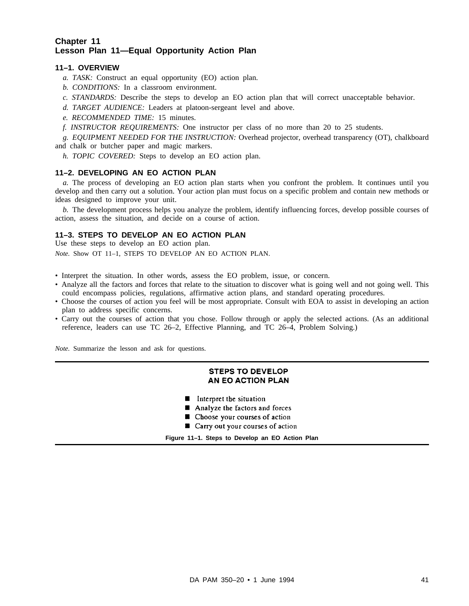# **Chapter 11 Lesson Plan 11—Equal Opportunity Action Plan**

# **11–1. OVERVIEW**

- *a. TASK:* Construct an equal opportunity (EO) action plan.
- *b. CONDITIONS:* In a classroom environment.
- *c. STANDARDS:* Describe the steps to develop an EO action plan that will correct unacceptable behavior.
- *d. TARGET AUDIENCE:* Leaders at platoon-sergeant level and above.
- *e. RECOMMENDED TIME:* 15 minutes.
- *f. INSTRUCTOR REQUIREMENTS:* One instructor per class of no more than 20 to 25 students.
- *g. EQUIPMENT NEEDED FOR THE INSTRUCTION:* Overhead projector, overhead transparency (OT), chalkboard and chalk or butcher paper and magic markers.
	- *h. TOPIC COVERED:* Steps to develop an EO action plan.

## **11–2. DEVELOPING AN EO ACTION PLAN**

*a.* The process of developing an EO action plan starts when you confront the problem. It continues until you develop and then carry out a solution. Your action plan must focus on a specific problem and contain new methods or ideas designed to improve your unit.

*b.* The development process helps you analyze the problem, identify influencing forces, develop possible courses of action, assess the situation, and decide on a course of action.

# **11–3. STEPS TO DEVELOP AN EO ACTION PLAN**

Use these steps to develop an EO action plan. *Note.* Show OT 11–1, STEPS TO DEVELOP AN EO ACTION PLAN.

- Interpret the situation. In other words, assess the EO problem, issue, or concern.
- Analyze all the factors and forces that relate to the situation to discover what is going well and not going well. This could encompass policies, regulations, affirmative action plans, and standard operating procedures.
- Choose the courses of action you feel will be most appropriate. Consult with EOA to assist in developing an action plan to address specific concerns.
- Carry out the courses of action that you chose. Follow through or apply the selected actions. (As an additional reference, leaders can use TC 26–2, Effective Planning, and TC 26–4, Problem Solving.)

*Note.* Summarize the lesson and ask for questions.

# **STEPS TO DEVELOP** AN EO ACTION PLAN

- Interpret the situation
- Analyze the factors and forces
- **DE** Choose your courses of action
- Carry out your courses of action

**Figure 11–1. Steps to Develop an EO Action Plan**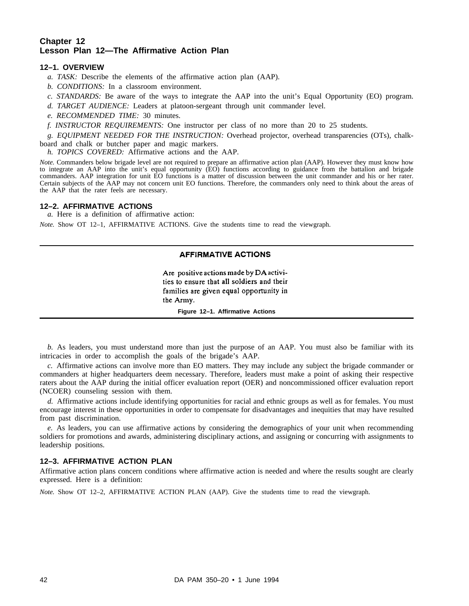# **Chapter 12 Lesson Plan 12—The Affirmative Action Plan**

# **12–1. OVERVIEW**

- *a. TASK:* Describe the elements of the affirmative action plan (AAP).
- *b. CONDITIONS:* In a classroom environment.
- *c. STANDARDS:* Be aware of the ways to integrate the AAP into the unit's Equal Opportunity (EO) program.
- *d. TARGET AUDIENCE:* Leaders at platoon-sergeant through unit commander level.
- *e. RECOMMENDED TIME:* 30 minutes.
- *f. INSTRUCTOR REQUIREMENTS:* One instructor per class of no more than 20 to 25 students.

*g. EQUIPMENT NEEDED FOR THE INSTRUCTION:* Overhead projector, overhead transparencies (OTs), chalkboard and chalk or butcher paper and magic markers.

*h. TOPICS COVERED:* Affirmative actions and the AAP.

*Note.* Commanders below brigade level are not required to prepare an affirmative action plan (AAP). However they must know how to integrate an AAP into the unit's equal opportunity (EO) functions according to guidance from the battalion and brigade commanders. AAP integration for unit EO functions is a matter of discussion between the unit commander and his or her rater. Certain subjects of the AAP may not concern unit EO functions. Therefore, the commanders only need to think about the areas of the AAP that the rater feels are necessary.

## **12–2. AFFIRMATIVE ACTIONS**

*a.* Here is a definition of affirmative action:

*Note.* Show OT 12–1, AFFIRMATIVE ACTIONS. Give the students time to read the viewgraph.

## **AFFIRMATIVE ACTIONS**

Are positive actions made by DA activities to ensure that all soldiers and their families are given equal opportunity in the Army. **Figure 12–1. Affirmative Actions**

*b.* As leaders, you must understand more than just the purpose of an AAP. You must also be familiar with its intricacies in order to accomplish the goals of the brigade's AAP.

*c.* Affirmative actions can involve more than EO matters. They may include any subject the brigade commander or commanders at higher headquarters deem necessary. Therefore, leaders must make a point of asking their respective raters about the AAP during the initial officer evaluation report (OER) and noncommissioned officer evaluation report (NCOER) counseling session with them.

*d.* Affirmative actions include identifying opportunities for racial and ethnic groups as well as for females. You must encourage interest in these opportunities in order to compensate for disadvantages and inequities that may have resulted from past discrimination.

*e.* As leaders, you can use affirmative actions by considering the demographics of your unit when recommending soldiers for promotions and awards, administering disciplinary actions, and assigning or concurring with assignments to leadership positions.

#### **12–3. AFFIRMATIVE ACTION PLAN**

Affirmative action plans concern conditions where affirmative action is needed and where the results sought are clearly expressed. Here is a definition:

*Note.* Show OT 12–2, AFFIRMATIVE ACTION PLAN (AAP). Give the students time to read the viewgraph.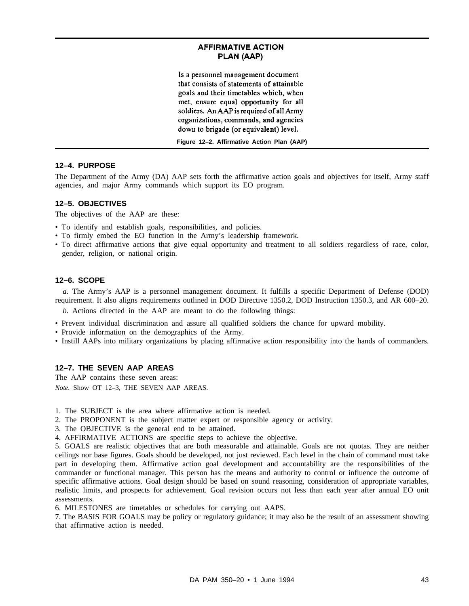# **AFFIRMATIVE ACTION** PLAN (AAP)

Is a personnel management document that consists of statements of attainable goals and their timetables which, when met, ensure equal opportunity for all soldiers. An AAP is required of all Army organizations, commands, and agencies down to brigade (or equivalent) level.

**Figure 12–2. Affirmative Action Plan (AAP)**

#### **12–4. PURPOSE**

The Department of the Army (DA) AAP sets forth the affirmative action goals and objectives for itself, Army staff agencies, and major Army commands which support its EO program.

#### **12–5. OBJECTIVES**

The objectives of the AAP are these:

- To identify and establish goals, responsibilities, and policies.
- To firmly embed the EO function in the Army's leadership framework.
- To direct affirmative actions that give equal opportunity and treatment to all soldiers regardless of race, color, gender, religion, or national origin.

#### **12–6. SCOPE**

*a.* The Army's AAP is a personnel management document. It fulfills a specific Department of Defense (DOD) requirement. It also aligns requirements outlined in DOD Directive 1350.2, DOD Instruction 1350.3, and AR 600–20.

*b.* Actions directed in the AAP are meant to do the following things:

- Prevent individual discrimination and assure all qualified soldiers the chance for upward mobility.
- Provide information on the demographics of the Army.
- Instill AAPs into military organizations by placing affirmative action responsibility into the hands of commanders.

# **12–7. THE SEVEN AAP AREAS**

The AAP contains these seven areas:

*Note.* Show OT 12–3, THE SEVEN AAP AREAS.

- 1. The SUBJECT is the area where affirmative action is needed.
- 2. The PROPONENT is the subject matter expert or responsible agency or activity.
- 3. The OBJECTIVE is the general end to be attained.
- 4. AFFIRMATIVE ACTIONS are specific steps to achieve the objective.

5. GOALS are realistic objectives that are both measurable and attainable. Goals are not quotas. They are neither ceilings nor base figures. Goals should be developed, not just reviewed. Each level in the chain of command must take part in developing them. Affirmative action goal development and accountability are the responsibilities of the commander or functional manager. This person has the means and authority to control or influence the outcome of specific affirmative actions. Goal design should be based on sound reasoning, consideration of appropriate variables, realistic limits, and prospects for achievement. Goal revision occurs not less than each year after annual EO unit assessments.

6. MILESTONES are timetables or schedules for carrying out AAPS.

7. The BASIS FOR GOALS may be policy or regulatory guidance; it may also be the result of an assessment showing that affirmative action is needed.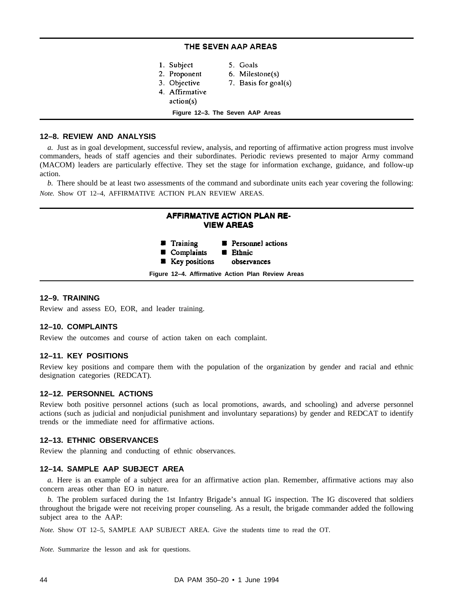## THE SEVEN AAP AREAS

| 1. Subject     | 5. Goals                         |
|----------------|----------------------------------|
| 2. Proponent   | 6. Milestone(s)                  |
| 3. Objective   | 7. Basis for goal(s)             |
| 4. Affirmative |                                  |
| action(s)      |                                  |
|                | Figure 12-3. The Seven AAP Areas |

# **12–8. REVIEW AND ANALYSIS**

*a.* Just as in goal development, successful review, analysis, and reporting of affirmative action progress must involve commanders, heads of staff agencies and their subordinates. Periodic reviews presented to major Army command (MACOM) leaders are particularly effective. They set the stage for information exchange, guidance, and follow-up action.

*b.* There should be at least two assessments of the command and subordinate units each year covering the following: *Note.* Show OT 12–4, AFFIRMATIVE ACTION PLAN REVIEW AREAS.



## **12–9. TRAINING**

Review and assess EO, EOR, and leader training.

#### **12–10. COMPLAINTS**

Review the outcomes and course of action taken on each complaint.

#### **12–11. KEY POSITIONS**

Review key positions and compare them with the population of the organization by gender and racial and ethnic designation categories (REDCAT).

#### **12–12. PERSONNEL ACTIONS**

Review both positive personnel actions (such as local promotions, awards, and schooling) and adverse personnel actions (such as judicial and nonjudicial punishment and involuntary separations) by gender and REDCAT to identify trends or the immediate need for affirmative actions.

#### **12–13. ETHNIC OBSERVANCES**

Review the planning and conducting of ethnic observances.

#### **12–14. SAMPLE AAP SUBJECT AREA**

*a.* Here is an example of a subject area for an affirmative action plan. Remember, affirmative actions may also concern areas other than EO in nature.

*b.* The problem surfaced during the 1st Infantry Brigade's annual IG inspection. The IG discovered that soldiers throughout the brigade were not receiving proper counseling. As a result, the brigade commander added the following subject area to the AAP:

*Note.* Show OT 12–5, SAMPLE AAP SUBJECT AREA. Give the students time to read the OT.

*Note.* Summarize the lesson and ask for questions.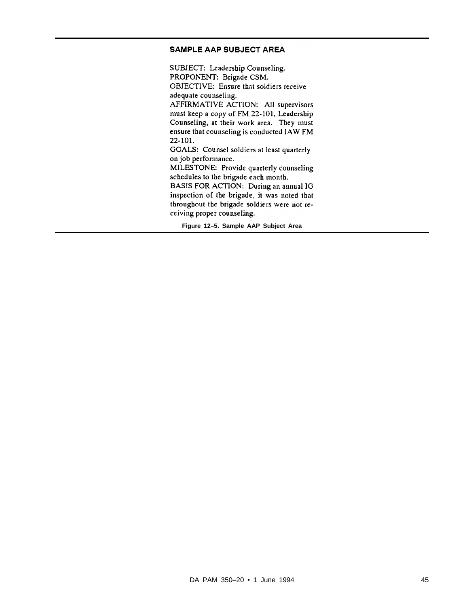# SAMPLE AAP SUBJECT AREA

SUBJECT: Leadership Counseling. PROPONENT: Brigade CSM. OBJECTIVE: Ensure that soldiers receive adequate counseling. AFFIRMATIVE ACTION: All supervisors must keep a copy of FM 22-101, Leadership Counseling, at their work area. They must ensure that counseling is conducted IAW FM 22-101. GOALS: Counsel soldiers at least quarterly on job performance. MILESTONE: Provide quarterly counseling schedules to the brigade each month. BASIS FOR ACTION: During an annual IG inspection of the brigade, it was noted that throughout the brigade soldiers were not re-

ceiving proper counseling.

**Figure 12–5. Sample AAP Subject Area**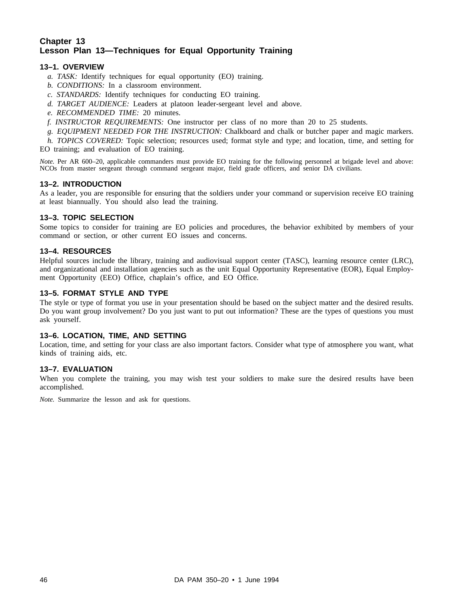# **Chapter 13 Lesson Plan 13—Techniques for Equal Opportunity Training**

# **13–1. OVERVIEW**

- *a. TASK:* Identify techniques for equal opportunity (EO) training.
- *b. CONDITIONS:* In a classroom environment.
- *c. STANDARDS:* Identify techniques for conducting EO training.
- *d. TARGET AUDIENCE:* Leaders at platoon leader-sergeant level and above.
- *e. RECOMMENDED TIME:* 20 minutes.
- *f. INSTRUCTOR REQUIREMENTS:* One instructor per class of no more than 20 to 25 students.
- *g. EQUIPMENT NEEDED FOR THE INSTRUCTION:* Chalkboard and chalk or butcher paper and magic markers.

*h. TOPICS COVERED:* Topic selection; resources used; format style and type; and location, time, and setting for EO training; and evaluation of EO training.

*Note.* Per AR 600–20, applicable commanders must provide EO training for the following personnel at brigade level and above: NCOs from master sergeant through command sergeant major, field grade officers, and senior DA civilians.

# **13–2. INTRODUCTION**

As a leader, you are responsible for ensuring that the soldiers under your command or supervision receive EO training at least biannually. You should also lead the training.

## **13–3. TOPIC SELECTION**

Some topics to consider for training are EO policies and procedures, the behavior exhibited by members of your command or section, or other current EO issues and concerns.

## **13–4. RESOURCES**

Helpful sources include the library, training and audiovisual support center (TASC), learning resource center (LRC), and organizational and installation agencies such as the unit Equal Opportunity Representative (EOR), Equal Employment Opportunity (EEO) Office, chaplain's office, and EO Office.

## **13–5. FORMAT STYLE AND TYPE**

The style or type of format you use in your presentation should be based on the subject matter and the desired results. Do you want group involvement? Do you just want to put out information? These are the types of questions you must ask yourself.

# **13–6. LOCATION, TIME, AND SETTING**

Location, time, and setting for your class are also important factors. Consider what type of atmosphere you want, what kinds of training aids, etc.

# **13–7. EVALUATION**

When you complete the training, you may wish test your soldiers to make sure the desired results have been accomplished.

*Note.* Summarize the lesson and ask for questions.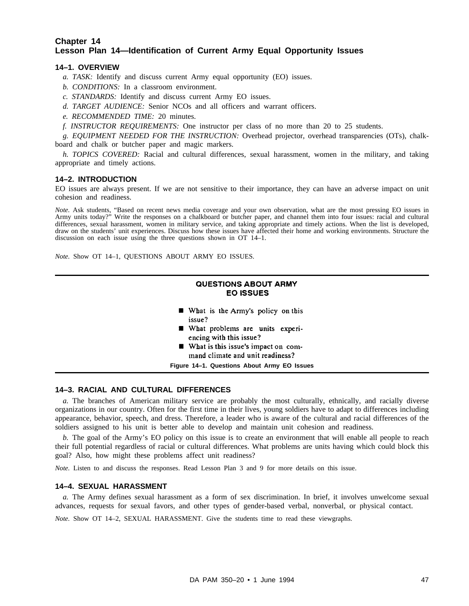# **Chapter 14 Lesson Plan 14—Identification of Current Army Equal Opportunity Issues**

## **14–1. OVERVIEW**

- *a. TASK:* Identify and discuss current Army equal opportunity (EO) issues.
- *b. CONDITIONS:* In a classroom environment.
- *c. STANDARDS:* Identify and discuss current Army EO issues.
- *d. TARGET AUDIENCE:* Senior NCOs and all officers and warrant officers.
- *e. RECOMMENDED TIME:* 20 minutes.
- *f. INSTRUCTOR REQUIREMENTS:* One instructor per class of no more than 20 to 25 students.

*g. EQUIPMENT NEEDED FOR THE INSTRUCTION:* Overhead projector, overhead transparencies (OTs), chalkboard and chalk or butcher paper and magic markers.

*h. TOPICS COVERED:* Racial and cultural differences, sexual harassment, women in the military, and taking appropriate and timely actions.

#### **14–2. INTRODUCTION**

EO issues are always present. If we are not sensitive to their importance, they can have an adverse impact on unit cohesion and readiness.

*Note.* Ask students, "Based on recent news media coverage and your own observation, what are the most pressing EO issues in Army units today?" Write the responses on a chalkboard or butcher paper, and channel them into four issues: racial and cultural differences, sexual harassment, women in military service, and taking appropriate and timely actions. When the list is developed, draw on the students' unit experiences. Discuss how these issues have affected their home and working environments. Structure the discussion on each issue using the three questions shown in OT 14–1.

*Note.* Show OT 14–1, QUESTIONS ABOUT ARMY EO ISSUES.

## **QUESTIONS ABOUT ARMY EO ISSUES**

- What is the Army's policy on this issue?
- What problems are units experiencing with this issue?
- What is this issue's impact on command climate and unit readiness?

**Figure 14–1. Questions About Army EO Issues**

#### **14–3. RACIAL AND CULTURAL DIFFERENCES**

*a.* The branches of American military service are probably the most culturally, ethnically, and racially diverse organizations in our country. Often for the first time in their lives, young soldiers have to adapt to differences including appearance, behavior, speech, and dress. Therefore, a leader who is aware of the cultural and racial differences of the soldiers assigned to his unit is better able to develop and maintain unit cohesion and readiness.

*b.* The goal of the Army's EO policy on this issue is to create an environment that will enable all people to reach their full potential regardless of racial or cultural differences. What problems are units having which could block this goal? Also, how might these problems affect unit readiness?

*Note.* Listen to and discuss the responses. Read Lesson Plan 3 and 9 for more details on this issue.

#### **14–4. SEXUAL HARASSMENT**

*a.* The Army defines sexual harassment as a form of sex discrimination. In brief, it involves unwelcome sexual advances, requests for sexual favors, and other types of gender-based verbal, nonverbal, or physical contact.

*Note.* Show OT 14–2, SEXUAL HARASSMENT. Give the students time to read these viewgraphs.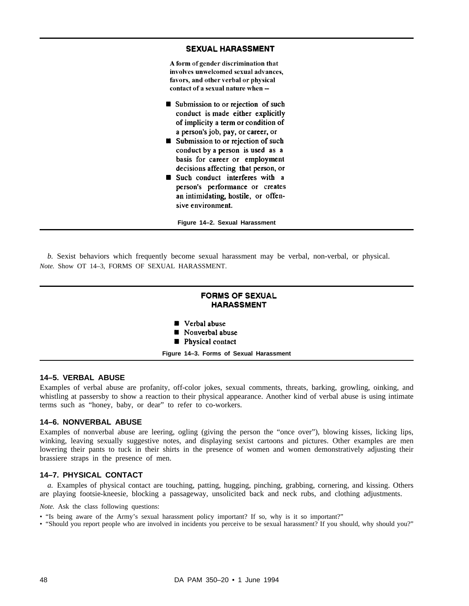## **SEXUAL HARASSMENT**

A form of gender discrimination that involves unwelcomed sexual advances, favors, and other verbal or physical contact of a sexual nature when --

- Submission to or rejection of such conduct is made either explicitly of implicity a term or condition of a person's job, pay, or career, or
- Submission to or rejection of such conduct by a person is used as a basis for career or employment decisions affecting that person, or
- Such conduct interferes with a person's performance or creates an intimidating, hostile, or offensive environment.

**Figure 14–2. Sexual Harassment**

*b.* Sexist behaviors which frequently become sexual harassment may be verbal, non-verbal, or physical. *Note.* Show OT 14–3, FORMS OF SEXUAL HARASSMENT.





- Nonverbal abuse
- Physical contact

**Figure 14–3. Forms of Sexual Harassment**

#### **14–5. VERBAL ABUSE**

Examples of verbal abuse are profanity, off-color jokes, sexual comments, threats, barking, growling, oinking, and whistling at passersby to show a reaction to their physical appearance. Another kind of verbal abuse is using intimate terms such as "honey, baby, or dear" to refer to co-workers.

#### **14–6. NONVERBAL ABUSE**

Examples of nonverbal abuse are leering, ogling (giving the person the "once over"), blowing kisses, licking lips, winking, leaving sexually suggestive notes, and displaying sexist cartoons and pictures. Other examples are men lowering their pants to tuck in their shirts in the presence of women and women demonstratively adjusting their brassiere straps in the presence of men.

## **14–7. PHYSICAL CONTACT**

*a.* Examples of physical contact are touching, patting, hugging, pinching, grabbing, cornering, and kissing. Others are playing footsie-kneesie, blocking a passageway, unsolicited back and neck rubs, and clothing adjustments.

*Note.* Ask the class following questions:

- "Is being aware of the Army's sexual harassment policy important? If so, why is it so important?"
- "Should you report people who are involved in incidents you perceive to be sexual harassment? If you should, why should you?"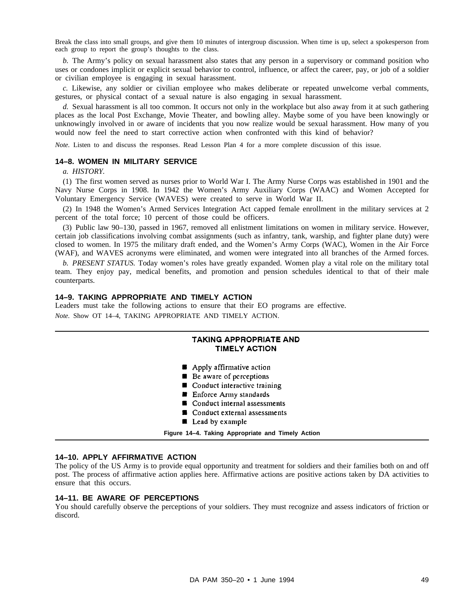Break the class into small groups, and give them 10 minutes of intergroup discussion. When time is up, select a spokesperson from each group to report the group's thoughts to the class.

*b.* The Army's policy on sexual harassment also states that any person in a supervisory or command position who uses or condones implicit or explicit sexual behavior to control, influence, or affect the career, pay, or job of a soldier or civilian employee is engaging in sexual harassment.

*c.* Likewise, any soldier or civilian employee who makes deliberate or repeated unwelcome verbal comments, gestures, or physical contact of a sexual nature is also engaging in sexual harassment.

*d.* Sexual harassment is all too common. It occurs not only in the workplace but also away from it at such gathering places as the local Post Exchange, Movie Theater, and bowling alley. Maybe some of you have been knowingly or unknowingly involved in or aware of incidents that you now realize would be sexual harassment. How many of you would now feel the need to start corrective action when confronted with this kind of behavior?

*Note.* Listen to and discuss the responses. Read Lesson Plan 4 for a more complete discussion of this issue.

#### **14–8. WOMEN IN MILITARY SERVICE**

*a. HISTORY.*

(1) The first women served as nurses prior to World War I. The Army Nurse Corps was established in 1901 and the Navy Nurse Corps in 1908. In 1942 the Women's Army Auxiliary Corps (WAAC) and Women Accepted for Voluntary Emergency Service (WAVES) were created to serve in World War II.

(2) In 1948 the Women's Armed Services Integration Act capped female enrollment in the military services at 2 percent of the total force; 10 percent of those could be officers.

(3) Public law 90–130, passed in 1967, removed all enlistment limitations on women in military service. However, certain job classifications involving combat assignments (such as infantry, tank, warship, and fighter plane duty) were closed to women. In 1975 the military draft ended, and the Women's Army Corps (WAC), Women in the Air Force (WAF), and WAVES acronyms were eliminated, and women were integrated into all branches of the Armed forces.

*b. PRESENT STATUS.* Today women's roles have greatly expanded. Women play a vital role on the military total team. They enjoy pay, medical benefits, and promotion and pension schedules identical to that of their male counterparts.

#### **14–9. TAKING APPROPRIATE AND TIMELY ACTION**

Leaders must take the following actions to ensure that their EO programs are effective. *Note.* Show OT 14–4, TAKING APPROPRIATE AND TIMELY ACTION.

# **TAKING APPROPRIATE AND TIMELY ACTION**

- Apply affirmative action
- Be aware of perceptions
- Conduct interactive training
- **Enforce Army standards**
- Conduct internal assessments
- Conduct external assessments
- Lead by example

**Figure 14–4. Taking Appropriate and Timely Action**

#### **14–10. APPLY AFFIRMATIVE ACTION**

The policy of the US Army is to provide equal opportunity and treatment for soldiers and their families both on and off post. The process of affirmative action applies here. Affirmative actions are positive actions taken by DA activities to ensure that this occurs.

#### **14–11. BE AWARE OF PERCEPTIONS**

You should carefully observe the perceptions of your soldiers. They must recognize and assess indicators of friction or discord.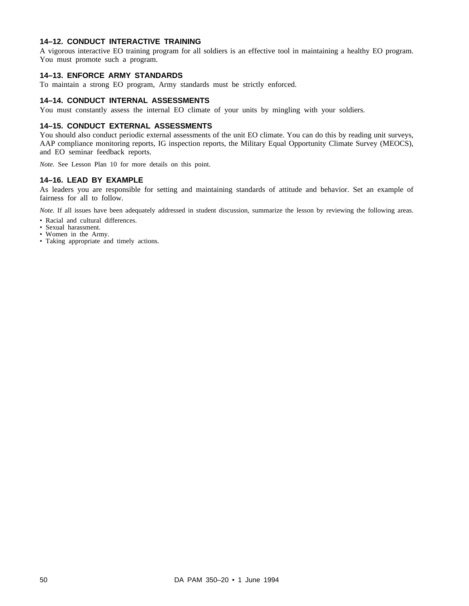# **14–12. CONDUCT INTERACTIVE TRAINING**

A vigorous interactive EO training program for all soldiers is an effective tool in maintaining a healthy EO program. You must promote such a program.

#### **14–13. ENFORCE ARMY STANDARDS**

To maintain a strong EO program, Army standards must be strictly enforced.

#### **14–14. CONDUCT INTERNAL ASSESSMENTS**

You must constantly assess the internal EO climate of your units by mingling with your soldiers.

#### **14–15. CONDUCT EXTERNAL ASSESSMENTS**

You should also conduct periodic external assessments of the unit EO climate. You can do this by reading unit surveys, AAP compliance monitoring reports, IG inspection reports, the Military Equal Opportunity Climate Survey (MEOCS), and EO seminar feedback reports.

*Note.* See Lesson Plan 10 for more details on this point.

#### **14–16. LEAD BY EXAMPLE**

As leaders you are responsible for setting and maintaining standards of attitude and behavior. Set an example of fairness for all to follow.

*Note.* If all issues have been adequately addressed in student discussion, summarize the lesson by reviewing the following areas.

- Racial and cultural differences.
- Sexual harassment.
- Women in the Army.
- Taking appropriate and timely actions.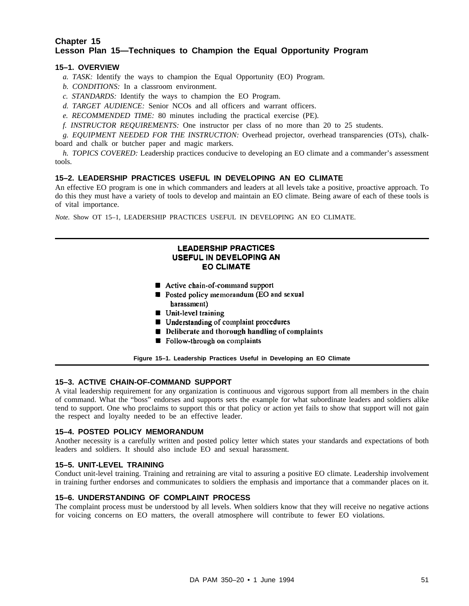# **Chapter 15 Lesson Plan 15—Techniques to Champion the Equal Opportunity Program**

# **15–1. OVERVIEW**

- *a. TASK:* Identify the ways to champion the Equal Opportunity (EO) Program.
- *b. CONDITIONS:* In a classroom environment.
- *c. STANDARDS:* Identify the ways to champion the EO Program.
- *d. TARGET AUDIENCE:* Senior NCOs and all officers and warrant officers.
- *e. RECOMMENDED TIME:* 80 minutes including the practical exercise (PE).
- *f. INSTRUCTOR REQUIREMENTS:* One instructor per class of no more than 20 to 25 students.

*g. EQUIPMENT NEEDED FOR THE INSTRUCTION:* Overhead projector, overhead transparencies (OTs), chalkboard and chalk or butcher paper and magic markers.

*h. TOPICS COVERED:* Leadership practices conducive to developing an EO climate and a commander's assessment tools.

## **15–2. LEADERSHIP PRACTICES USEFUL IN DEVELOPING AN EO CLIMATE**

An effective EO program is one in which commanders and leaders at all levels take a positive, proactive approach. To do this they must have a variety of tools to develop and maintain an EO climate. Being aware of each of these tools is of vital importance.

*Note.* Show OT 15–1, LEADERSHIP PRACTICES USEFUL IN DEVELOPING AN EO CLIMATE.

# **LEADERSHIP PRACTICES** USEFUL IN DEVELOPING AN **EO CLIMATE**

- Active chain-of-command support
- Posted policy memorandum (EO and sexual harassment)
- $\blacksquare$  Unit-level training
- **Understanding of complaint procedures**
- **Deliberate and thorough handling of complaints**
- **B** Follow-through on complaints

**Figure 15–1. Leadership Practices Useful in Developing an EO Climate**

# **15–3. ACTIVE CHAIN-OF-COMMAND SUPPORT**

A vital leadership requirement for any organization is continuous and vigorous support from all members in the chain of command. What the "boss" endorses and supports sets the example for what subordinate leaders and soldiers alike tend to support. One who proclaims to support this or that policy or action yet fails to show that support will not gain the respect and loyalty needed to be an effective leader.

# **15–4. POSTED POLICY MEMORANDUM**

Another necessity is a carefully written and posted policy letter which states your standards and expectations of both leaders and soldiers. It should also include EO and sexual harassment.

#### **15–5. UNIT-LEVEL TRAINING**

Conduct unit-level training. Training and retraining are vital to assuring a positive EO climate. Leadership involvement in training further endorses and communicates to soldiers the emphasis and importance that a commander places on it.

#### **15–6. UNDERSTANDING OF COMPLAINT PROCESS**

The complaint process must be understood by all levels. When soldiers know that they will receive no negative actions for voicing concerns on EO matters, the overall atmosphere will contribute to fewer EO violations.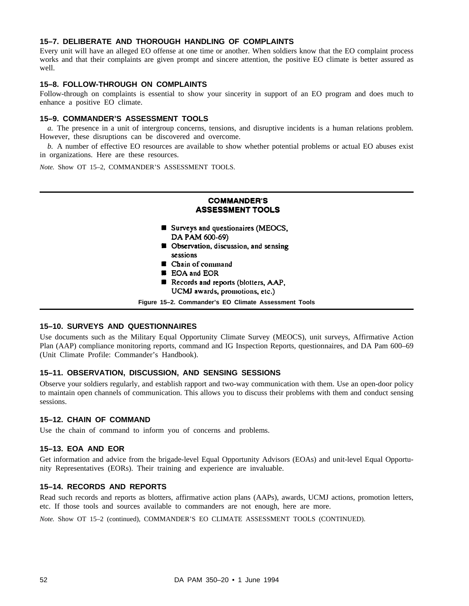# **15–7. DELIBERATE AND THOROUGH HANDLING OF COMPLAINTS**

Every unit will have an alleged EO offense at one time or another. When soldiers know that the EO complaint process works and that their complaints are given prompt and sincere attention, the positive EO climate is better assured as well.

#### **15–8. FOLLOW-THROUGH ON COMPLAINTS**

Follow-through on complaints is essential to show your sincerity in support of an EO program and does much to enhance a positive EO climate.

#### **15–9. COMMANDER'S ASSESSMENT TOOLS**

*a.* The presence in a unit of intergroup concerns, tensions, and disruptive incidents is a human relations problem. However, these disruptions can be discovered and overcome.

*b.* A number of effective EO resources are available to show whether potential problems or actual EO abuses exist in organizations. Here are these resources.

*Note.* Show OT 15–2, COMMANDER'S ASSESSMENT TOOLS.

# **COMMANDER'S ASSESSMENT TOOLS**

- Surveys and questionaires (MEOCS, DA PAM 600-69)
- **B** Observation, discussion, and sensing sessions
- Chain of command
- **EDA** and EOR
- Records and reports (blotters, AAP, UCMJ awards, promotions, etc.)

**Figure 15–2. Commander's EO Climate Assessment Tools**

## **15–10. SURVEYS AND QUESTIONNAIRES**

Use documents such as the Military Equal Opportunity Climate Survey (MEOCS), unit surveys, Affirmative Action Plan (AAP) compliance monitoring reports, command and IG Inspection Reports, questionnaires, and DA Pam 600–69 (Unit Climate Profile: Commander's Handbook).

#### **15–11. OBSERVATION, DISCUSSION, AND SENSING SESSIONS**

Observe your soldiers regularly, and establish rapport and two-way communication with them. Use an open-door policy to maintain open channels of communication. This allows you to discuss their problems with them and conduct sensing sessions.

#### **15–12. CHAIN OF COMMAND**

Use the chain of command to inform you of concerns and problems.

#### **15–13. EOA AND EOR**

Get information and advice from the brigade-level Equal Opportunity Advisors (EOAs) and unit-level Equal Opportunity Representatives (EORs). Their training and experience are invaluable.

#### **15–14. RECORDS AND REPORTS**

Read such records and reports as blotters, affirmative action plans (AAPs), awards, UCMJ actions, promotion letters, etc. If those tools and sources available to commanders are not enough, here are more.

*Note.* Show OT 15–2 (continued), COMMANDER'S EO CLIMATE ASSESSMENT TOOLS (CONTINUED).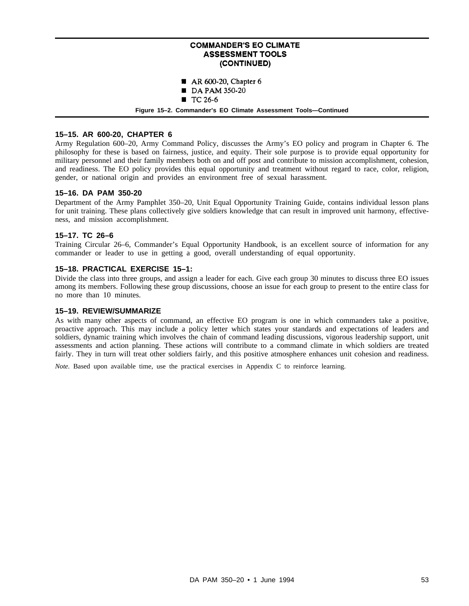# **COMMANDER'S EO CLIMATE ASSESSMENT TOOLS** (CONTINUED)

- $AR 600-20$ , Chapter 6
- DA PAM 350-20
- $TC26-6$

**Figure 15–2. Commander's EO Climate Assessment Tools—Continued**

# **15–15. AR 600-20, CHAPTER 6**

Army Regulation 600–20, Army Command Policy, discusses the Army's EO policy and program in Chapter 6. The philosophy for these is based on fairness, justice, and equity. Their sole purpose is to provide equal opportunity for military personnel and their family members both on and off post and contribute to mission accomplishment, cohesion, and readiness. The EO policy provides this equal opportunity and treatment without regard to race, color, religion, gender, or national origin and provides an environment free of sexual harassment.

## **15–16. DA PAM 350-20**

Department of the Army Pamphlet 350–20, Unit Equal Opportunity Training Guide, contains individual lesson plans for unit training. These plans collectively give soldiers knowledge that can result in improved unit harmony, effectiveness, and mission accomplishment.

# **15–17. TC 26–6**

Training Circular 26–6, Commander's Equal Opportunity Handbook, is an excellent source of information for any commander or leader to use in getting a good, overall understanding of equal opportunity.

## **15–18. PRACTICAL EXERCISE 15–1:**

Divide the class into three groups, and assign a leader for each. Give each group 30 minutes to discuss three EO issues among its members. Following these group discussions, choose an issue for each group to present to the entire class for no more than 10 minutes.

# **15–19. REVIEW/SUMMARIZE**

As with many other aspects of command, an effective EO program is one in which commanders take a positive, proactive approach. This may include a policy letter which states your standards and expectations of leaders and soldiers, dynamic training which involves the chain of command leading discussions, vigorous leadership support, unit assessments and action planning. These actions will contribute to a command climate in which soldiers are treated fairly. They in turn will treat other soldiers fairly, and this positive atmosphere enhances unit cohesion and readiness.

*Note.* Based upon available time, use the practical exercises in Appendix C to reinforce learning.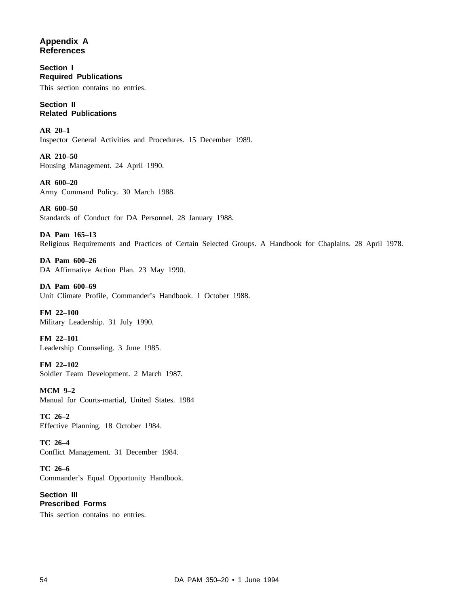**Appendix A References**

**Section I Required Publications** This section contains no entries.

**Section II Related Publications**

**AR 20–1** Inspector General Activities and Procedures. 15 December 1989.

**AR 210–50** Housing Management. 24 April 1990.

**AR 600–20** Army Command Policy. 30 March 1988.

**AR 600–50** Standards of Conduct for DA Personnel. 28 January 1988.

**DA Pam 165–13** Religious Requirements and Practices of Certain Selected Groups. A Handbook for Chaplains. 28 April 1978.

**DA Pam 600–26** DA Affirmative Action Plan. 23 May 1990.

**DA Pam 600–69** Unit Climate Profile, Commander's Handbook. 1 October 1988.

**FM 22–100** Military Leadership. 31 July 1990.

**FM 22–101** Leadership Counseling. 3 June 1985.

**FM 22–102** Soldier Team Development. 2 March 1987.

**MCM 9–2** Manual for Courts-martial, United States. 1984

**TC 26–2** Effective Planning. 18 October 1984.

**TC 26–4** Conflict Management. 31 December 1984.

**TC 26–6** Commander's Equal Opportunity Handbook.

**Section III Prescribed Forms** This section contains no entries.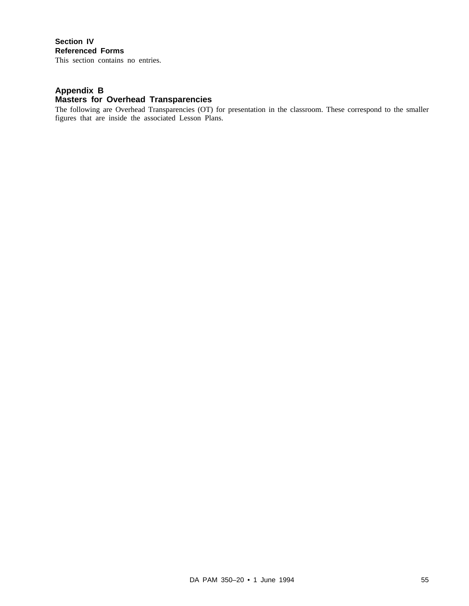# **Section IV Referenced Forms**

This section contains no entries.

# **Appendix B Masters for Overhead Transparencies**

The following are Overhead Transparencies (OT) for presentation in the classroom. These correspond to the smaller figures that are inside the associated Lesson Plans.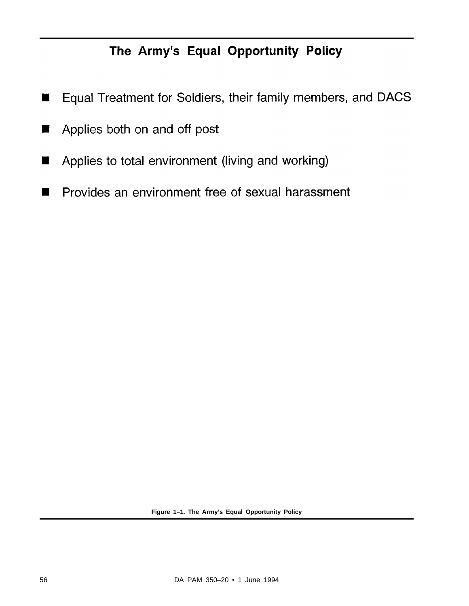# The Army's Equal Opportunity Policy

- Equal Treatment for Soldiers, their family members, and DACS П
- Applies both on and off post H
- Applies to total environment (living and working)  $\blacksquare$
- Provides an environment free of sexual harassment H

**Figure 1–1. The Army's Equal Opportunity Policy**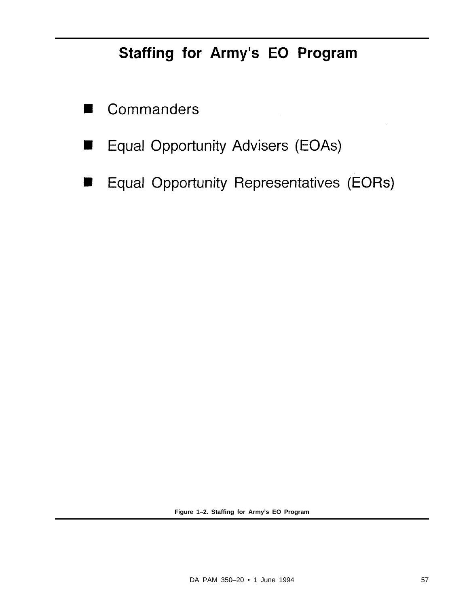# Staffing for Army's EO Program

- Commanders
- Equal Opportunity Advisers (EOAs) ш
- Equal Opportunity Representatives (EORs)  $\blacksquare$

**Figure 1–2. Staffing for Army's EO Program**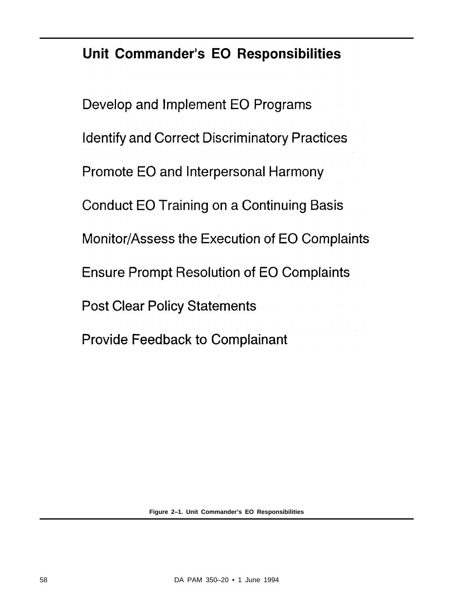# Unit Commander's EO Responsibilities

Develop and Implement EO Programs **Identify and Correct Discriminatory Practices** Promote EO and Interpersonal Harmony **Conduct EO Training on a Continuing Basis** Monitor/Assess the Execution of EO Complaints **Ensure Prompt Resolution of EO Complaints Post Clear Policy Statements Provide Feedback to Complainant** 

**Figure 2–1. Unit Commander's EO Responsibilities**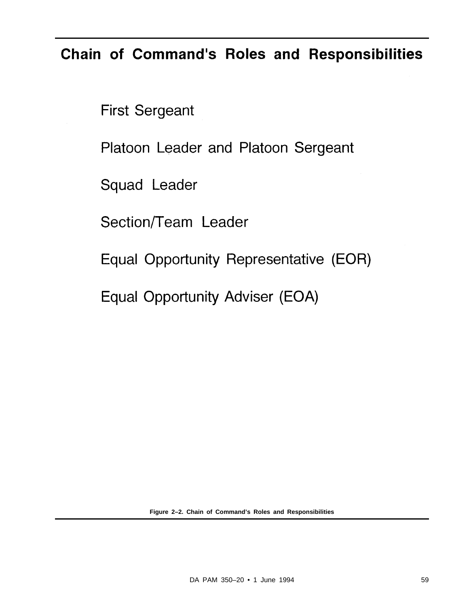# Chain of Command's Roles and Responsibilities

**First Sergeant** 

Platoon Leader and Platoon Sergeant

Squad Leader

Section/Team Leader

Equal Opportunity Representative (EOR)

Equal Opportunity Adviser (EOA)

**Figure 2–2. Chain of Command's Roles and Responsibilities**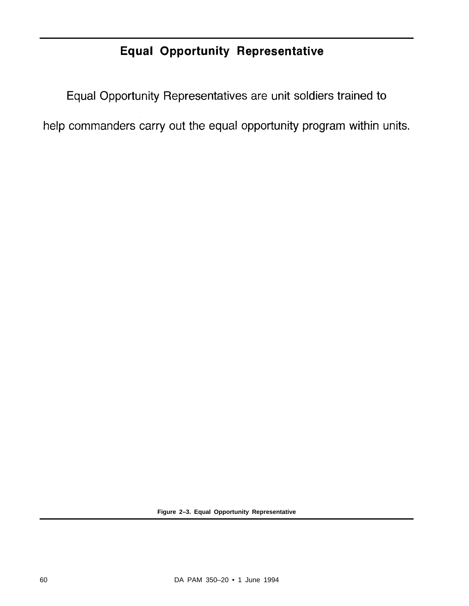### **Equal Opportunity Representative**

Equal Opportunity Representatives are unit soldiers trained to

help commanders carry out the equal opportunity program within units.

**Figure 2–3. Equal Opportunity Representative**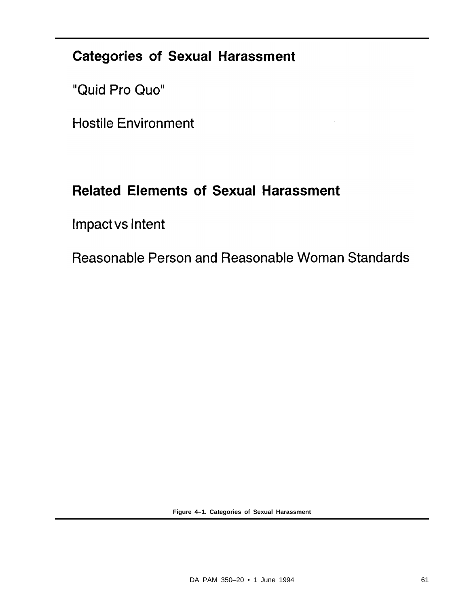### **Categories of Sexual Harassment**

"Quid Pro Quo"

**Hostile Environment** 

## **Related Elements of Sexual Harassment**

Impact vs Intent

Reasonable Person and Reasonable Woman Standards

**Figure 4–1. Categories of Sexual Harassment**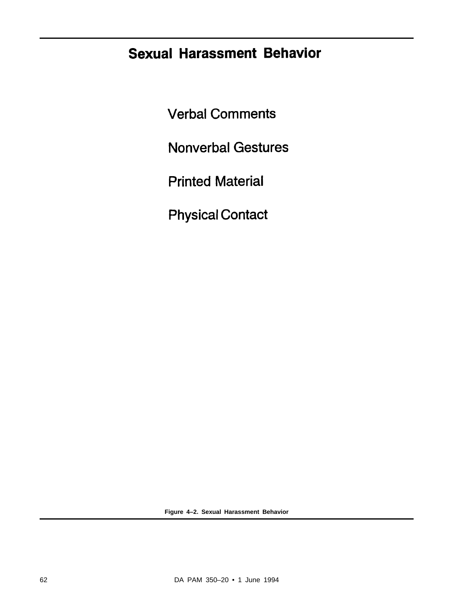## **Sexual Harassment Behavior**

**Verbal Comments** 

**Nonverbal Gestures** 

**Printed Material** 

**Physical Contact** 

**Figure 4–2. Sexual Harassment Behavior**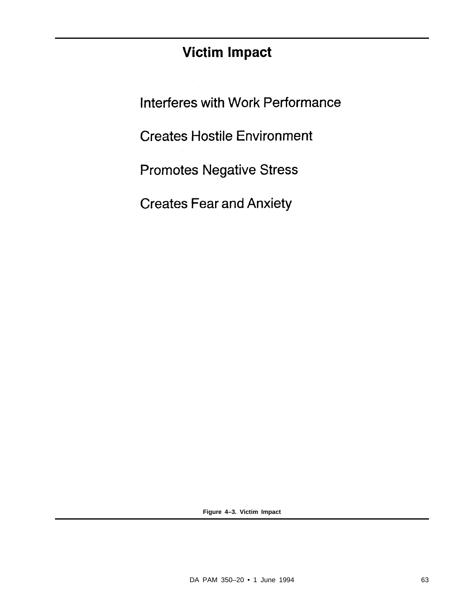## **Victim Impact**

Interferes with Work Performance

**Creates Hostile Environment** 

**Promotes Negative Stress** 

**Creates Fear and Anxiety** 

**Figure 4–3. Victim Impact**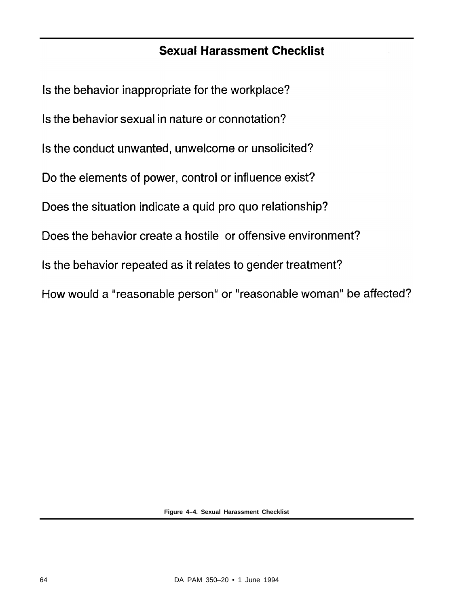#### **Sexual Harassment Checklist**

Is the behavior inappropriate for the workplace? Is the behavior sexual in nature or connotation? Is the conduct unwanted, unwelcome or unsolicited? Do the elements of power, control or influence exist? Does the situation indicate a quid pro quo relationship? Does the behavior create a hostile or offensive environment? Is the behavior repeated as it relates to gender treatment? How would a "reasonable person" or "reasonable woman" be affected?

**Figure 4–4. Sexual Harassment Checklist**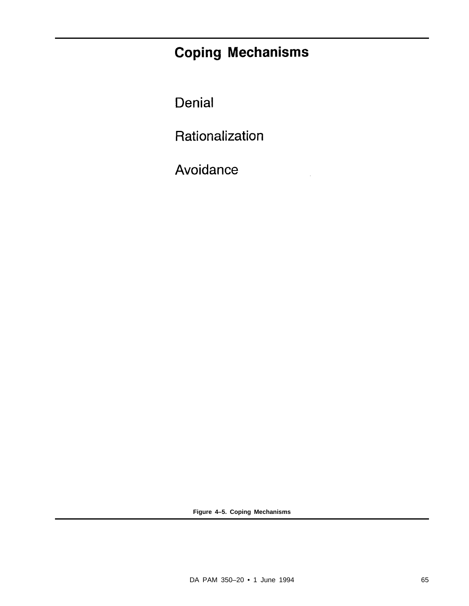## **Coping Mechanisms**

Denial

Rationalization

Avoidance

**Figure 4–5. Coping Mechanisms**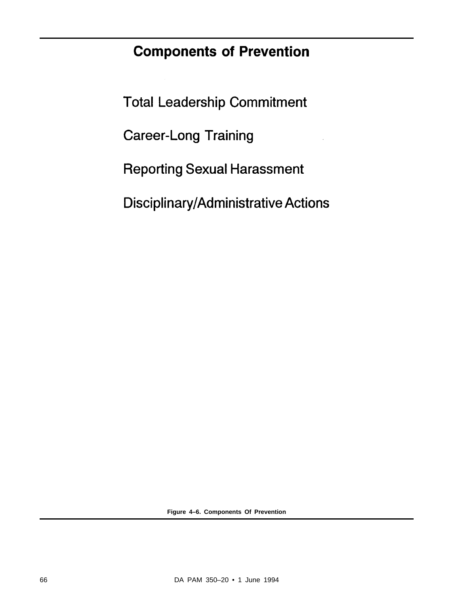## **Components of Prevention**

**Total Leadership Commitment** 

**Career-Long Training** 

**Reporting Sexual Harassment** 

Disciplinary/Administrative Actions

**Figure 4–6. Components Of Prevention**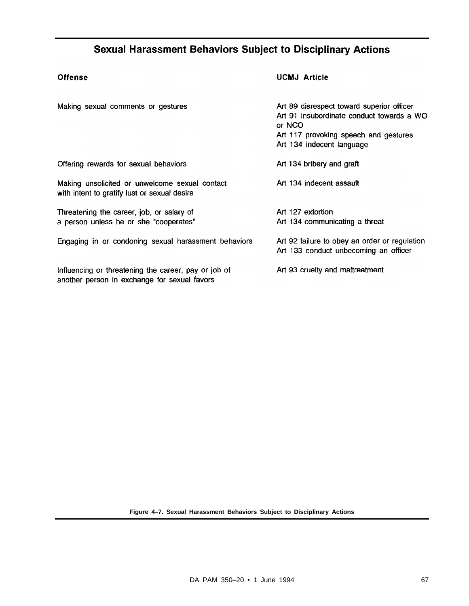#### **Sexual Harassment Behaviors Subject to Disciplinary Actions**

#### **Offense**

#### **UCMJ Article**

| Making sexual comments or gestures                                                                   | Art 89 disrespect toward superior officer<br>Art 91 insubordinate conduct towards a WO<br>or NCO<br>Art 117 provoking speech and gestures<br>Art 134 indecent language |
|------------------------------------------------------------------------------------------------------|------------------------------------------------------------------------------------------------------------------------------------------------------------------------|
| Offering rewards for sexual behaviors                                                                | Art 134 bribery and graft                                                                                                                                              |
| Making unsolicited or unwelcome sexual contact<br>with intent to gratify lust or sexual desire       | Art 134 indecent assault                                                                                                                                               |
| Threatening the career, job, or salary of<br>a person unless he or she "cooperates"                  | Art 127 extortion<br>Art 134 communicating a threat                                                                                                                    |
| Engaging in or condoning sexual harassment behaviors                                                 | Art 92 failure to obey an order or regulation<br>Art 133 conduct unbecoming an officer                                                                                 |
| Influencing or threatening the career, pay or job of<br>another person in exchange for sexual favors | Art 93 cruelty and maltreatment                                                                                                                                        |

**Figure 4–7. Sexual Harassment Behaviors Subject to Disciplinary Actions**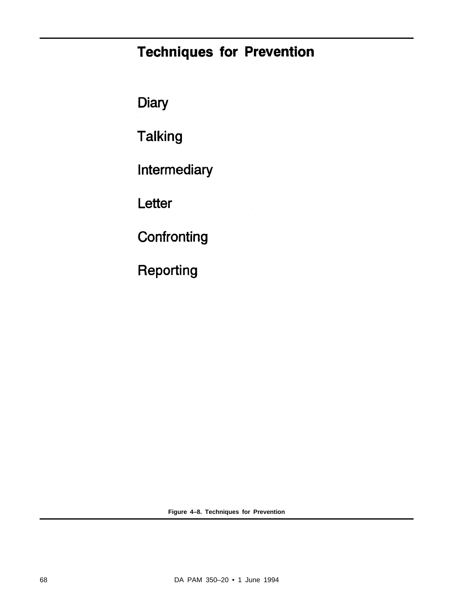## **Techniques for Prevention**

Diary

**Talking** 

Intermediary

Letter

Confronting

Reporting

**Figure 4–8. Techniques for Prevention**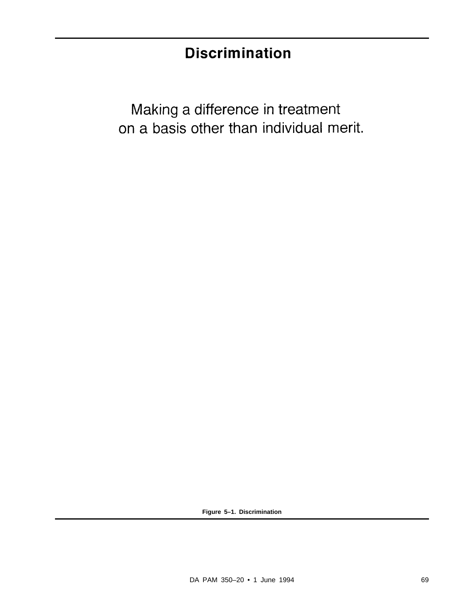# **Discrimination**

Making a difference in treatment on a basis other than individual merit.

**Figure 5–1. Discrimination**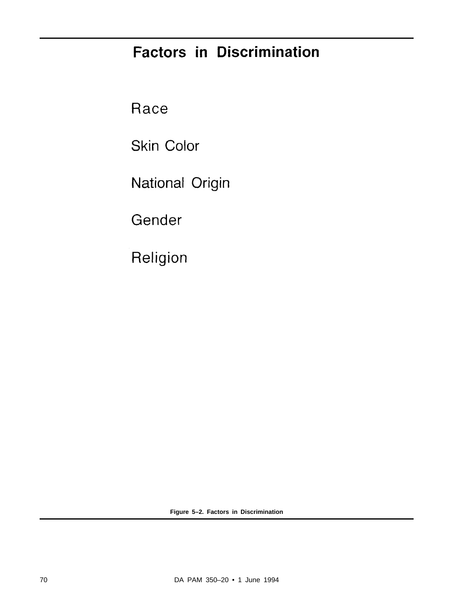# **Factors in Discrimination**

Race

**Skin Color** 

National Origin

Gender

Religion

**Figure 5–2. Factors in Discrimination**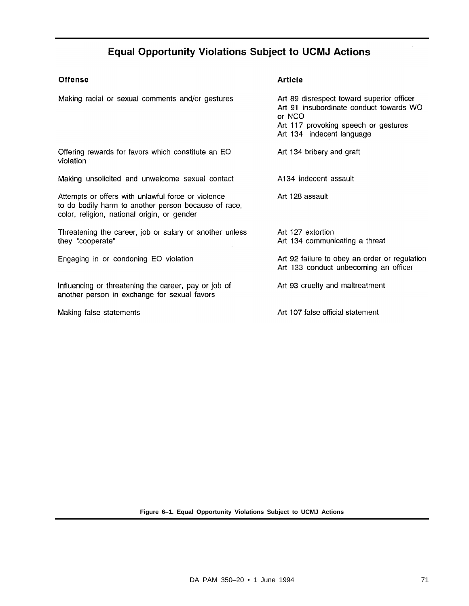#### **Equal Opportunity Violations Subject to UCMJ Actions**

#### Offense

#### **Article**

| Making racial or sexual comments and/or gestures                                                                                                          | Art 89 disrespect toward superior officer<br>Art 91 insubordinate conduct towards WO<br>or NCO<br>Art 117 provoking speech or gestures<br>Art 134 indecent language |
|-----------------------------------------------------------------------------------------------------------------------------------------------------------|---------------------------------------------------------------------------------------------------------------------------------------------------------------------|
| Offering rewards for favors which constitute an EO<br>violation                                                                                           | Art 134 bribery and graft                                                                                                                                           |
| Making unsolicited and unwelcome sexual contact                                                                                                           | A134 indecent assault                                                                                                                                               |
| Attempts or offers with unlawful force or violence<br>to do bodily harm to another person because of race,<br>color, religion, national origin, or gender | Art 128 assault                                                                                                                                                     |
| Threatening the career, job or salary or another unless<br>they "cooperate"                                                                               | Art 127 extortion<br>Art 134 communicating a threat                                                                                                                 |
| Engaging in or condoning EO violation                                                                                                                     | Art 92 failure to obey an order or regulation<br>Art 133 conduct unbecoming an officer                                                                              |
| Influencing or threatening the career, pay or job of<br>another person in exchange for sexual favors                                                      | Art 93 cruelty and maltreatment                                                                                                                                     |
| Making false statements                                                                                                                                   | Art 107 false official statement                                                                                                                                    |

**Figure 6–1. Equal Opportunity Violations Subject to UCMJ Actions**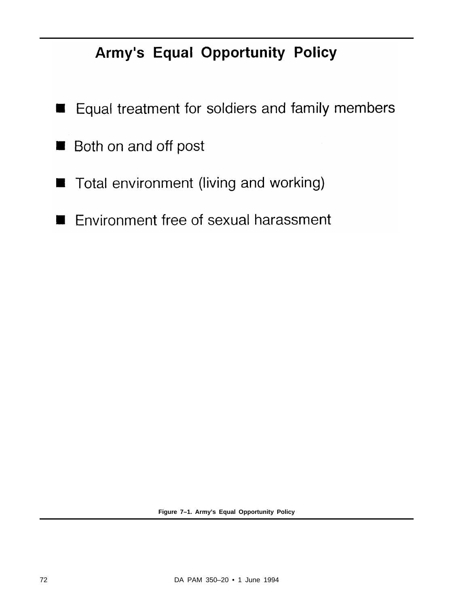# Army's Equal Opportunity Policy

- Equal treatment for soldiers and family members ш
- Both on and off post ш
- Total environment (living and working) J
- Environment free of sexual harassment  $\blacksquare$

**Figure 7–1. Army's Equal Opportunity Policy**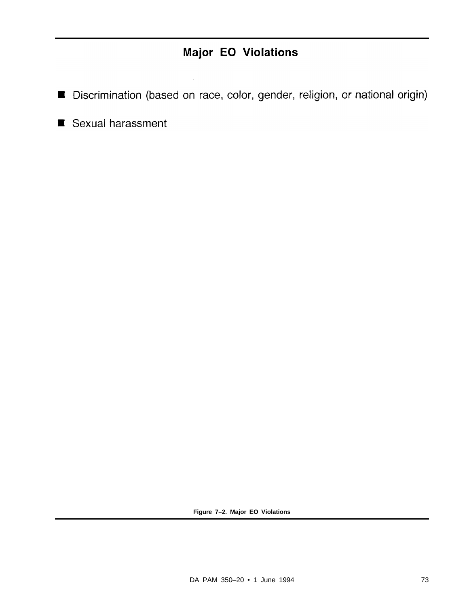#### Major EO Violations

- Discrimination (based on race, color, gender, religion, or national origin)
- Sexual harassment

**Figure 7–2. Major EO Violations**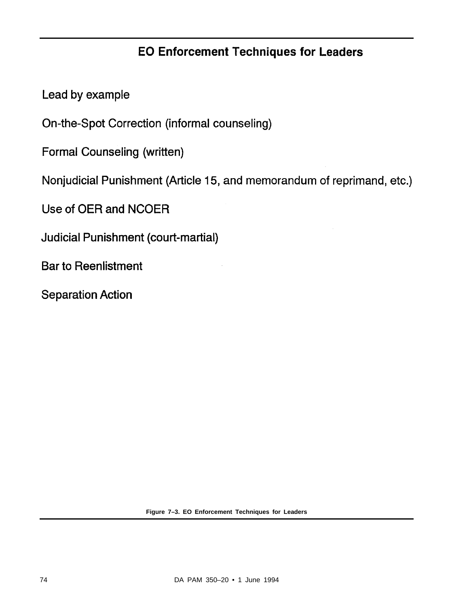#### **EO Enforcement Techniques for Leaders**

Lead by example

On-the-Spot Correction (informal counseling)

**Formal Counseling (written)** 

Nonjudicial Punishment (Article 15, and memorandum of reprimand, etc.)

Use of OER and NCOER

**Judicial Punishment (court-martial)** 

**Bar to Reenlistment** 

**Separation Action** 

**Figure 7–3. EO Enforcement Techniques for Leaders**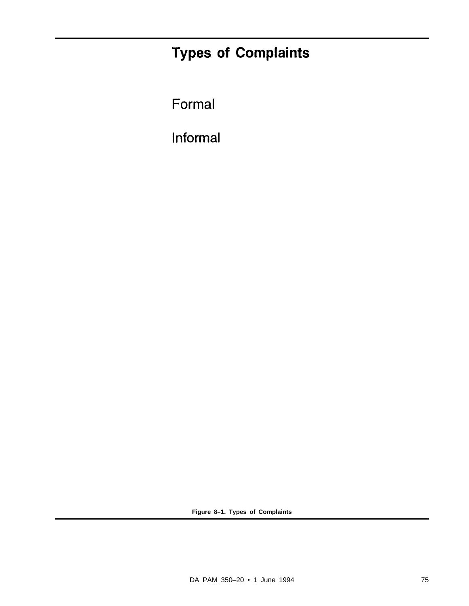# **Types of Complaints**

Formal

Informal

**Figure 8–1. Types of Complaints**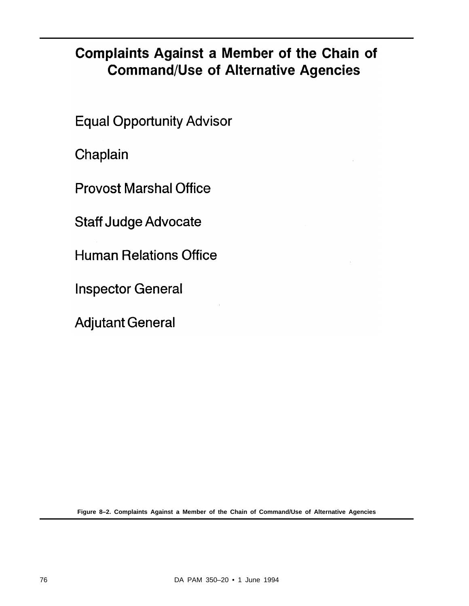## **Complaints Against a Member of the Chain of Command/Use of Alternative Agencies**

**Equal Opportunity Advisor** 

Chaplain

**Provost Marshal Office** 

**Staff Judge Advocate** 

**Human Relations Office** 

**Inspector General** 

**Adjutant General** 

**Figure 8–2. Complaints Against a Member of the Chain of Command/Use of Alternative Agencies**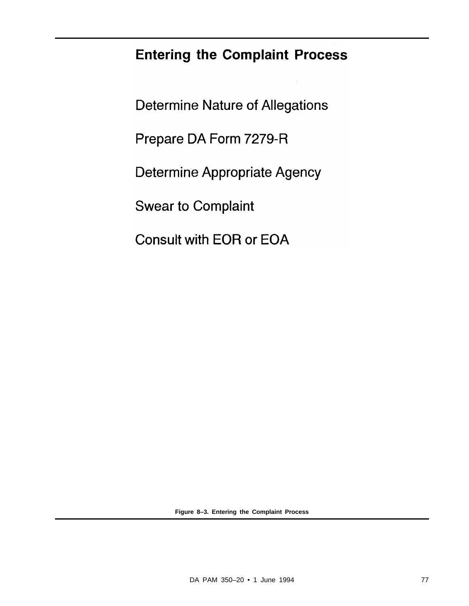## **Entering the Complaint Process**

**Determine Nature of Allegations** Prepare DA Form 7279-R **Determine Appropriate Agency Swear to Complaint Consult with EOR or EOA** 

**Figure 8–3. Entering the Complaint Process**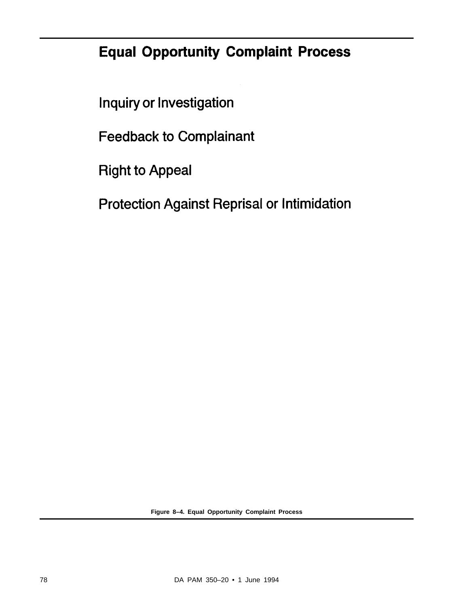# **Equal Opportunity Complaint Process**

Inquiry or Investigation

**Feedback to Complainant** 

**Right to Appeal** 

**Protection Against Reprisal or Intimidation** 

**Figure 8–4. Equal Opportunity Complaint Process**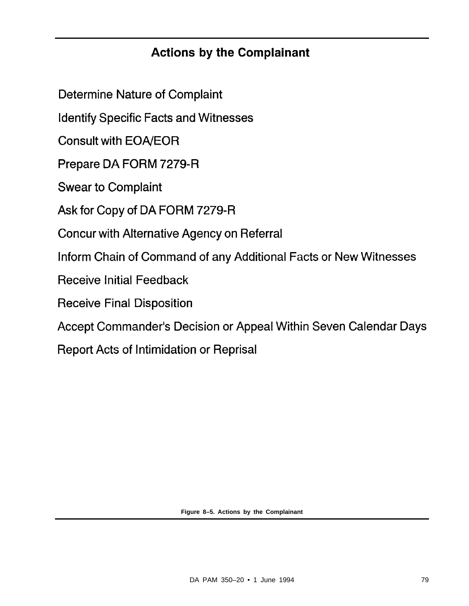#### **Actions by the Complainant**

**Determine Nature of Complaint** 

**Identify Specific Facts and Witnesses** 

**Consult with EOA/EOR** 

Prepare DA FORM 7279-R

**Swear to Complaint** 

Ask for Copy of DA FORM 7279-R

Concur with Alternative Agency on Referral

Inform Chain of Command of any Additional Facts or New Witnesses

**Receive Initial Feedback** 

**Receive Final Disposition** 

Accept Commander's Decision or Appeal Within Seven Calendar Days

**Report Acts of Intimidation or Reprisal** 

**Figure 8–5. Actions by the Complainant**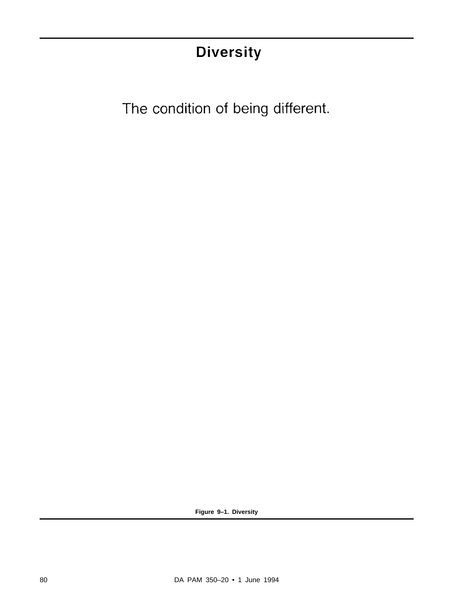# **Diversity**

The condition of being different.

**Figure 9–1. Diversity**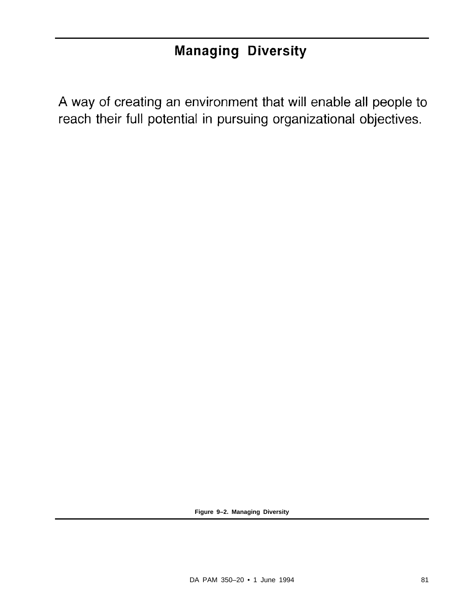## **Managing Diversity**

A way of creating an environment that will enable all people to reach their full potential in pursuing organizational objectives.

**Figure 9–2. Managing Diversity**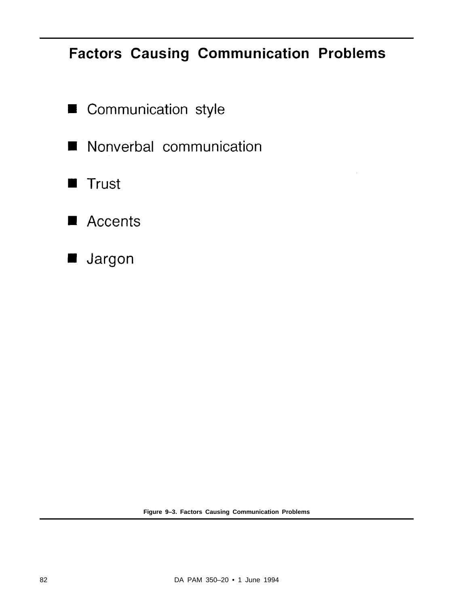## **Factors Causing Communication Problems**

- Communication style ł
- Nonverbal communication I H
- Trust  $\blacksquare$
- Accents
- Jargon

**Figure 9–3. Factors Causing Communication Problems**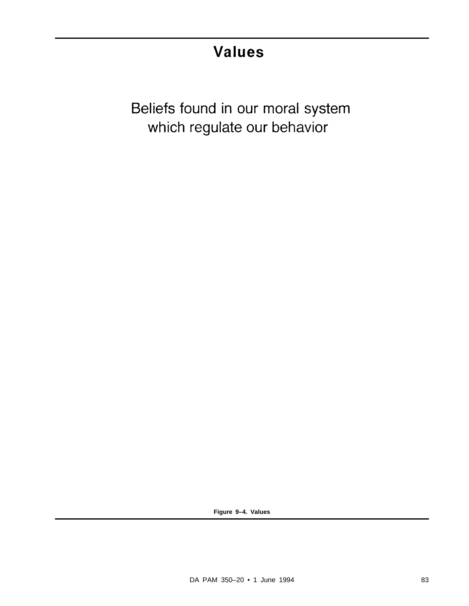# **Values**

Beliefs found in our moral system which regulate our behavior

**Figure 9–4. Values**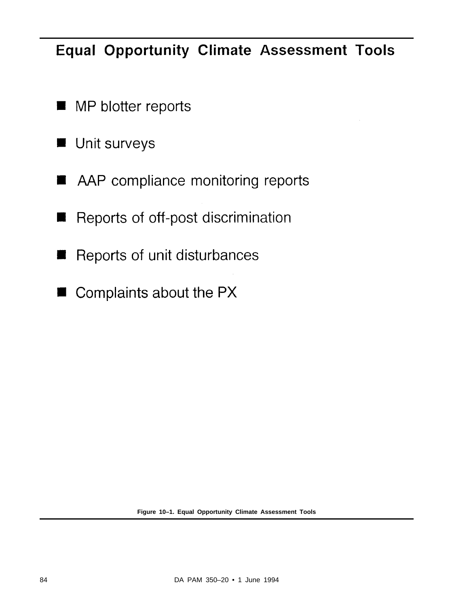## **Equal Opportunity Climate Assessment Tools**

- MP blotter reports  $\blacksquare$
- Unit surveys  $\blacksquare$
- AAP compliance monitoring reports
- Reports of off-post discrimination
- Reports of unit disturbances
- Complaints about the PX

**Figure 10–1. Equal Opportunity Climate Assessment Tools**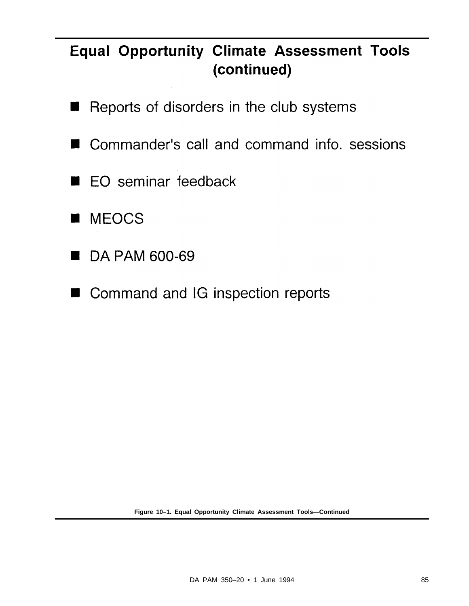# **Equal Opportunity Climate Assessment Tools** (continued)

- Reports of disorders in the club systems ш
- Commander's call and command info. sessions ٠
- EO seminar feedback П
- **MEOCS**
- DA PAM 600-69
- Command and IG inspection reports

**Figure 10–1. Equal Opportunity Climate Assessment Tools—Continued**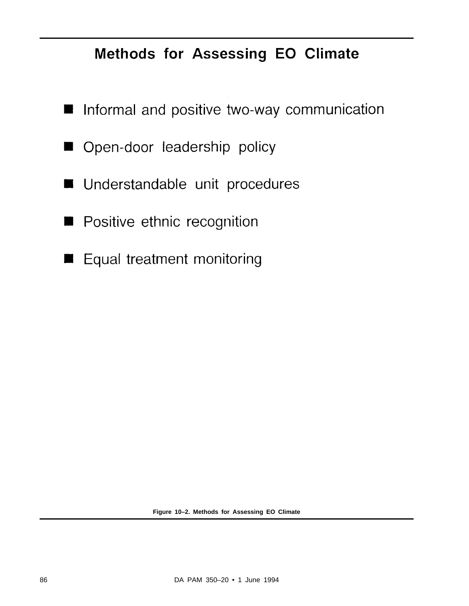## Methods for Assessing EO Climate

- Informal and positive two-way communication  $\blacksquare$
- Open-door leadership policy W
- Understandable unit procedures  $\blacksquare$
- Positive ethnic recognition
- Equal treatment monitoring M.

**Figure 10–2. Methods for Assessing EO Climate**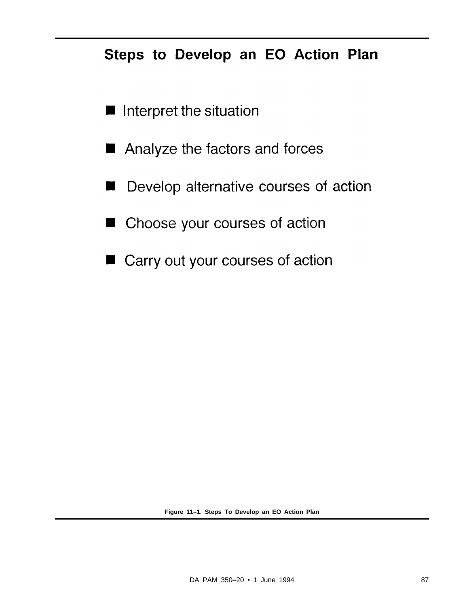## Steps to Develop an EO Action Plan

- Interpret the situation
- Analyze the factors and forces ш
- Develop alternative courses of action
- Choose your courses of action н
- Carry out your courses of action

**Figure 11–1. Steps To Develop an EO Action Plan**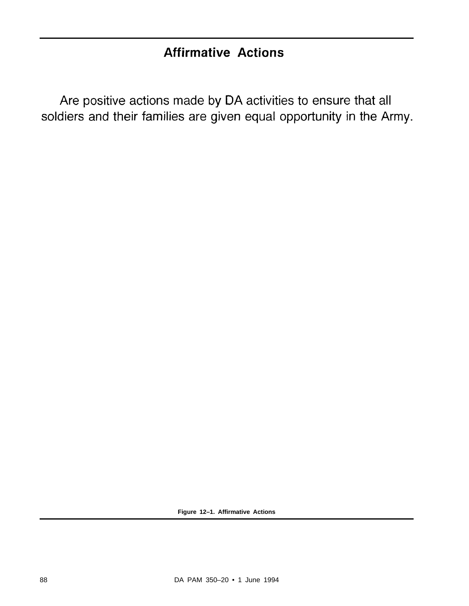#### **Affirmative Actions**

Are positive actions made by DA activities to ensure that all soldiers and their families are given equal opportunity in the Army.

**Figure 12–1. Affirmative Actions**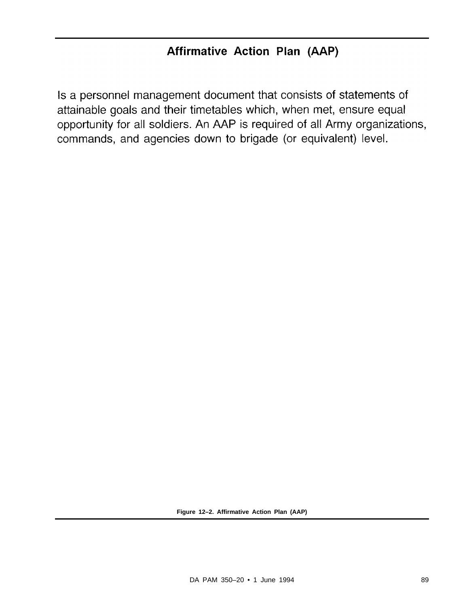Is a personnel management document that consists of statements of attainable goals and their timetables which, when met, ensure equal opportunity for all soldiers. An AAP is required of all Army organizations, commands, and agencies down to brigade (or equivalent) level.

**Figure 12–2. Affirmative Action Plan (AAP)**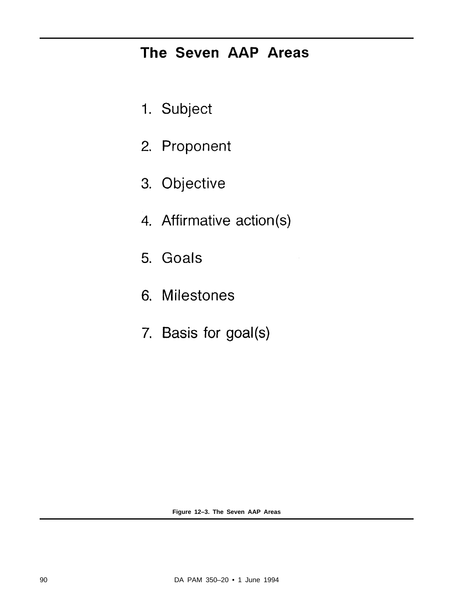## The Seven AAP Areas

- 1. Subject
- 2. Proponent
- 3. Objective
- 4. Affirmative action(s)
- 5. Goals
- **Milestones** 6.
- 7. Basis for goal(s)

**Figure 12–3. The Seven AAP Areas**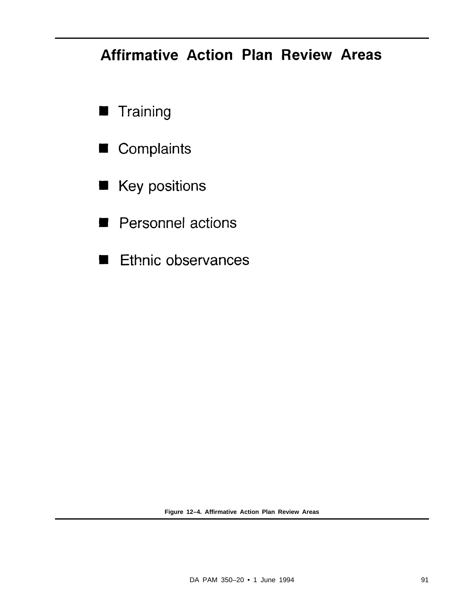# **Affirmative Action Plan Review Areas**

- **Training**
- Complaints  $\blacksquare$
- Key positions
- Personnel actions
- Ethnic observances  $\overline{\phantom{a}}$ ٦

**Figure 12–4. Affirmative Action Plan Review Areas**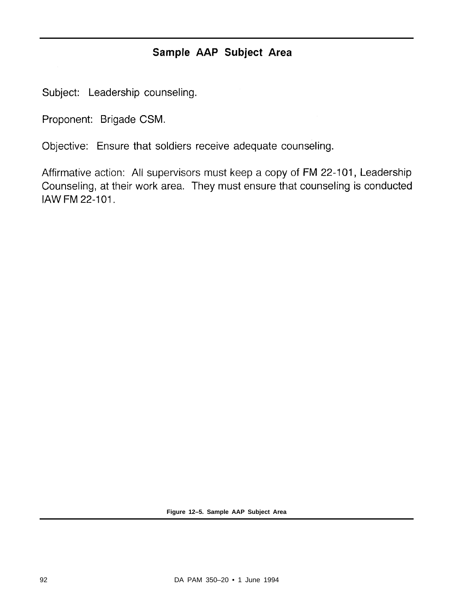#### Sample AAP Subject Area

Subject: Leadership counseling.

Proponent: Brigade CSM.

Objective: Ensure that soldiers receive adequate counseling.

Affirmative action: All supervisors must keep a copy of FM 22-101, Leadership Counseling, at their work area. They must ensure that counseling is conducted IAW FM 22-101.

**Figure 12–5. Sample AAP Subject Area**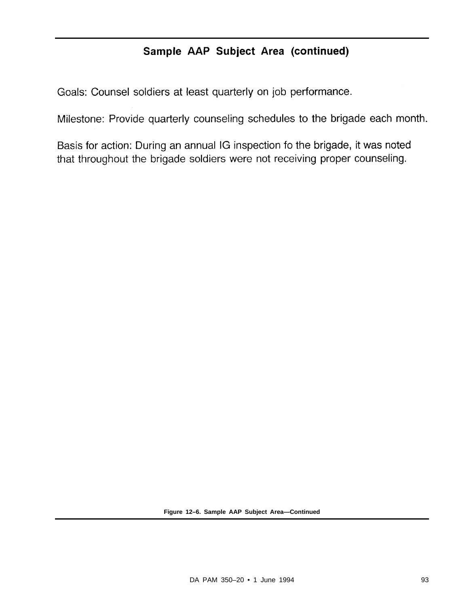#### Sample AAP Subject Area (continued)

Goals: Counsel soldiers at least quarterly on job performance.

Milestone: Provide quarterly counseling schedules to the brigade each month.

Basis for action: During an annual IG inspection fo the brigade, it was noted that throughout the brigade soldiers were not receiving proper counseling.

**Figure 12–6. Sample AAP Subject Area—Continued**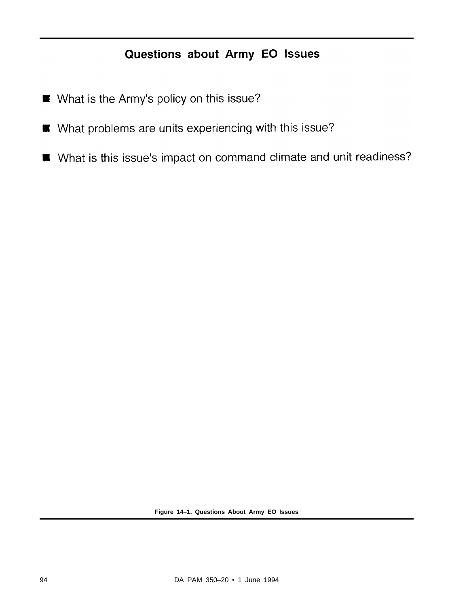#### Questions about Army EO Issues

- What is the Army's policy on this issue?
- What problems are units experiencing with this issue?  $\blacksquare$
- What is this issue's impact on command climate and unit readiness?

**Figure 14–1. Questions About Army EO Issues**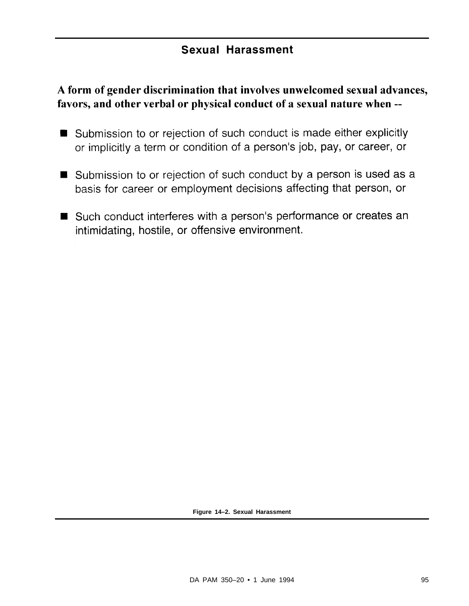#### **Sexual Harassment**

#### A form of gender discrimination that involves unwelcomed sexual advances, favors, and other verbal or physical conduct of a sexual nature when --

- Submission to or rejection of such conduct is made either explicitly or implicitly a term or condition of a person's job, pay, or career, or
- Submission to or rejection of such conduct by a person is used as a basis for career or employment decisions affecting that person, or
- Such conduct interferes with a person's performance or creates an intimidating, hostile, or offensive environment.

**Figure 14–2. Sexual Harassment**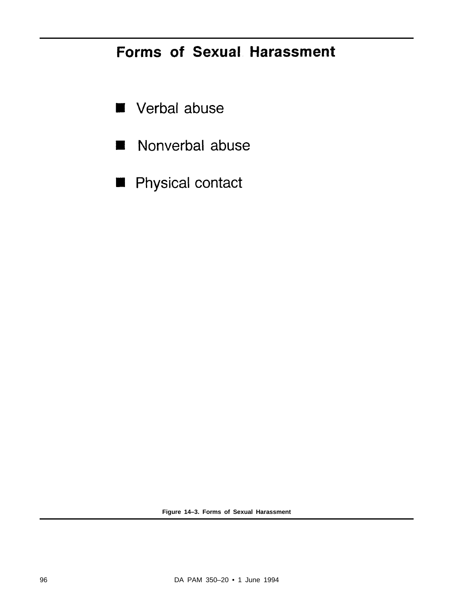## **Forms of Sexual Harassment**

- Verbal abuse
- Nonverbal abuse  $\blacksquare$
- Physical contact

**Figure 14–3. Forms of Sexual Harassment**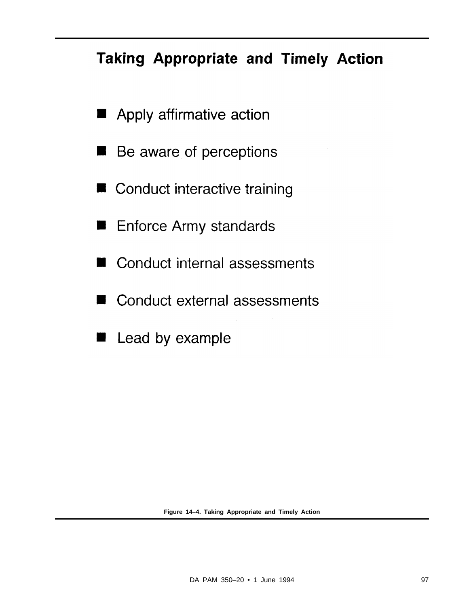# **Taking Appropriate and Timely Action**

- Apply affirmative action
- Be aware of perceptions
- Conduct interactive training
- **Enforce Army standards**
- Conduct internal assessments
- Conduct external assessments н
- Lead by example

**Figure 14–4. Taking Appropriate and Timely Action**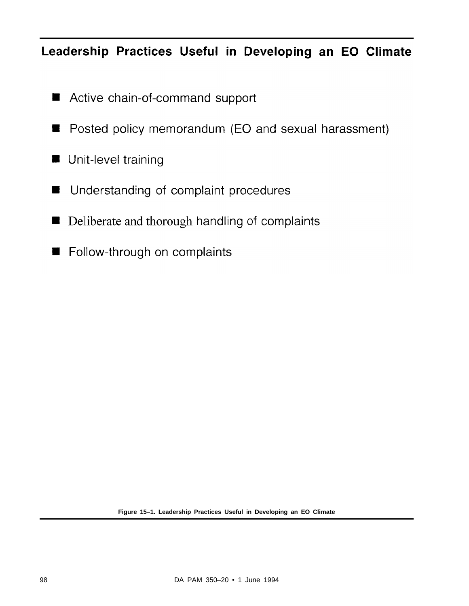## Leadership Practices Useful in Developing an EO Climate

- Active chain-of-command support  $\blacksquare$
- Posted policy memorandum (EO and sexual harassment)  $\blacksquare$
- **Unit-level training**
- Understanding of complaint procedures Н
- Deliberate and thorough handling of complaints  $\blacksquare$
- Follow-through on complaints

**Figure 15–1. Leadership Practices Useful in Developing an EO Climate**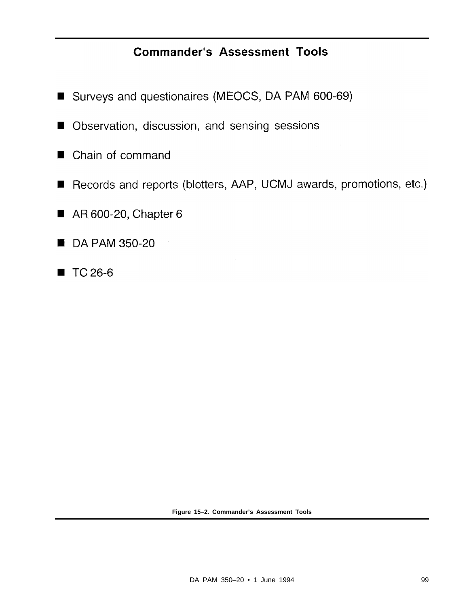### **Commander's Assessment Tools**

- Surveys and questionaires (MEOCS, DA PAM 600-69)
- Observation, discussion, and sensing sessions  $\blacksquare$
- Chain of command
- Records and reports (blotters, AAP, UCMJ awards, promotions, etc.)  $\blacksquare$
- AR 600-20, Chapter 6  $\blacksquare$
- DA PAM 350-20 н
- TC 26-6  $\blacksquare$

**Figure 15–2. Commander's Assessment Tools**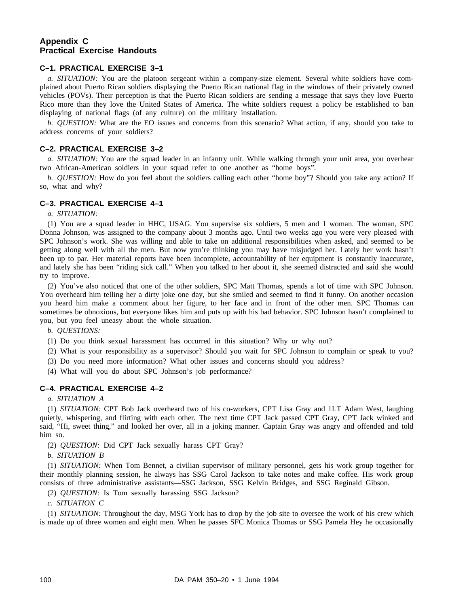#### **Appendix C Practical Exercise Handouts**

#### **C–1. PRACTICAL EXERCISE 3–1**

*a. SITUATION:* You are the platoon sergeant within a company-size element. Several white soldiers have complained about Puerto Rican soldiers displaying the Puerto Rican national flag in the windows of their privately owned vehicles (POVs). Their perception is that the Puerto Rican soldiers are sending a message that says they love Puerto Rico more than they love the United States of America. The white soldiers request a policy be established to ban displaying of national flags (of any culture) on the military installation.

*b. QUESTION:* What are the EO issues and concerns from this scenario? What action, if any, should you take to address concerns of your soldiers?

#### **C–2. PRACTICAL EXERCISE 3–2**

*a. SITUATION:* You are the squad leader in an infantry unit. While walking through your unit area, you overhear two African-American soldiers in your squad refer to one another as "home boys".

*b. QUESTION:* How do you feel about the soldiers calling each other "home boy"? Should you take any action? If so, what and why?

#### **C–3. PRACTICAL EXERCISE 4–1**

*a. SITUATION:*

(1) You are a squad leader in HHC, USAG. You supervise six soldiers, 5 men and 1 woman. The woman, SPC Donna Johnson, was assigned to the company about 3 months ago. Until two weeks ago you were very pleased with SPC Johnson's work. She was willing and able to take on additional responsibilities when asked, and seemed to be getting along well with all the men. But now you're thinking you may have misjudged her. Lately her work hasn't been up to par. Her material reports have been incomplete, accountability of her equipment is constantly inaccurate, and lately she has been "riding sick call." When you talked to her about it, she seemed distracted and said she would try to improve.

(2) You've also noticed that one of the other soldiers, SPC Matt Thomas, spends a lot of time with SPC Johnson. You overheard him telling her a dirty joke one day, but she smiled and seemed to find it funny. On another occasion you heard him make a comment about her figure, to her face and in front of the other men. SPC Thomas can sometimes be obnoxious, but everyone likes him and puts up with his bad behavior. SPC Johnson hasn't complained to you, but you feel uneasy about the whole situation.

*b. QUESTIONS:*

(1) Do you think sexual harassment has occurred in this situation? Why or why not?

(2) What is your responsibility as a supervisor? Should you wait for SPC Johnson to complain or speak to you?

(3) Do you need more information? What other issues and concerns should you address?

(4) What will you do about SPC Johnson's job performance?

#### **C–4. PRACTICAL EXERCISE 4–2**

#### *a. SITUATION A*

(1) *SITUATION:* CPT Bob Jack overheard two of his co-workers, CPT Lisa Gray and 1LT Adam West, laughing quietly, whispering, and flirting with each other. The next time CPT Jack passed CPT Gray, CPT Jack winked and said, "Hi, sweet thing," and looked her over, all in a joking manner. Captain Gray was angry and offended and told him so.

(2) *QUESTION:* Did CPT Jack sexually harass CPT Gray?

*b. SITUATION B*

(1) *SITUATION:* When Tom Bennet, a civilian supervisor of military personnel, gets his work group together for their monthly planning session, he always has SSG Carol Jackson to take notes and make coffee. His work group consists of three administrative assistants—SSG Jackson, SSG Kelvin Bridges, and SSG Reginald Gibson.

(2) *QUESTION:* Is Tom sexually harassing SSG Jackson?

*c. SITUATION C*

(1) *SITUATION:* Throughout the day, MSG York has to drop by the job site to oversee the work of his crew which is made up of three women and eight men. When he passes SFC Monica Thomas or SSG Pamela Hey he occasionally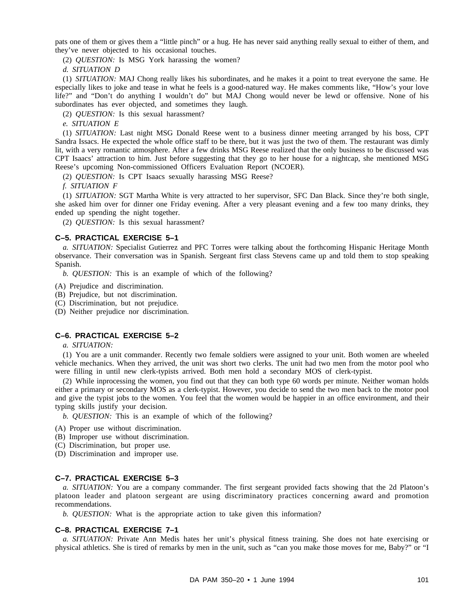pats one of them or gives them a "little pinch" or a hug. He has never said anything really sexual to either of them, and they've never objected to his occasional touches.

(2) *QUESTION:* Is MSG York harassing the women?

*d. SITUATION D*

(1) *SITUATION:* MAJ Chong really likes his subordinates, and he makes it a point to treat everyone the same. He especially likes to joke and tease in what he feels is a good-natured way. He makes comments like, "How's your love life?" and "Don't do anything I wouldn't do" but MAJ Chong would never be lewd or offensive. None of his subordinates has ever objected, and sometimes they laugh.

(2) *QUESTION:* Is this sexual harassment?

*e. SITUATION E*

(1) *SITUATION:* Last night MSG Donald Reese went to a business dinner meeting arranged by his boss, CPT Sandra Issacs. He expected the whole office staff to be there, but it was just the two of them. The restaurant was dimly lit, with a very romantic atmosphere. After a few drinks MSG Reese realized that the only business to be discussed was CPT Isaacs' attraction to him. Just before suggesting that they go to her house for a nightcap, she mentioned MSG Reese's upcoming Non-commissioned Officers Evaluation Report (NCOER).

(2) *QUESTION:* Is CPT Isaacs sexually harassing MSG Reese?

*f. SITUATION F*

(1) *SITUATION:* SGT Martha White is very attracted to her supervisor, SFC Dan Black. Since they're both single, she asked him over for dinner one Friday evening. After a very pleasant evening and a few too many drinks, they ended up spending the night together.

(2) *QUESTION:* Is this sexual harassment?

#### **C–5. PRACTICAL EXERCISE 5–1**

*a. SITUATION:* Specialist Gutierrez and PFC Torres were talking about the forthcoming Hispanic Heritage Month observance. Their conversation was in Spanish. Sergeant first class Stevens came up and told them to stop speaking Spanish.

*b. QUESTION:* This is an example of which of the following?

(A) Prejudice and discrimination.

- (B) Prejudice, but not discrimination.
- (C) Discrimination, but not prejudice.
- (D) Neither prejudice nor discrimination.

#### **C–6. PRACTICAL EXERCISE 5–2**

*a. SITUATION:*

(1) You are a unit commander. Recently two female soldiers were assigned to your unit. Both women are wheeled vehicle mechanics. When they arrived, the unit was short two clerks. The unit had two men from the motor pool who were filling in until new clerk-typists arrived. Both men hold a secondary MOS of clerk-typist.

(2) While inprocessing the women, you find out that they can both type 60 words per minute. Neither woman holds either a primary or secondary MOS as a clerk-typist. However, you decide to send the two men back to the motor pool and give the typist jobs to the women. You feel that the women would be happier in an office environment, and their typing skills justify your decision.

*b. QUESTION:* This is an example of which of the following?

- (A) Proper use without discrimination.
- (B) Improper use without discrimination.
- (C) Discrimination, but proper use.

(D) Discrimination and improper use.

#### **C–7. PRACTICAL EXERCISE 5–3**

*a. SITUATION:* You are a company commander. The first sergeant provided facts showing that the 2d Platoon's platoon leader and platoon sergeant are using discriminatory practices concerning award and promotion recommendations.

*b. QUESTION:* What is the appropriate action to take given this information?

#### **C–8. PRACTICAL EXERCISE 7–1**

*a. SITUATION:* Private Ann Medis hates her unit's physical fitness training. She does not hate exercising or physical athletics. She is tired of remarks by men in the unit, such as "can you make those moves for me, Baby?" or "I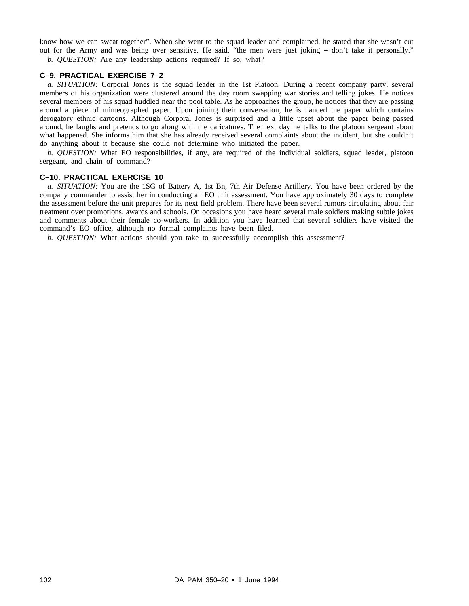know how we can sweat together". When she went to the squad leader and complained, he stated that she wasn't cut out for the Army and was being over sensitive. He said, "the men were just joking – don't take it personally." *b. QUESTION:* Are any leadership actions required? If so, what?

#### **C–9. PRACTICAL EXERCISE 7–2**

*a. SITUATION:* Corporal Jones is the squad leader in the 1st Platoon. During a recent company party, several members of his organization were clustered around the day room swapping war stories and telling jokes. He notices several members of his squad huddled near the pool table. As he approaches the group, he notices that they are passing around a piece of mimeographed paper. Upon joining their conversation, he is handed the paper which contains derogatory ethnic cartoons. Although Corporal Jones is surprised and a little upset about the paper being passed around, he laughs and pretends to go along with the caricatures. The next day he talks to the platoon sergeant about what happened. She informs him that she has already received several complaints about the incident, but she couldn't do anything about it because she could not determine who initiated the paper.

*b. QUESTION:* What EO responsibilities, if any, are required of the individual soldiers, squad leader, platoon sergeant, and chain of command?

#### **C–10. PRACTICAL EXERCISE 10**

*a. SITUATION:* You are the 1SG of Battery A, 1st Bn, 7th Air Defense Artillery. You have been ordered by the company commander to assist her in conducting an EO unit assessment. You have approximately 30 days to complete the assessment before the unit prepares for its next field problem. There have been several rumors circulating about fair treatment over promotions, awards and schools. On occasions you have heard several male soldiers making subtle jokes and comments about their female co-workers. In addition you have learned that several soldiers have visited the command's EO office, although no formal complaints have been filed.

*b. QUESTION:* What actions should you take to successfully accomplish this assessment?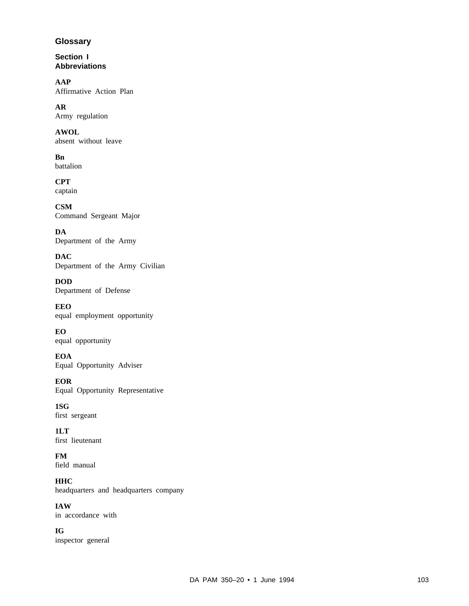#### **Glossary**

**Section I Abbreviations**

**AAP** Affirmative Action Plan

**AR** Army regulation

**AWOL** absent without leave

**Bn** battalion

**CPT** captain

**CSM** Command Sergeant Major

**DA** Department of the Army

**DAC** Department of the Army Civilian

**DOD** Department of Defense

**EEO** equal employment opportunity

**EO** equal opportunity

**EOA** Equal Opportunity Adviser

**EOR** Equal Opportunity Representative

**1SG** first sergeant

**1LT** first lieutenant

**FM** field manual

**HHC** headquarters and headquarters company

**IAW** in accordance with

**IG** inspector general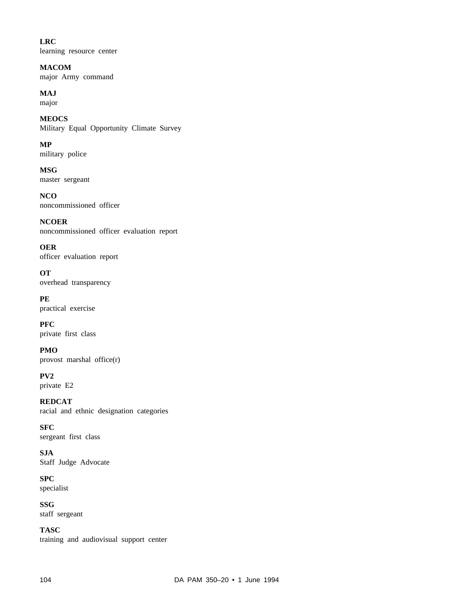**LRC** learning resource center

**MACOM** major Army command

**MAJ** major

**MEOCS** Military Equal Opportunity Climate Survey

**MP** military police

**MSG** master sergeant

**NCO** noncommissioned officer

**NCOER** noncommissioned officer evaluation report

**OER** officer evaluation report

**OT** overhead transparency

**PE** practical exercise

**PFC** private first class

**PMO** provost marshal office(r)

**PV2** private E2

**REDCAT** racial and ethnic designation categories

**SFC** sergeant first class

**SJA** Staff Judge Advocate

**SPC** specialist

**SSG** staff sergeant

**TASC** training and audiovisual support center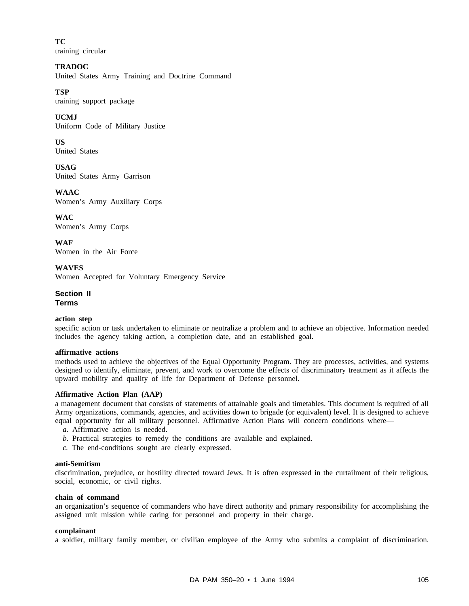**TC** training circular

**TRADOC** United States Army Training and Doctrine Command

#### **TSP**

training support package

**UCMJ**

Uniform Code of Military Justice

**US** United States

**USAG** United States Army Garrison

**WAAC** Women's Army Auxiliary Corps

**WAC** Women's Army Corps

**WAF** Women in the Air Force

**WAVES** Women Accepted for Voluntary Emergency Service

**Section II Terms**

#### **action step**

specific action or task undertaken to eliminate or neutralize a problem and to achieve an objective. Information needed includes the agency taking action, a completion date, and an established goal.

#### **affirmative actions**

methods used to achieve the objectives of the Equal Opportunity Program. They are processes, activities, and systems designed to identify, eliminate, prevent, and work to overcome the effects of discriminatory treatment as it affects the upward mobility and quality of life for Department of Defense personnel.

#### **Affirmative Action Plan (AAP)**

a management document that consists of statements of attainable goals and timetables. This document is required of all Army organizations, commands, agencies, and activities down to brigade (or equivalent) level. It is designed to achieve equal opportunity for all military personnel. Affirmative Action Plans will concern conditions where—

- *a.* Affirmative action is needed.
- *b.* Practical strategies to remedy the conditions are available and explained.
- *c.* The end-conditions sought are clearly expressed.

#### **anti-Semitism**

discrimination, prejudice, or hostility directed toward Jews. It is often expressed in the curtailment of their religious, social, economic, or civil rights.

#### **chain of command**

an organization's sequence of commanders who have direct authority and primary responsibility for accomplishing the assigned unit mission while caring for personnel and property in their charge.

#### **complainant**

a soldier, military family member, or civilian employee of the Army who submits a complaint of discrimination.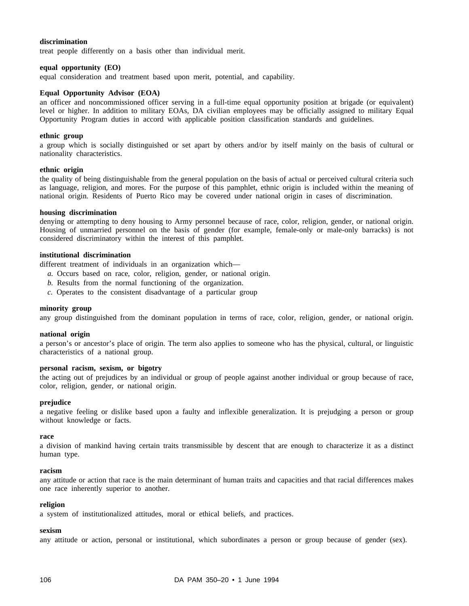#### **discrimination**

treat people differently on a basis other than individual merit.

#### **equal opportunity (EO)**

equal consideration and treatment based upon merit, potential, and capability.

#### **Equal Opportunity Advisor (EOA)**

an officer and noncommissioned officer serving in a full-time equal opportunity position at brigade (or equivalent) level or higher. In addition to military EOAs, DA civilian employees may be officially assigned to military Equal Opportunity Program duties in accord with applicable position classification standards and guidelines.

#### **ethnic group**

a group which is socially distinguished or set apart by others and/or by itself mainly on the basis of cultural or nationality characteristics.

#### **ethnic origin**

the quality of being distinguishable from the general population on the basis of actual or perceived cultural criteria such as language, religion, and mores. For the purpose of this pamphlet, ethnic origin is included within the meaning of national origin. Residents of Puerto Rico may be covered under national origin in cases of discrimination.

#### **housing discrimination**

denying or attempting to deny housing to Army personnel because of race, color, religion, gender, or national origin. Housing of unmarried personnel on the basis of gender (for example, female-only or male-only barracks) is not considered discriminatory within the interest of this pamphlet.

#### **institutional discrimination**

different treatment of individuals in an organization which—

- *a.* Occurs based on race, color, religion, gender, or national origin.
- *b.* Results from the normal functioning of the organization.
- *c.* Operates to the consistent disadvantage of a particular group

#### **minority group**

any group distinguished from the dominant population in terms of race, color, religion, gender, or national origin.

#### **national origin**

a person's or ancestor's place of origin. The term also applies to someone who has the physical, cultural, or linguistic characteristics of a national group.

#### **personal racism, sexism, or bigotry**

the acting out of prejudices by an individual or group of people against another individual or group because of race, color, religion, gender, or national origin.

#### **prejudice**

a negative feeling or dislike based upon a faulty and inflexible generalization. It is prejudging a person or group without knowledge or facts.

#### **race**

a division of mankind having certain traits transmissible by descent that are enough to characterize it as a distinct human type.

#### **racism**

any attitude or action that race is the main determinant of human traits and capacities and that racial differences makes one race inherently superior to another.

#### **religion**

a system of institutionalized attitudes, moral or ethical beliefs, and practices.

#### **sexism**

any attitude or action, personal or institutional, which subordinates a person or group because of gender (sex).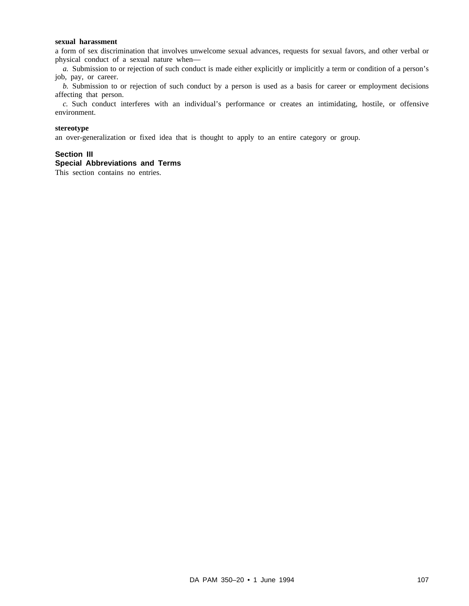#### **sexual harassment**

a form of sex discrimination that involves unwelcome sexual advances, requests for sexual favors, and other verbal or physical conduct of a sexual nature when—

*a.* Submission to or rejection of such conduct is made either explicitly or implicitly a term or condition of a person's job, pay, or career.

*b.* Submission to or rejection of such conduct by a person is used as a basis for career or employment decisions affecting that person.

*c*. Such conduct interferes with an individual's performance or creates an intimidating, hostile, or offensive environment.

#### **stereotype**

an over-generalization or fixed idea that is thought to apply to an entire category or group.

#### **Section III**

#### **Special Abbreviations and Terms**

This section contains no entries.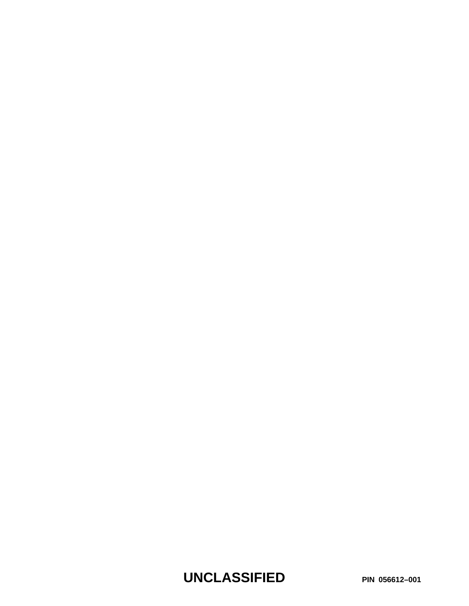**UNCLASSIFIED PIN 056612–001**